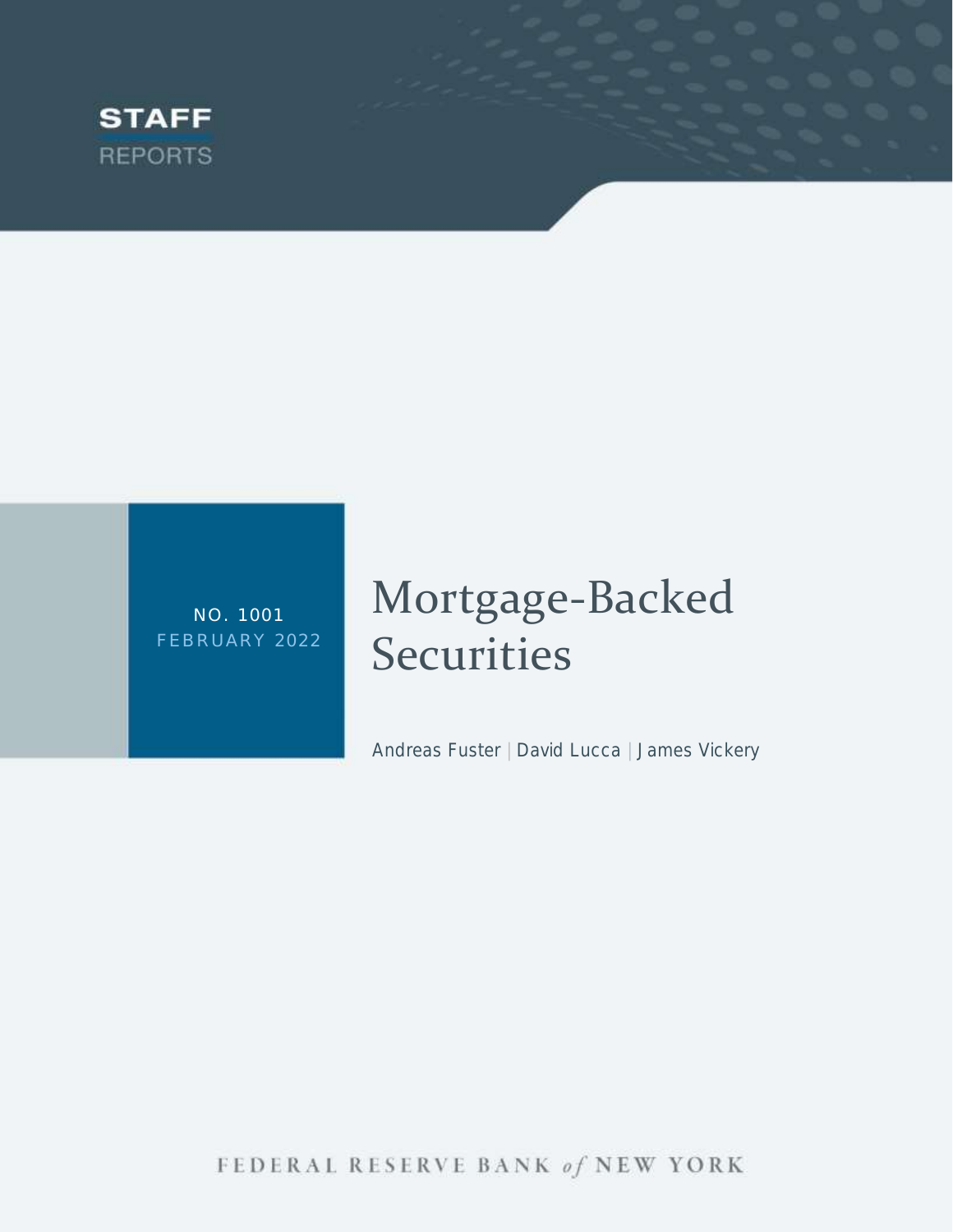

NO. 1 001 FEBRUARY 2022

# Mortgage-Backed **Securities**

Andreas Fuster | David Lucca | James Vickery

FEDERAL RESERVE BANK of NEW YORK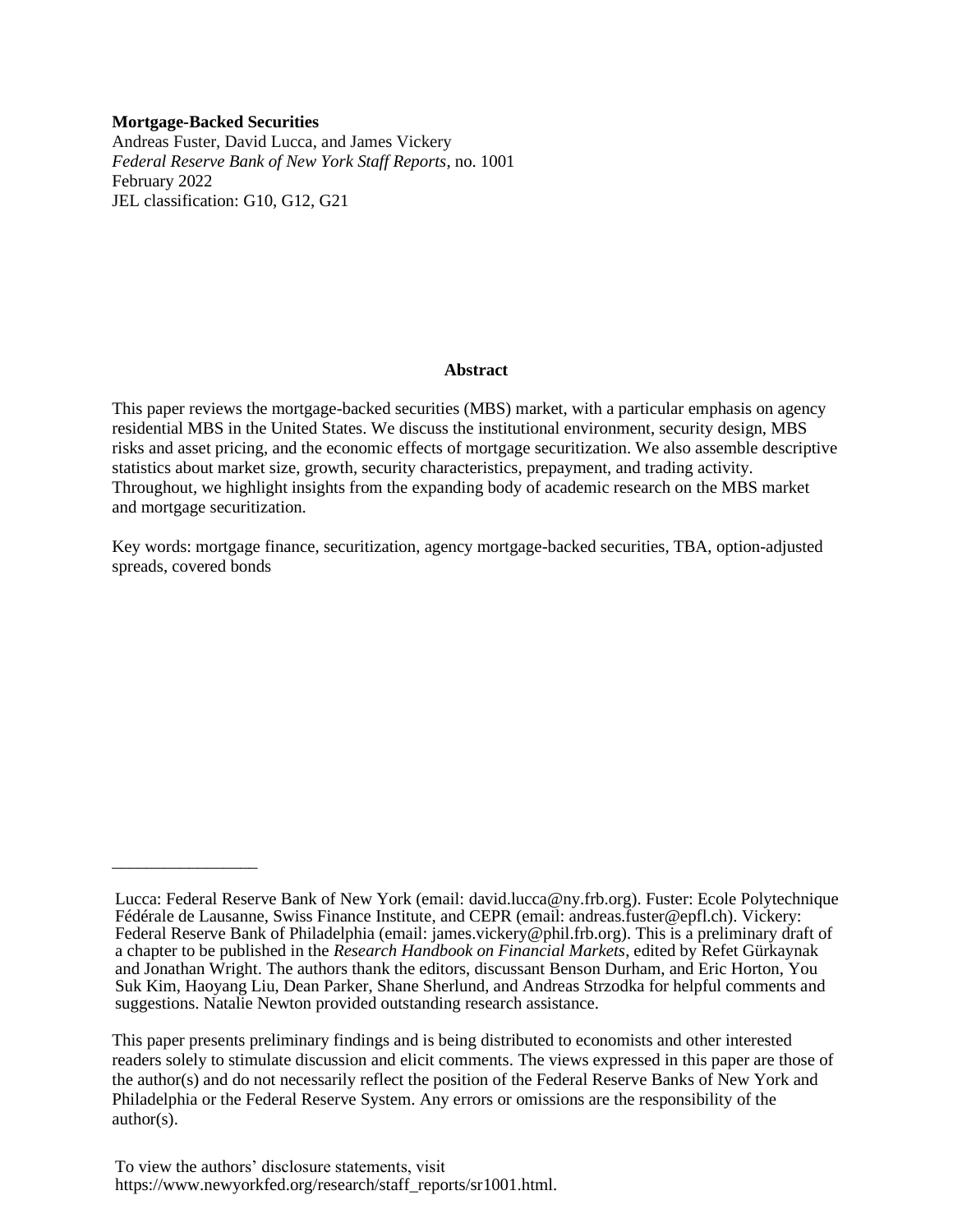#### **Mortgage-Backed Securities**

\_\_\_\_\_\_\_\_\_\_\_\_\_\_\_\_\_

Andreas Fuster, David Lucca, and James Vickery *Federal Reserve Bank of New York Staff Reports*, no. 1001 February 2022 JEL classification: G10, G12, G21

#### **Abstract**

This paper reviews the mortgage-backed securities (MBS) market, with a particular emphasis on agency residential MBS in the United States. We discuss the institutional environment, security design, MBS risks and asset pricing, and the economic effects of mortgage securitization. We also assemble descriptive statistics about market size, growth, security characteristics, prepayment, and trading activity. Throughout, we highlight insights from the expanding body of academic research on the MBS market and mortgage securitization.

Key words: mortgage finance, securitization, agency mortgage-backed securities, TBA, option-adjusted spreads, covered bonds

Lucca: Federal Reserve Bank of New York (email: david.lucca@ny.frb.org). Fuster: Ecole Polytechnique Fédérale de Lausanne, Swiss Finance Institute, and CEPR (email: andreas.fuster@epfl.ch). Vickery: Federal Reserve Bank of Philadelphia (email: james.vickery@phil.frb.org). This is a preliminary draft of a chapter to be published in the *Research Handbook on Financial Markets*, edited by Refet Gürkaynak and Jonathan Wright. The authors thank the editors, discussant Benson Durham, and Eric Horton, You Suk Kim, Haoyang Liu, Dean Parker, Shane Sherlund, and Andreas Strzodka for helpful comments and suggestions. Natalie Newton provided outstanding research assistance.

This paper presents preliminary findings and is being distributed to economists and other interested readers solely to stimulate discussion and elicit comments. The views expressed in this paper are those of the author(s) and do not necessarily reflect the position of the Federal Reserve Banks of New York and Philadelphia or the Federal Reserve System. Any errors or omissions are the responsibility of the author(s).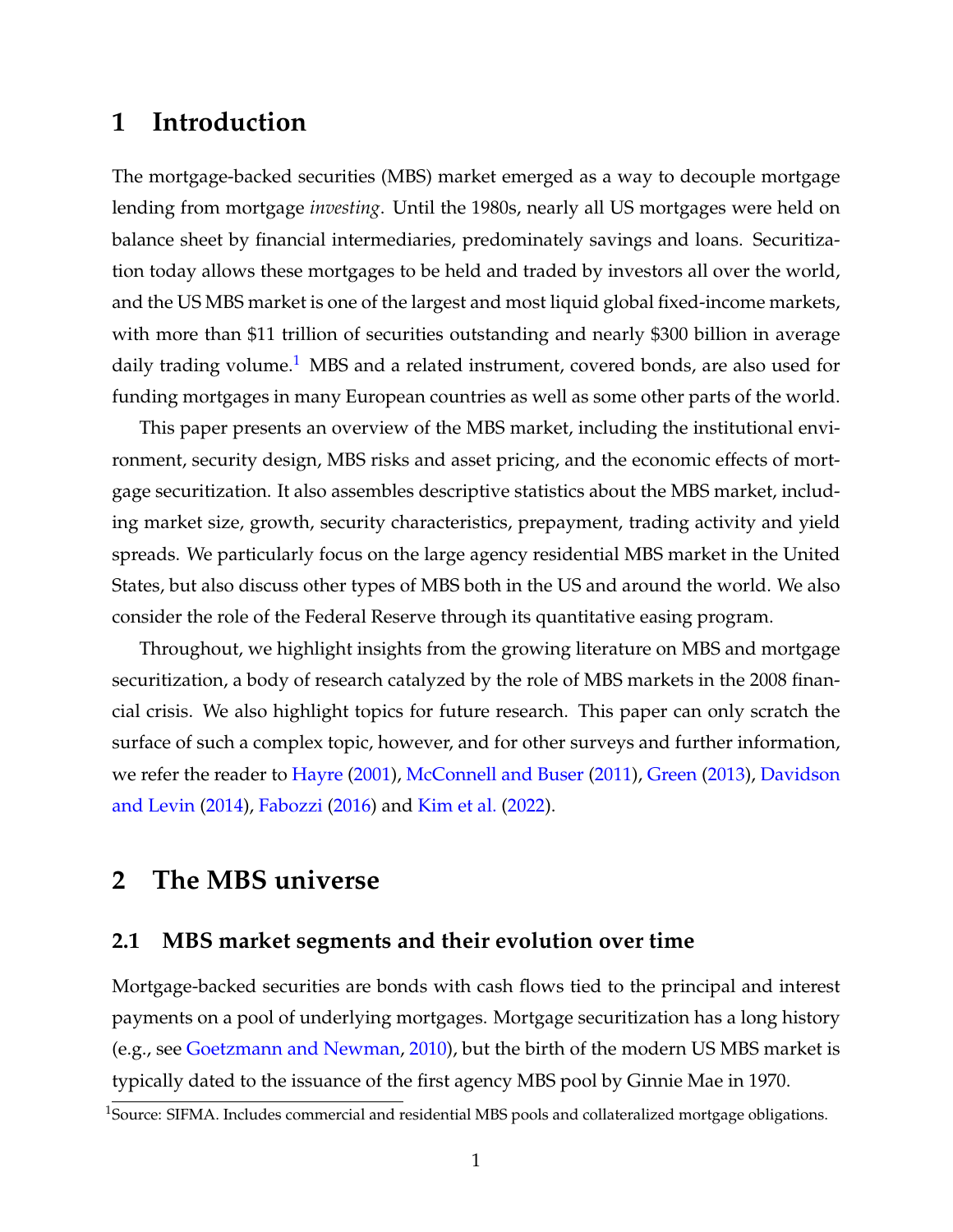# **1 Introduction**

The mortgage-backed securities (MBS) market emerged as a way to decouple mortgage lending from mortgage *investing*. Until the 1980s, nearly all US mortgages were held on balance sheet by financial intermediaries, predominately savings and loans. Securitization today allows these mortgages to be held and traded by investors all over the world, and the US MBS market is one of the largest and most liquid global fixed-income markets, with more than \$11 trillion of securities outstanding and nearly \$300 billion in average daily trading volume.<sup>[1](#page--1-0)</sup> MBS and a related instrument, covered bonds, are also used for funding mortgages in many European countries as well as some other parts of the world.

This paper presents an overview of the MBS market, including the institutional environment, security design, MBS risks and asset pricing, and the economic effects of mortgage securitization. It also assembles descriptive statistics about the MBS market, including market size, growth, security characteristics, prepayment, trading activity and yield spreads. We particularly focus on the large agency residential MBS market in the United States, but also discuss other types of MBS both in the US and around the world. We also consider the role of the Federal Reserve through its quantitative easing program.

Throughout, we highlight insights from the growing literature on MBS and mortgage securitization, a body of research catalyzed by the role of MBS markets in the 2008 financial crisis. We also highlight topics for future research. This paper can only scratch the surface of such a complex topic, however, and for other surveys and further information, we refer the reader to [Hayre](#page-34-0) [\(2001\)](#page-34-0), [McConnell and Buser](#page-35-0) [\(2011\)](#page-35-0), [Green](#page-33-0) [\(2013\)](#page-33-0), [Davidson](#page-31-0) [and Levin](#page-31-0) [\(2014\)](#page-31-0), [Fabozzi](#page-32-0) [\(2016\)](#page-32-0) and [Kim et al.](#page-34-1) [\(2022\)](#page-34-1).

# **2 The MBS universe**

## <span id="page-2-0"></span>**2.1 MBS market segments and their evolution over time**

Mortgage-backed securities are bonds with cash flows tied to the principal and interest payments on a pool of underlying mortgages. Mortgage securitization has a long history (e.g., see [Goetzmann and Newman,](#page-33-1) [2010\)](#page-33-1), but the birth of the modern US MBS market is typically dated to the issuance of the first agency MBS pool by Ginnie Mae in 1970.

<sup>&</sup>lt;sup>1</sup>Source: SIFMA. Includes commercial and residential MBS pools and collateralized mortgage obligations.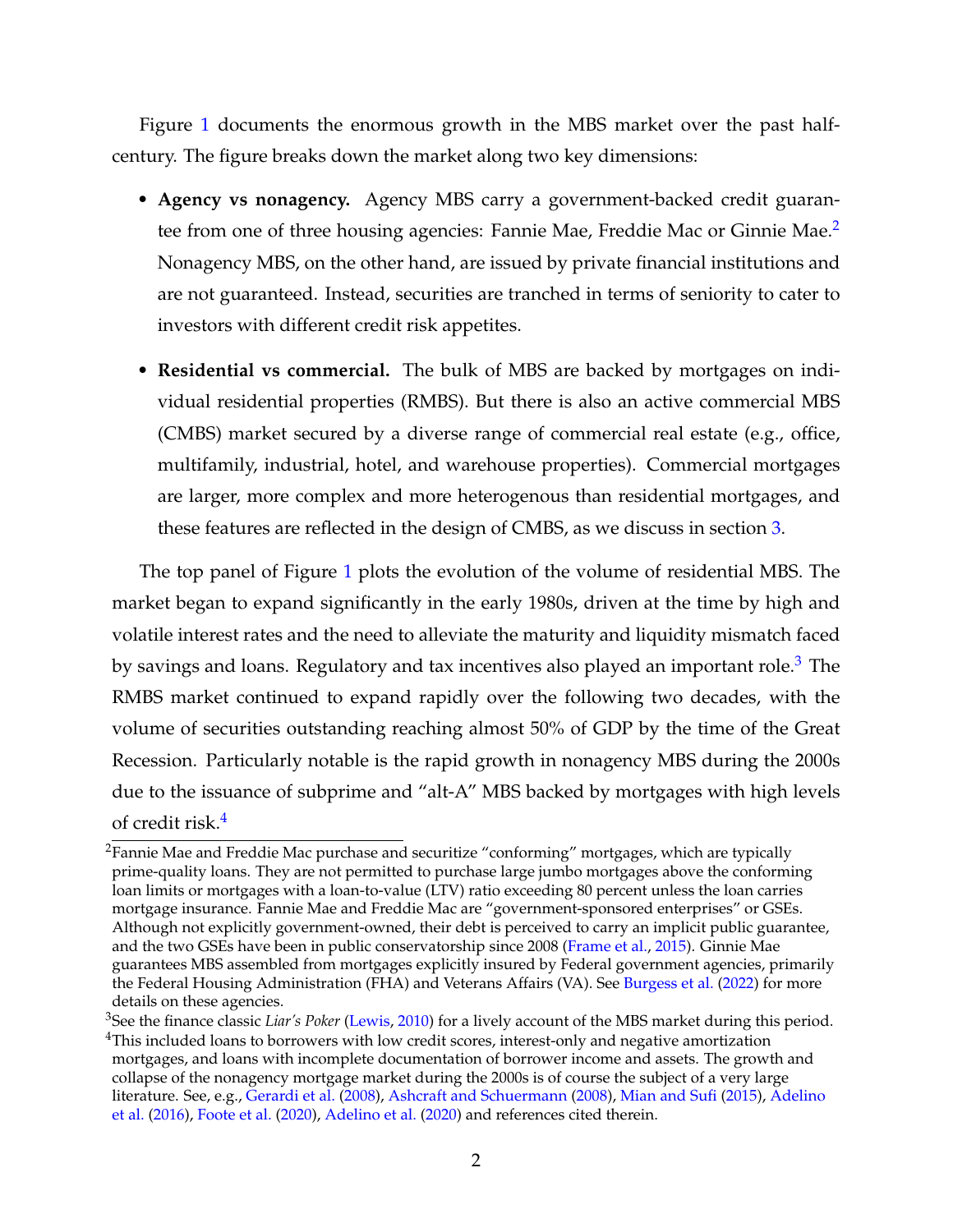Figure [1](#page-24-0) documents the enormous growth in the MBS market over the past halfcentury. The figure breaks down the market along two key dimensions:

- **Agency vs nonagency.** Agency MBS carry a government-backed credit guaran-tee from one of three housing agencies: Fannie Mae, Freddie Mac or Ginnie Mae.<sup>[2](#page--1-0)</sup> Nonagency MBS, on the other hand, are issued by private financial institutions and are not guaranteed. Instead, securities are tranched in terms of seniority to cater to investors with different credit risk appetites.
- **Residential vs commercial.** The bulk of MBS are backed by mortgages on individual residential properties (RMBS). But there is also an active commercial MBS (CMBS) market secured by a diverse range of commercial real estate (e.g., office, multifamily, industrial, hotel, and warehouse properties). Commercial mortgages are larger, more complex and more heterogenous than residential mortgages, and these features are reflected in the design of CMBS, as we discuss in section [3.](#page-8-0)

The top panel of Figure [1](#page-24-0) plots the evolution of the volume of residential MBS. The market began to expand significantly in the early 1980s, driven at the time by high and volatile interest rates and the need to alleviate the maturity and liquidity mismatch faced by savings and loans. Regulatory and tax incentives also played an important role.<sup>[3](#page--1-0)</sup> The RMBS market continued to expand rapidly over the following two decades, with the volume of securities outstanding reaching almost 50% of GDP by the time of the Great Recession. Particularly notable is the rapid growth in nonagency MBS during the 2000s due to the issuance of subprime and "alt-A" MBS backed by mortgages with high levels of credit risk.[4](#page--1-0)

 $2$ Fannie Mae and Freddie Mac purchase and securitize "conforming" mortgages, which are typically prime-quality loans. They are not permitted to purchase large jumbo mortgages above the conforming loan limits or mortgages with a loan-to-value (LTV) ratio exceeding 80 percent unless the loan carries mortgage insurance. Fannie Mae and Freddie Mac are "government-sponsored enterprises" or GSEs. Although not explicitly government-owned, their debt is perceived to carry an implicit public guarantee, and the two GSEs have been in public conservatorship since 2008 [\(Frame et al.,](#page-32-1) [2015\)](#page-32-1). Ginnie Mae guarantees MBS assembled from mortgages explicitly insured by Federal government agencies, primarily the Federal Housing Administration (FHA) and Veterans Affairs (VA). See [Burgess et al.](#page-30-0) [\(2022\)](#page-30-0) for more details on these agencies.

<sup>3</sup>See the finance classic *Liar's Poker* [\(Lewis,](#page-34-2) [2010\)](#page-34-2) for a lively account of the MBS market during this period. <sup>4</sup>This included loans to borrowers with low credit scores, interest-only and negative amortization mortgages, and loans with incomplete documentation of borrower income and assets. The growth and collapse of the nonagency mortgage market during the 2000s is of course the subject of a very large literature. See, e.g., [Gerardi et al.](#page-33-2) [\(2008\)](#page-33-2), [Ashcraft and Schuermann](#page-29-0) [\(2008\)](#page-29-0), [Mian and Sufi](#page-35-1) [\(2015\)](#page-35-1), [Adelino](#page-29-1) [et al.](#page-29-1) [\(2016\)](#page-29-1), [Foote et al.](#page-32-2) [\(2020\)](#page-32-2), [Adelino et al.](#page-29-2) [\(2020\)](#page-29-2) and references cited therein.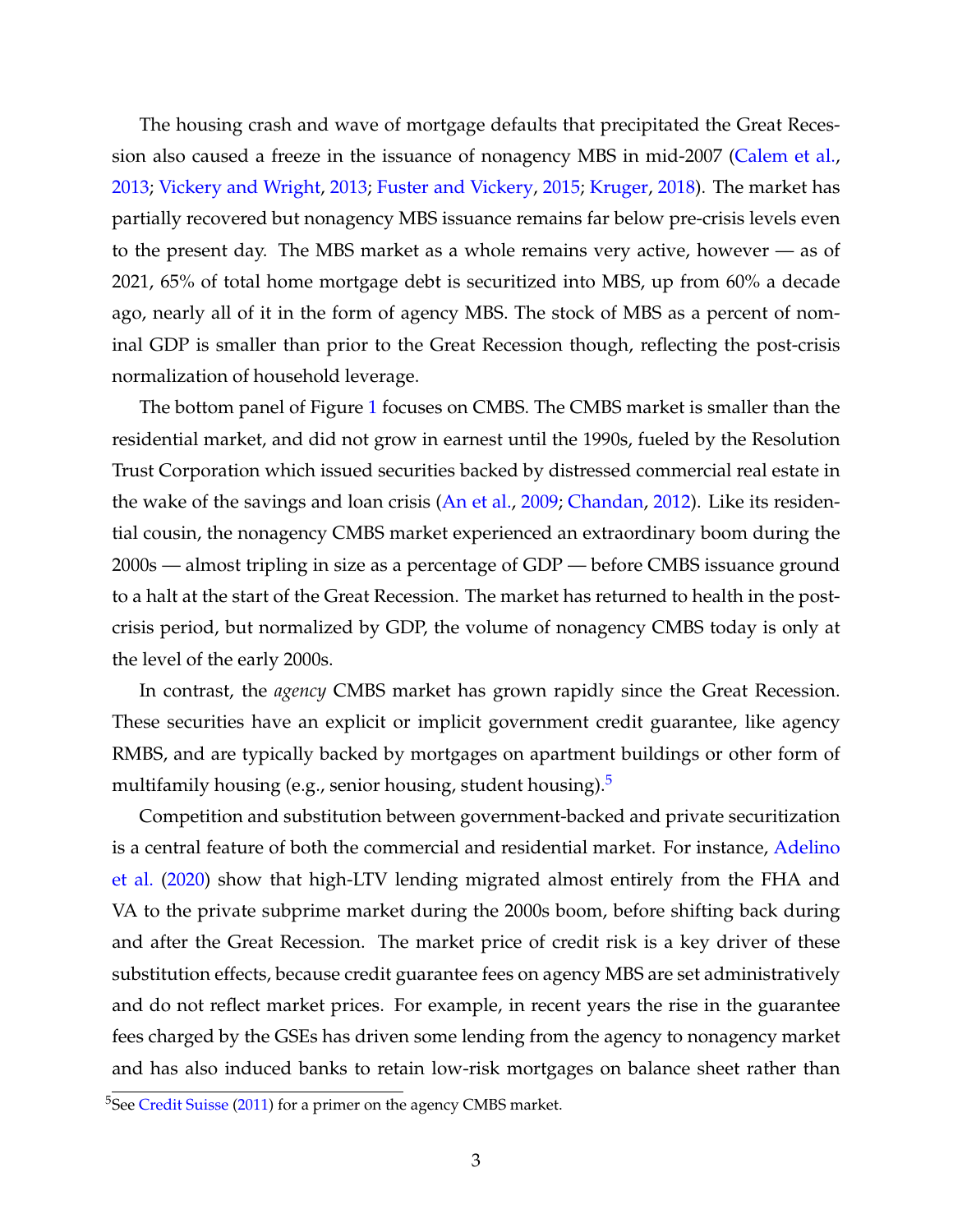The housing crash and wave of mortgage defaults that precipitated the Great Recession also caused a freeze in the issuance of nonagency MBS in mid-2007 [\(Calem et al.,](#page-30-1) [2013;](#page-30-1) [Vickery and Wright,](#page-36-0) [2013;](#page-36-0) [Fuster and Vickery,](#page-33-3) [2015;](#page-33-3) [Kruger,](#page-34-3) [2018\)](#page-34-3). The market has partially recovered but nonagency MBS issuance remains far below pre-crisis levels even to the present day. The MBS market as a whole remains very active, however — as of 2021, 65% of total home mortgage debt is securitized into MBS, up from 60% a decade ago, nearly all of it in the form of agency MBS. The stock of MBS as a percent of nominal GDP is smaller than prior to the Great Recession though, reflecting the post-crisis normalization of household leverage.

The bottom panel of Figure [1](#page-24-0) focuses on CMBS. The CMBS market is smaller than the residential market, and did not grow in earnest until the 1990s, fueled by the Resolution Trust Corporation which issued securities backed by distressed commercial real estate in the wake of the savings and loan crisis [\(An et al.,](#page-29-3) [2009;](#page-29-3) [Chandan,](#page-31-1) [2012\)](#page-31-1). Like its residential cousin, the nonagency CMBS market experienced an extraordinary boom during the 2000s — almost tripling in size as a percentage of GDP — before CMBS issuance ground to a halt at the start of the Great Recession. The market has returned to health in the postcrisis period, but normalized by GDP, the volume of nonagency CMBS today is only at the level of the early 2000s.

In contrast, the *agency* CMBS market has grown rapidly since the Great Recession. These securities have an explicit or implicit government credit guarantee, like agency RMBS, and are typically backed by mortgages on apartment buildings or other form of multifamily housing (e.g., senior housing, student housing).<sup>[5](#page--1-0)</sup>

Competition and substitution between government-backed and private securitization is a central feature of both the commercial and residential market. For instance, [Adelino](#page-29-2) [et al.](#page-29-2) [\(2020\)](#page-29-2) show that high-LTV lending migrated almost entirely from the FHA and VA to the private subprime market during the 2000s boom, before shifting back during and after the Great Recession. The market price of credit risk is a key driver of these substitution effects, because credit guarantee fees on agency MBS are set administratively and do not reflect market prices. For example, in recent years the rise in the guarantee fees charged by the GSEs has driven some lending from the agency to nonagency market and has also induced banks to retain low-risk mortgages on balance sheet rather than

<sup>&</sup>lt;sup>5</sup>See [Credit Suisse](#page-31-2) [\(2011\)](#page-31-2) for a primer on the agency CMBS market.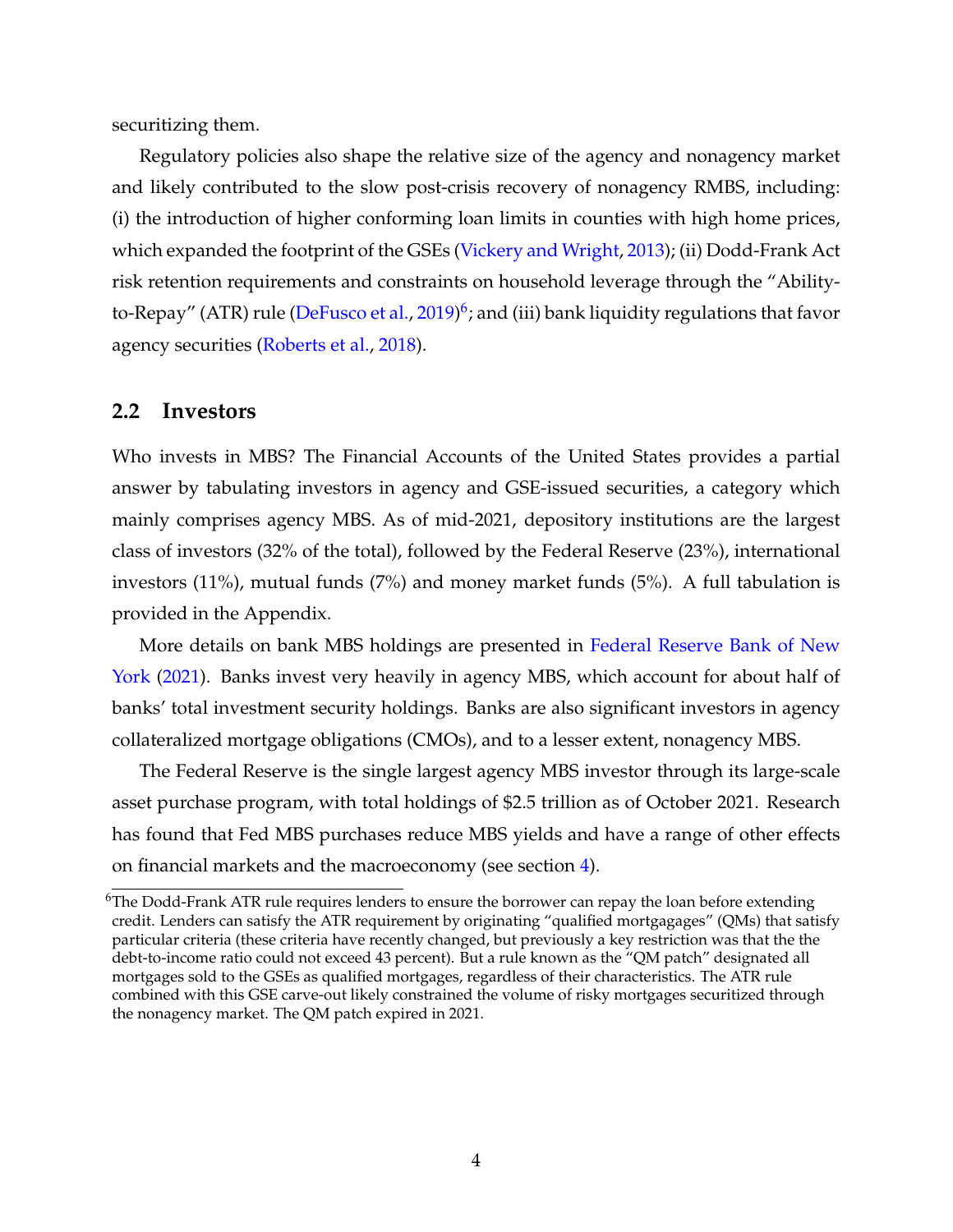securitizing them.

Regulatory policies also shape the relative size of the agency and nonagency market and likely contributed to the slow post-crisis recovery of nonagency RMBS, including: (i) the introduction of higher conforming loan limits in counties with high home prices, which expanded the footprint of the GSEs [\(Vickery and Wright,](#page-36-0) [2013\)](#page-36-0); (ii) Dodd-Frank Act risk retention requirements and constraints on household leverage through the "Ability-to-Repay" (ATR) rule [\(DeFusco et al.,](#page-31-3) [2019\)](#page-31-3)<sup>[6](#page--1-0)</sup>; and (iii) bank liquidity regulations that favor agency securities [\(Roberts et al.,](#page-36-1) [2018\)](#page-36-1).

## **2.2 Investors**

Who invests in MBS? The Financial Accounts of the United States provides a partial answer by tabulating investors in agency and GSE-issued securities, a category which mainly comprises agency MBS. As of mid-2021, depository institutions are the largest class of investors (32% of the total), followed by the Federal Reserve (23%), international investors (11%), mutual funds (7%) and money market funds (5%). A full tabulation is provided in the Appendix.

More details on bank MBS holdings are presented in [Federal Reserve Bank of New](#page-32-3) [York](#page-32-3) [\(2021\)](#page-32-3). Banks invest very heavily in agency MBS, which account for about half of banks' total investment security holdings. Banks are also significant investors in agency collateralized mortgage obligations (CMOs), and to a lesser extent, nonagency MBS.

The Federal Reserve is the single largest agency MBS investor through its large-scale asset purchase program, with total holdings of \$2.5 trillion as of October 2021. Research has found that Fed MBS purchases reduce MBS yields and have a range of other effects on financial markets and the macroeconomy (see section [4\)](#page-11-0).

 $6$ The Dodd-Frank ATR rule requires lenders to ensure the borrower can repay the loan before extending credit. Lenders can satisfy the ATR requirement by originating "qualified mortgagages" (QMs) that satisfy particular criteria (these criteria have recently changed, but previously a key restriction was that the the debt-to-income ratio could not exceed 43 percent). But a rule known as the "QM patch" designated all mortgages sold to the GSEs as qualified mortgages, regardless of their characteristics. The ATR rule combined with this GSE carve-out likely constrained the volume of risky mortgages securitized through the nonagency market. The QM patch expired in 2021.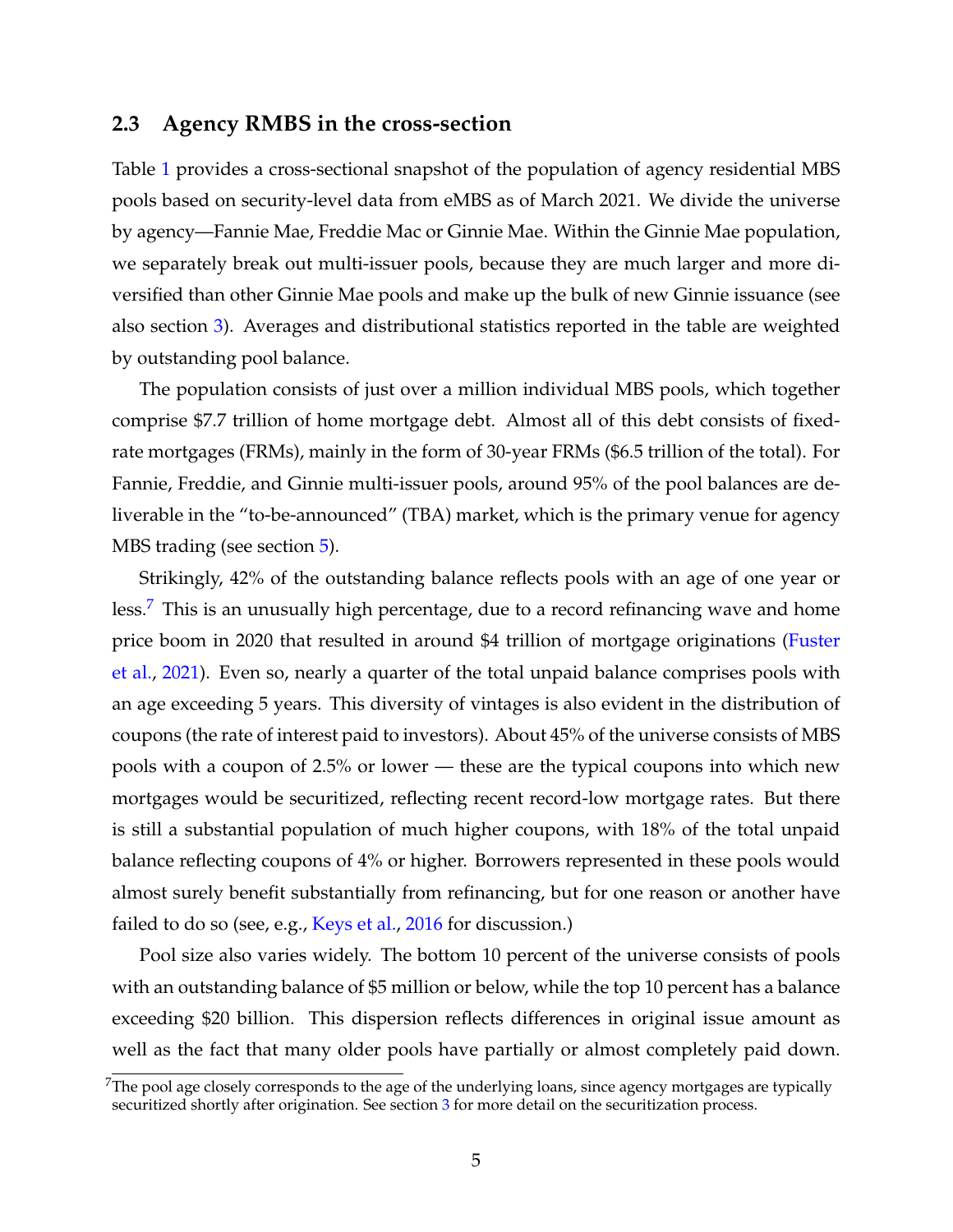## **2.3 Agency RMBS in the cross-section**

Table [1](#page-27-0) provides a cross-sectional snapshot of the population of agency residential MBS pools based on security-level data from eMBS as of March 2021. We divide the universe by agency—Fannie Mae, Freddie Mac or Ginnie Mae. Within the Ginnie Mae population, we separately break out multi-issuer pools, because they are much larger and more diversified than other Ginnie Mae pools and make up the bulk of new Ginnie issuance (see also section [3\)](#page-8-0). Averages and distributional statistics reported in the table are weighted by outstanding pool balance.

The population consists of just over a million individual MBS pools, which together comprise \$7.7 trillion of home mortgage debt. Almost all of this debt consists of fixedrate mortgages (FRMs), mainly in the form of 30-year FRMs (\$6.5 trillion of the total). For Fannie, Freddie, and Ginnie multi-issuer pools, around 95% of the pool balances are deliverable in the "to-be-announced" (TBA) market, which is the primary venue for agency MBS trading (see section [5\)](#page-18-0).

Strikingly, 42% of the outstanding balance reflects pools with an age of one year or less.<sup>[7](#page--1-0)</sup> This is an unusually high percentage, due to a record refinancing wave and home price boom in 2020 that resulted in around \$4 trillion of mortgage originations [\(Fuster](#page-33-4) [et al.,](#page-33-4) [2021\)](#page-33-4). Even so, nearly a quarter of the total unpaid balance comprises pools with an age exceeding 5 years. This diversity of vintages is also evident in the distribution of coupons (the rate of interest paid to investors). About 45% of the universe consists of MBS pools with a coupon of 2.5% or lower — these are the typical coupons into which new mortgages would be securitized, reflecting recent record-low mortgage rates. But there is still a substantial population of much higher coupons, with 18% of the total unpaid balance reflecting coupons of 4% or higher. Borrowers represented in these pools would almost surely benefit substantially from refinancing, but for one reason or another have failed to do so (see, e.g., [Keys et al.,](#page-34-4) [2016](#page-34-4) for discussion.)

Pool size also varies widely. The bottom 10 percent of the universe consists of pools with an outstanding balance of \$5 million or below, while the top 10 percent has a balance exceeding \$20 billion. This dispersion reflects differences in original issue amount as well as the fact that many older pools have partially or almost completely paid down.

 $7$ The pool age closely corresponds to the age of the underlying loans, since agency mortgages are typically securitized shortly after origination. See section [3](#page-8-0) for more detail on the securitization process.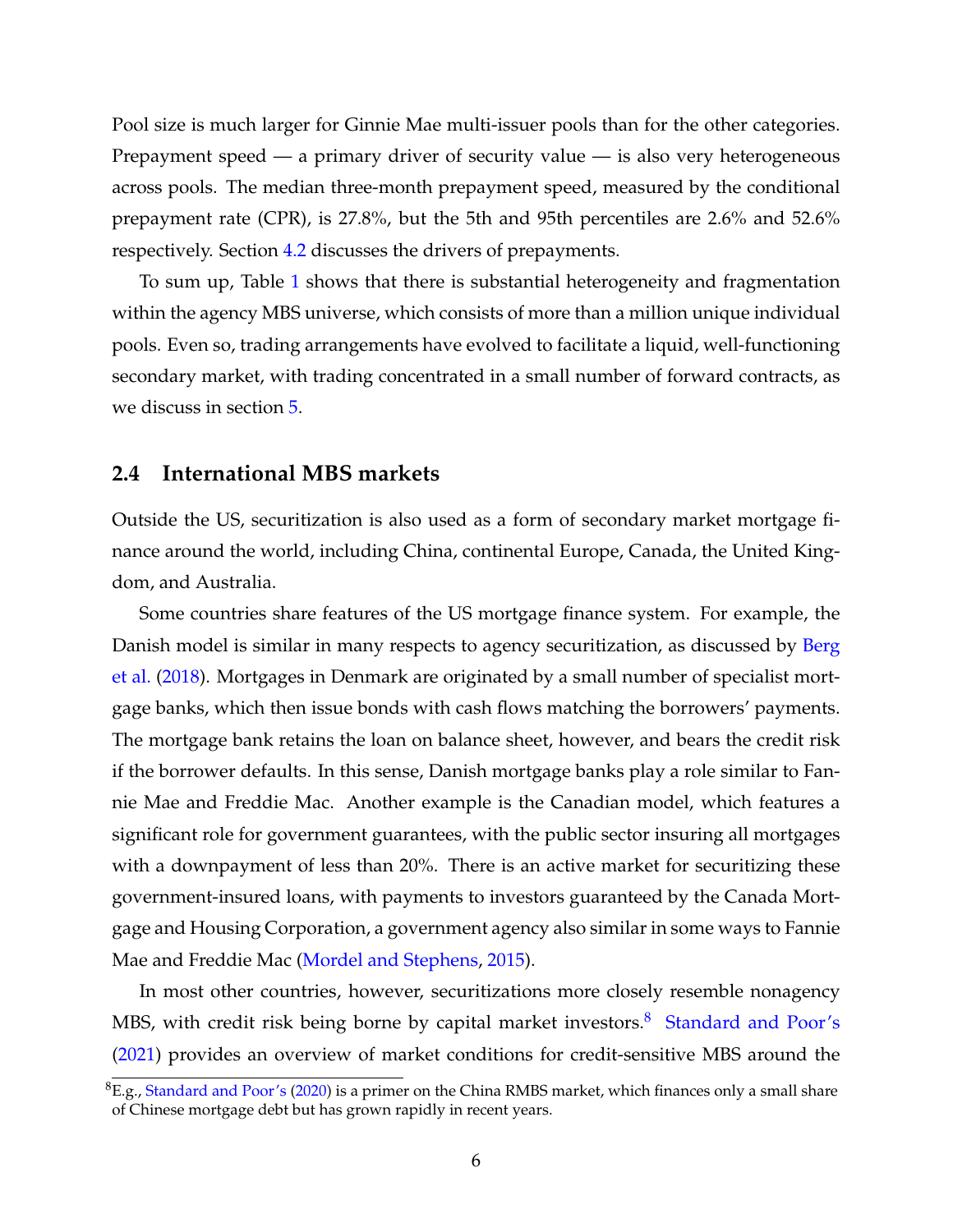Pool size is much larger for Ginnie Mae multi-issuer pools than for the other categories. Prepayment speed — a primary driver of security value — is also very heterogeneous across pools. The median three-month prepayment speed, measured by the conditional prepayment rate (CPR), is 27.8%, but the 5th and 95th percentiles are 2.6% and 52.6% respectively. Section [4.2](#page-13-0) discusses the drivers of prepayments.

To sum up, Table [1](#page-27-0) shows that there is substantial heterogeneity and fragmentation within the agency MBS universe, which consists of more than a million unique individual pools. Even so, trading arrangements have evolved to facilitate a liquid, well-functioning secondary market, with trading concentrated in a small number of forward contracts, as we discuss in section [5.](#page-18-0)

## **2.4 International MBS markets**

Outside the US, securitization is also used as a form of secondary market mortgage finance around the world, including China, continental Europe, Canada, the United Kingdom, and Australia.

Some countries share features of the US mortgage finance system. For example, the Danish model is similar in many respects to agency securitization, as discussed by [Berg](#page-29-4) [et al.](#page-29-4) [\(2018\)](#page-29-4). Mortgages in Denmark are originated by a small number of specialist mortgage banks, which then issue bonds with cash flows matching the borrowers' payments. The mortgage bank retains the loan on balance sheet, however, and bears the credit risk if the borrower defaults. In this sense, Danish mortgage banks play a role similar to Fannie Mae and Freddie Mac. Another example is the Canadian model, which features a significant role for government guarantees, with the public sector insuring all mortgages with a downpayment of less than 20%. There is an active market for securitizing these government-insured loans, with payments to investors guaranteed by the Canada Mortgage and Housing Corporation, a government agency also similar in some ways to Fannie Mae and Freddie Mac [\(Mordel and Stephens,](#page-35-2) [2015\)](#page-35-2).

In most other countries, however, securitizations more closely resemble nonagency MBS, with credit risk being borne by capital market investors.<sup>[8](#page--1-0)</sup> [Standard and Poor's](#page-36-2) [\(2021\)](#page-36-2) provides an overview of market conditions for credit-sensitive MBS around the

 ${}^{8}E.$ g., [Standard and Poor's](#page-36-3) [\(2020\)](#page-36-3) is a primer on the China RMBS market, which finances only a small share of Chinese mortgage debt but has grown rapidly in recent years.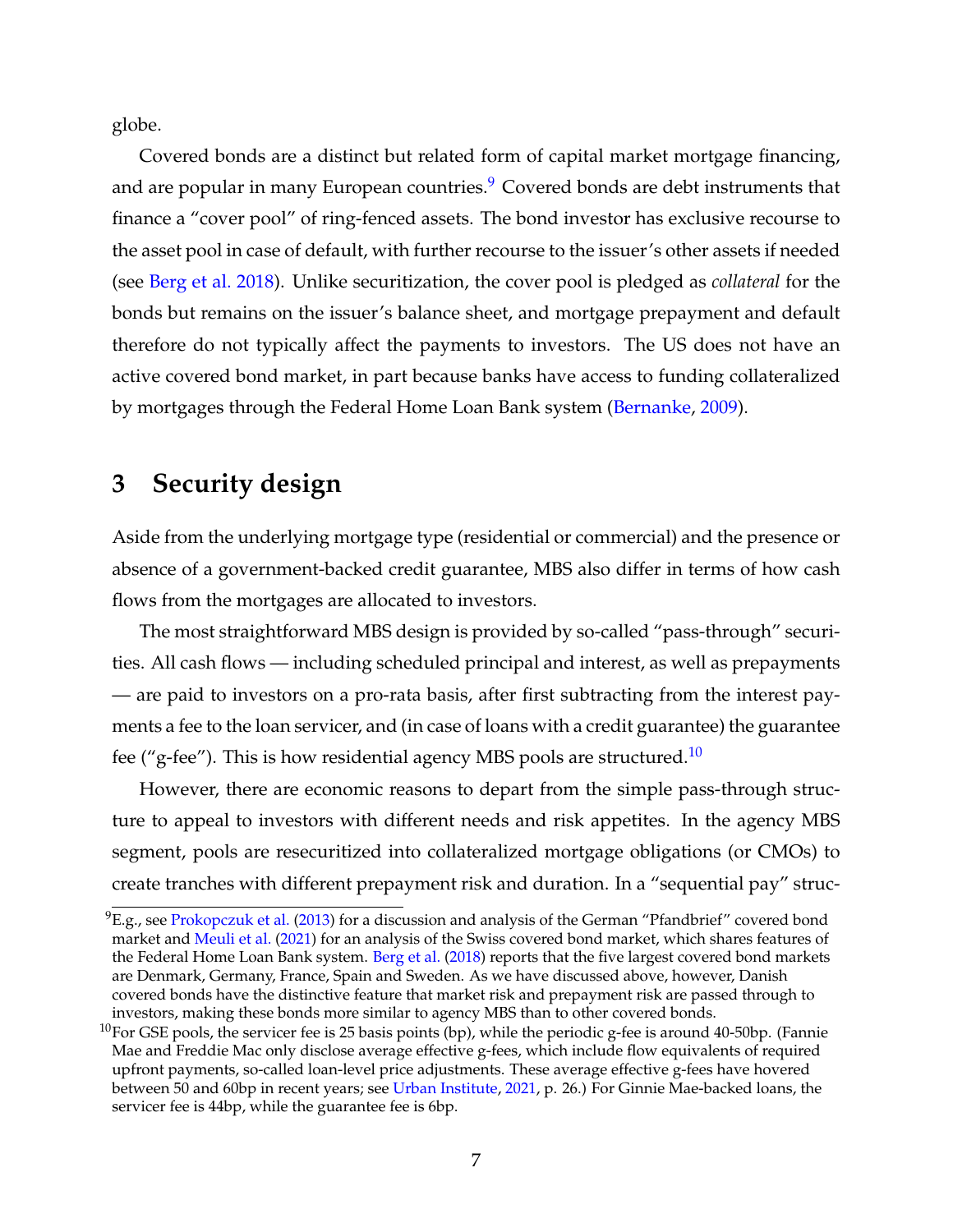globe.

Covered bonds are a distinct but related form of capital market mortgage financing, and are popular in many European countries. $9$  Covered bonds are debt instruments that finance a "cover pool" of ring-fenced assets. The bond investor has exclusive recourse to the asset pool in case of default, with further recourse to the issuer's other assets if needed (see [Berg et al.](#page-29-4) [2018\)](#page-29-4). Unlike securitization, the cover pool is pledged as *collateral* for the bonds but remains on the issuer's balance sheet, and mortgage prepayment and default therefore do not typically affect the payments to investors. The US does not have an active covered bond market, in part because banks have access to funding collateralized by mortgages through the Federal Home Loan Bank system [\(Bernanke,](#page-30-2) [2009\)](#page-30-2).

# <span id="page-8-0"></span>**3 Security design**

Aside from the underlying mortgage type (residential or commercial) and the presence or absence of a government-backed credit guarantee, MBS also differ in terms of how cash flows from the mortgages are allocated to investors.

The most straightforward MBS design is provided by so-called "pass-through" securities. All cash flows — including scheduled principal and interest, as well as prepayments — are paid to investors on a pro-rata basis, after first subtracting from the interest payments a fee to the loan servicer, and (in case of loans with a credit guarantee) the guarantee fee ("g-fee"). This is how residential agency MBS pools are structured.[10](#page--1-0)

However, there are economic reasons to depart from the simple pass-through structure to appeal to investors with different needs and risk appetites. In the agency MBS segment, pools are resecuritized into collateralized mortgage obligations (or CMOs) to create tranches with different prepayment risk and duration. In a "sequential pay" struc-

 ${}^{9}E$ .g., see [Prokopczuk et al.](#page-35-3) [\(2013\)](#page-35-3) for a discussion and analysis of the German "Pfandbrief" covered bond market and [Meuli et al.](#page-35-4) [\(2021\)](#page-35-4) for an analysis of the Swiss covered bond market, which shares features of the Federal Home Loan Bank system. [Berg et al.](#page-29-4) [\(2018\)](#page-29-4) reports that the five largest covered bond markets are Denmark, Germany, France, Spain and Sweden. As we have discussed above, however, Danish covered bonds have the distinctive feature that market risk and prepayment risk are passed through to investors, making these bonds more similar to agency MBS than to other covered bonds.

<sup>&</sup>lt;sup>10</sup>For GSE pools, the servicer fee is 25 basis points (bp), while the periodic g-fee is around 40-50bp. (Fannie Mae and Freddie Mac only disclose average effective g-fees, which include flow equivalents of required upfront payments, so-called loan-level price adjustments. These average effective g-fees have hovered between 50 and 60bp in recent years; see [Urban Institute,](#page-36-4) [2021,](#page-36-4) p. 26.) For Ginnie Mae-backed loans, the servicer fee is 44bp, while the guarantee fee is 6bp.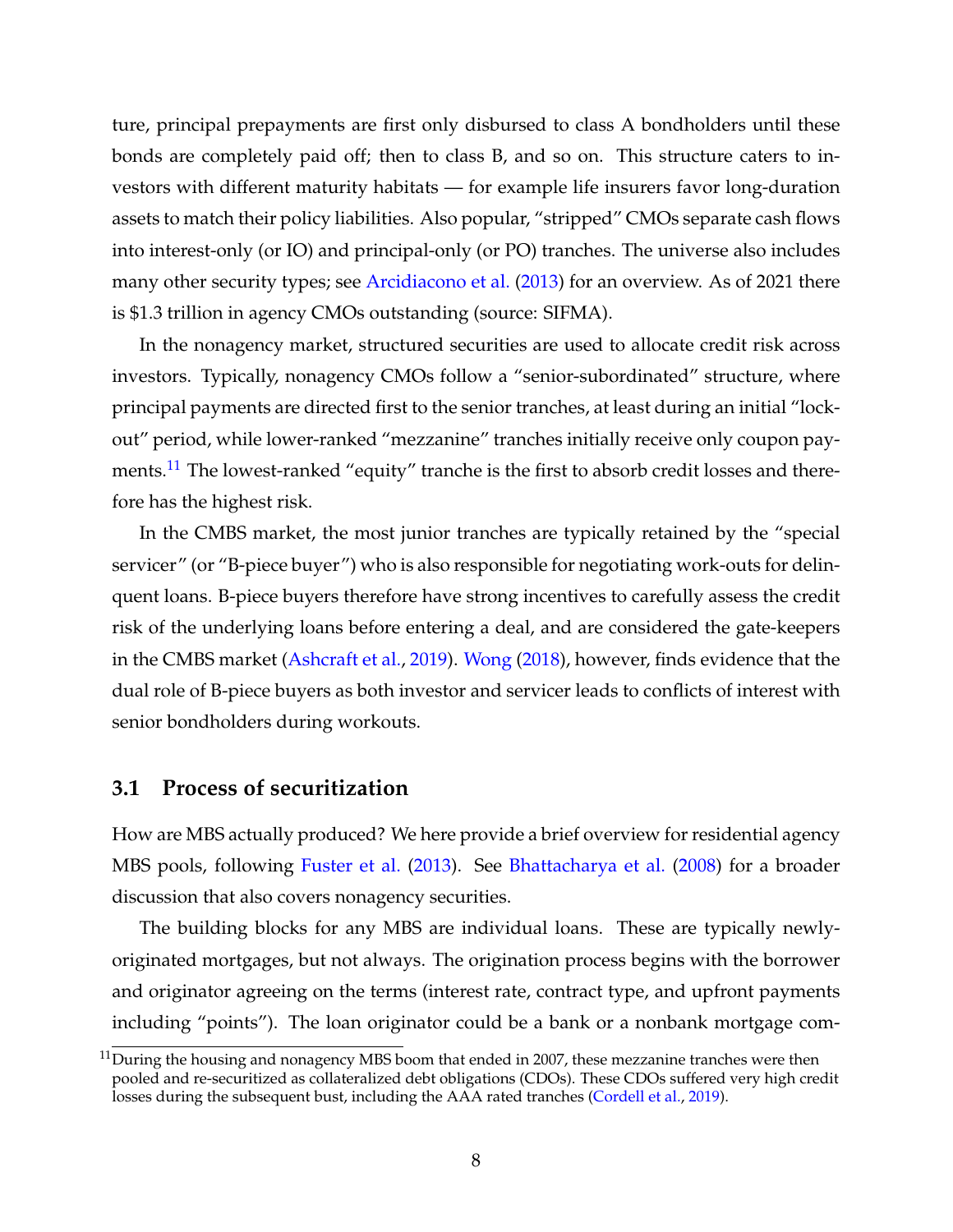ture, principal prepayments are first only disbursed to class A bondholders until these bonds are completely paid off; then to class B, and so on. This structure caters to investors with different maturity habitats — for example life insurers favor long-duration assets to match their policy liabilities. Also popular, "stripped" CMOs separate cash flows into interest-only (or IO) and principal-only (or PO) tranches. The universe also includes many other security types; see [Arcidiacono et al.](#page-29-5) [\(2013\)](#page-29-5) for an overview. As of 2021 there is \$1.3 trillion in agency CMOs outstanding (source: SIFMA).

In the nonagency market, structured securities are used to allocate credit risk across investors. Typically, nonagency CMOs follow a "senior-subordinated" structure, where principal payments are directed first to the senior tranches, at least during an initial "lockout" period, while lower-ranked "mezzanine" tranches initially receive only coupon pay-ments.<sup>[11](#page--1-0)</sup> The lowest-ranked "equity" tranche is the first to absorb credit losses and therefore has the highest risk.

In the CMBS market, the most junior tranches are typically retained by the "special servicer" (or "B-piece buyer") who is also responsible for negotiating work-outs for delinquent loans. B-piece buyers therefore have strong incentives to carefully assess the credit risk of the underlying loans before entering a deal, and are considered the gate-keepers in the CMBS market [\(Ashcraft et al.,](#page-29-6) [2019\)](#page-29-6). [Wong](#page-36-5) [\(2018\)](#page-36-5), however, finds evidence that the dual role of B-piece buyers as both investor and servicer leads to conflicts of interest with senior bondholders during workouts.

## **3.1 Process of securitization**

How are MBS actually produced? We here provide a brief overview for residential agency MBS pools, following [Fuster et al.](#page-32-4) [\(2013\)](#page-32-4). See [Bhattacharya et al.](#page-30-3) [\(2008\)](#page-30-3) for a broader discussion that also covers nonagency securities.

The building blocks for any MBS are individual loans. These are typically newlyoriginated mortgages, but not always. The origination process begins with the borrower and originator agreeing on the terms (interest rate, contract type, and upfront payments including "points"). The loan originator could be a bank or a nonbank mortgage com-

 $11\overline{\text{During}}$  the housing and nonagency MBS boom that ended in 2007, these mezzanine tranches were then pooled and re-securitized as collateralized debt obligations (CDOs). These CDOs suffered very high credit losses during the subsequent bust, including the AAA rated tranches [\(Cordell et al.,](#page-31-4) [2019\)](#page-31-4).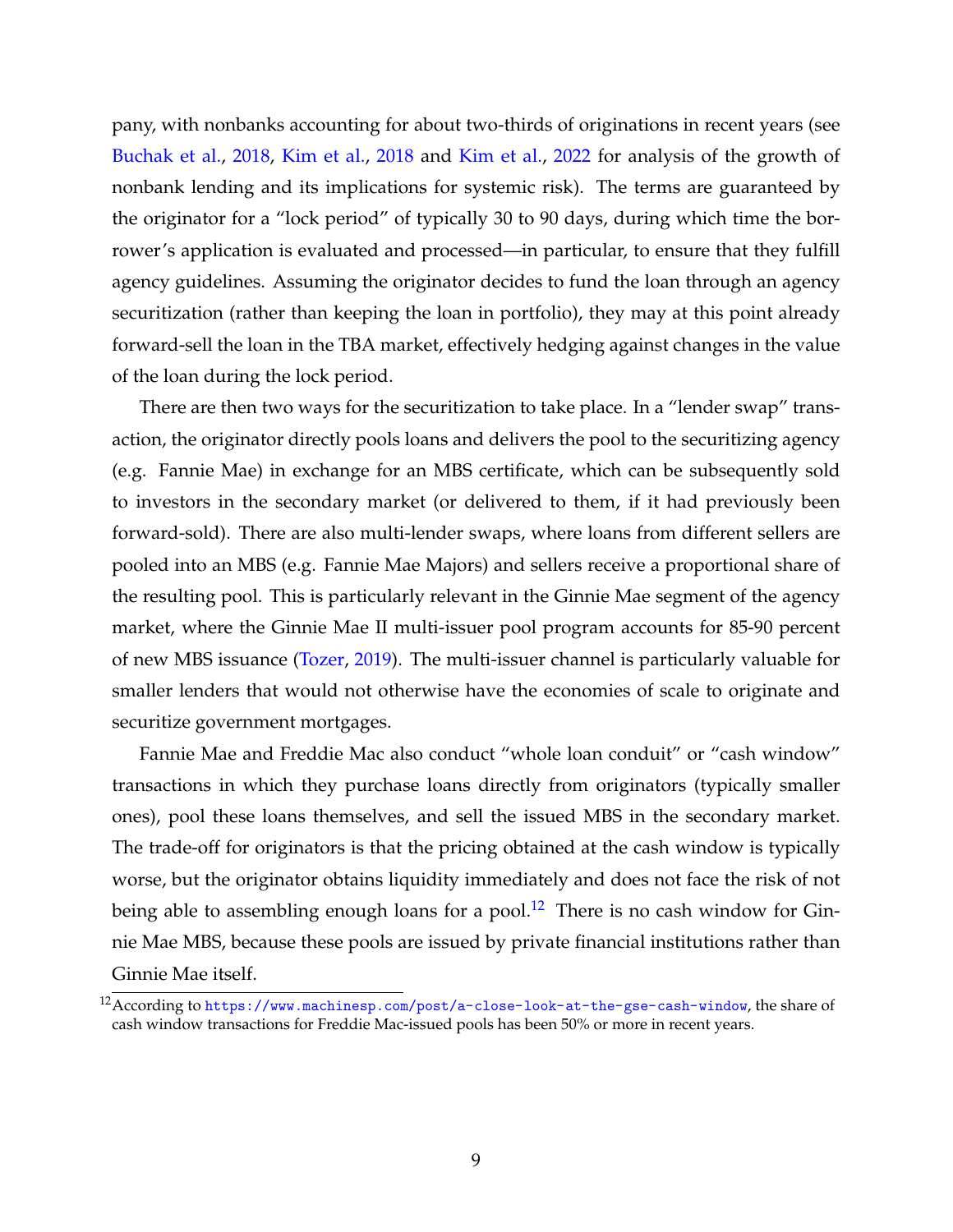pany, with nonbanks accounting for about two-thirds of originations in recent years (see [Buchak et al.,](#page-30-4) [2018,](#page-30-4) [Kim et al.,](#page-34-5) [2018](#page-34-5) and [Kim et al.,](#page-34-1) [2022](#page-34-1) for analysis of the growth of nonbank lending and its implications for systemic risk). The terms are guaranteed by the originator for a "lock period" of typically 30 to 90 days, during which time the borrower's application is evaluated and processed—in particular, to ensure that they fulfill agency guidelines. Assuming the originator decides to fund the loan through an agency securitization (rather than keeping the loan in portfolio), they may at this point already forward-sell the loan in the TBA market, effectively hedging against changes in the value of the loan during the lock period.

There are then two ways for the securitization to take place. In a "lender swap" transaction, the originator directly pools loans and delivers the pool to the securitizing agency (e.g. Fannie Mae) in exchange for an MBS certificate, which can be subsequently sold to investors in the secondary market (or delivered to them, if it had previously been forward-sold). There are also multi-lender swaps, where loans from different sellers are pooled into an MBS (e.g. Fannie Mae Majors) and sellers receive a proportional share of the resulting pool. This is particularly relevant in the Ginnie Mae segment of the agency market, where the Ginnie Mae II multi-issuer pool program accounts for 85-90 percent of new MBS issuance [\(Tozer,](#page-36-6) [2019\)](#page-36-6). The multi-issuer channel is particularly valuable for smaller lenders that would not otherwise have the economies of scale to originate and securitize government mortgages.

Fannie Mae and Freddie Mac also conduct "whole loan conduit" or "cash window" transactions in which they purchase loans directly from originators (typically smaller ones), pool these loans themselves, and sell the issued MBS in the secondary market. The trade-off for originators is that the pricing obtained at the cash window is typically worse, but the originator obtains liquidity immediately and does not face the risk of not being able to assembling enough loans for a pool.<sup>[12](#page--1-0)</sup> There is no cash window for Ginnie Mae MBS, because these pools are issued by private financial institutions rather than Ginnie Mae itself.

<sup>12</sup>According to <https://www.machinesp.com/post/a-close-look-at-the-gse-cash-window>, the share of cash window transactions for Freddie Mac-issued pools has been 50% or more in recent years.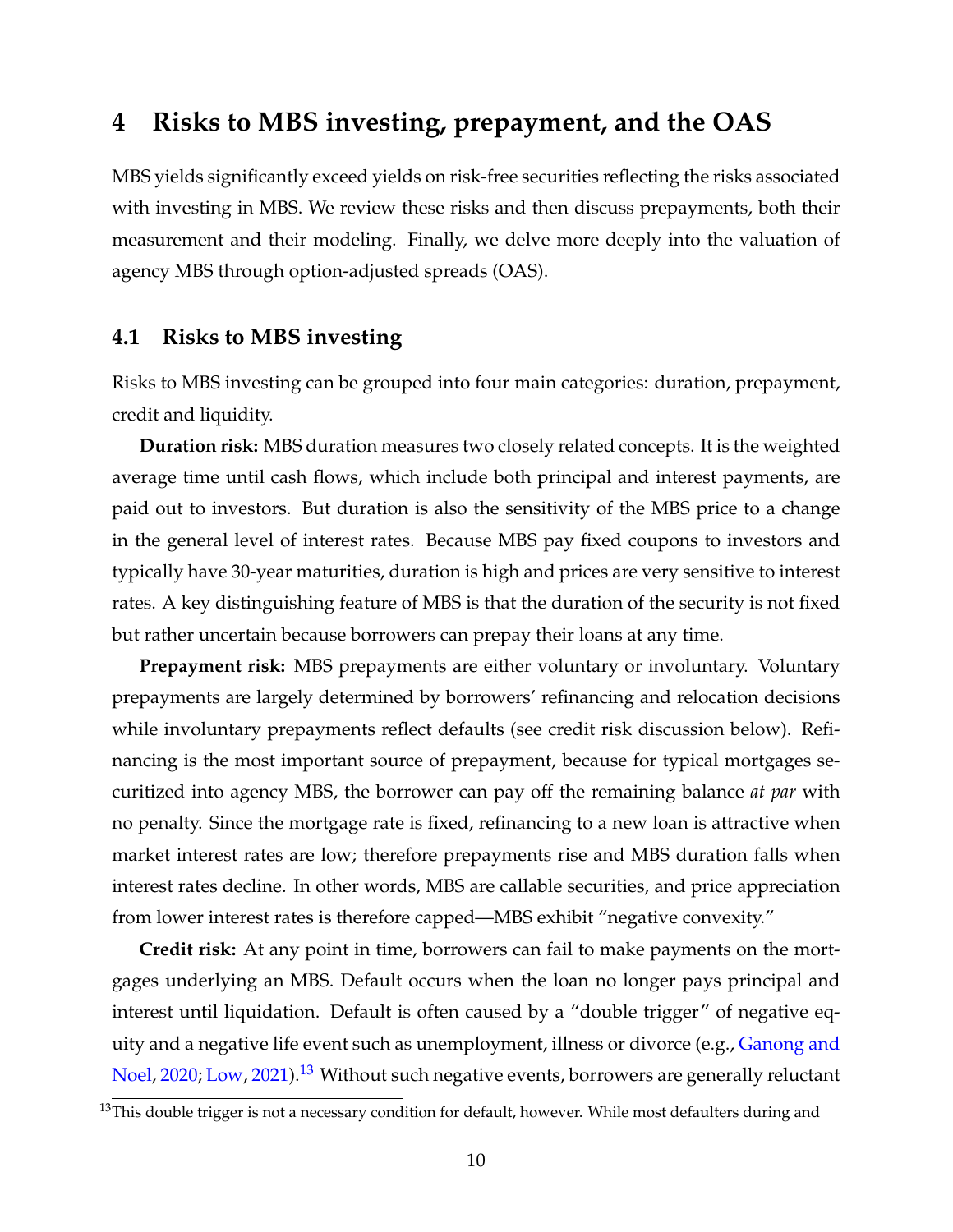# <span id="page-11-0"></span>**4 Risks to MBS investing, prepayment, and the OAS**

MBS yields significantly exceed yields on risk-free securities reflecting the risks associated with investing in MBS. We review these risks and then discuss prepayments, both their measurement and their modeling. Finally, we delve more deeply into the valuation of agency MBS through option-adjusted spreads (OAS).

## **4.1 Risks to MBS investing**

Risks to MBS investing can be grouped into four main categories: duration, prepayment, credit and liquidity.

**Duration risk:** MBS duration measures two closely related concepts. It is the weighted average time until cash flows, which include both principal and interest payments, are paid out to investors. But duration is also the sensitivity of the MBS price to a change in the general level of interest rates. Because MBS pay fixed coupons to investors and typically have 30-year maturities, duration is high and prices are very sensitive to interest rates. A key distinguishing feature of MBS is that the duration of the security is not fixed but rather uncertain because borrowers can prepay their loans at any time.

**Prepayment risk:** MBS prepayments are either voluntary or involuntary. Voluntary prepayments are largely determined by borrowers' refinancing and relocation decisions while involuntary prepayments reflect defaults (see credit risk discussion below). Refinancing is the most important source of prepayment, because for typical mortgages securitized into agency MBS, the borrower can pay off the remaining balance *at par* with no penalty. Since the mortgage rate is fixed, refinancing to a new loan is attractive when market interest rates are low; therefore prepayments rise and MBS duration falls when interest rates decline. In other words, MBS are callable securities, and price appreciation from lower interest rates is therefore capped—MBS exhibit "negative convexity."

**Credit risk:** At any point in time, borrowers can fail to make payments on the mortgages underlying an MBS. Default occurs when the loan no longer pays principal and interest until liquidation. Default is often caused by a "double trigger" of negative equity and a negative life event such as unemployment, illness or divorce (e.g., [Ganong and](#page-33-5) [Noel,](#page-33-5) [2020;](#page-33-5) [Low,](#page-35-5) [2021\)](#page-35-5).<sup>[13](#page--1-0)</sup> Without such negative events, borrowers are generally reluctant

<sup>&</sup>lt;sup>13</sup>This double trigger is not a necessary condition for default, however. While most defaulters during and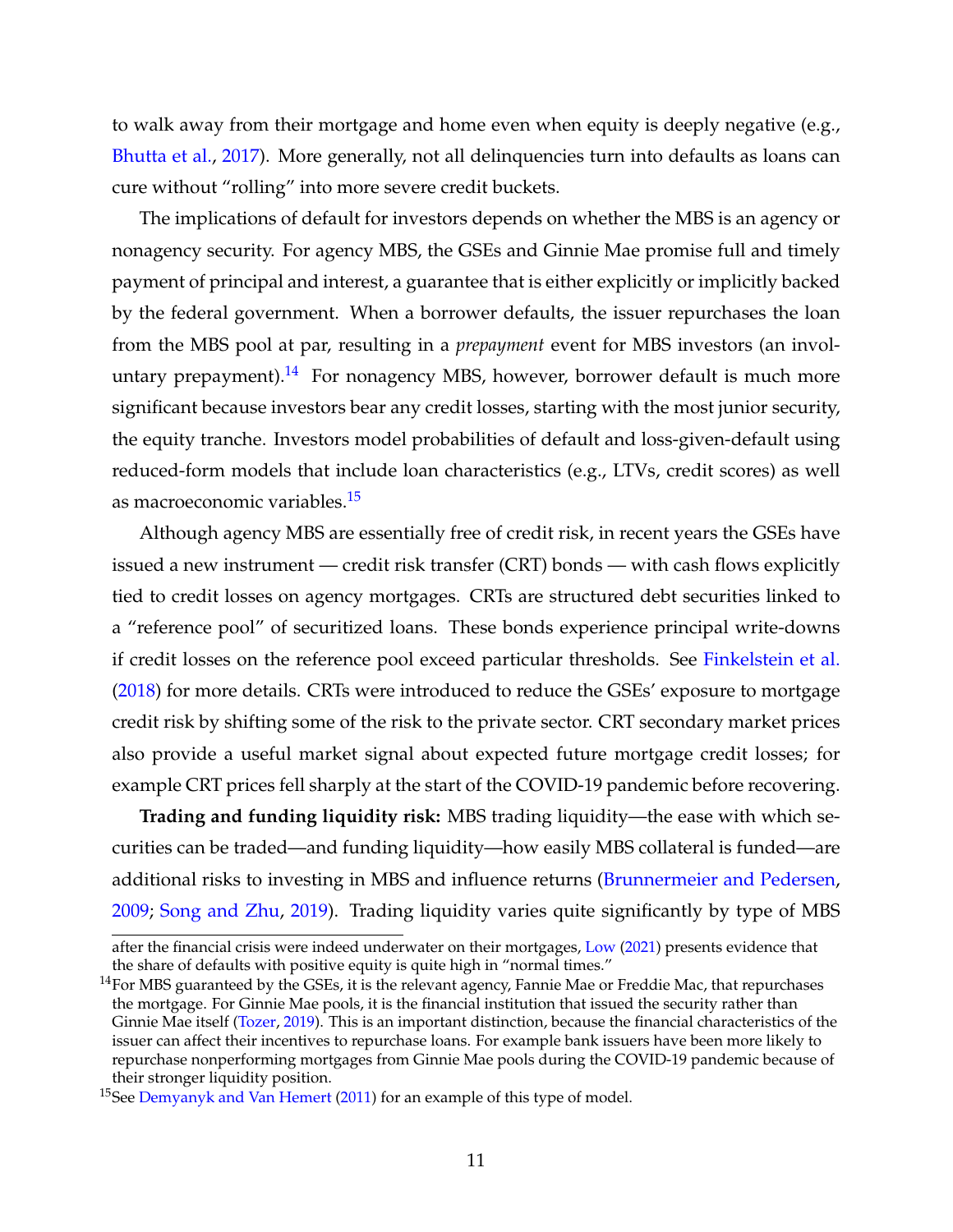to walk away from their mortgage and home even when equity is deeply negative (e.g., [Bhutta et al.,](#page-30-5) [2017\)](#page-30-5). More generally, not all delinquencies turn into defaults as loans can cure without "rolling" into more severe credit buckets.

The implications of default for investors depends on whether the MBS is an agency or nonagency security. For agency MBS, the GSEs and Ginnie Mae promise full and timely payment of principal and interest, a guarantee that is either explicitly or implicitly backed by the federal government. When a borrower defaults, the issuer repurchases the loan from the MBS pool at par, resulting in a *prepayment* event for MBS investors (an invol-untary prepayment).<sup>[14](#page--1-0)</sup> For nonagency MBS, however, borrower default is much more significant because investors bear any credit losses, starting with the most junior security, the equity tranche. Investors model probabilities of default and loss-given-default using reduced-form models that include loan characteristics (e.g., LTVs, credit scores) as well as macroeconomic variables.[15](#page--1-0)

Although agency MBS are essentially free of credit risk, in recent years the GSEs have issued a new instrument — credit risk transfer (CRT) bonds — with cash flows explicitly tied to credit losses on agency mortgages. CRTs are structured debt securities linked to a "reference pool" of securitized loans. These bonds experience principal write-downs if credit losses on the reference pool exceed particular thresholds. See [Finkelstein et al.](#page-32-5) [\(2018\)](#page-32-5) for more details. CRTs were introduced to reduce the GSEs' exposure to mortgage credit risk by shifting some of the risk to the private sector. CRT secondary market prices also provide a useful market signal about expected future mortgage credit losses; for example CRT prices fell sharply at the start of the COVID-19 pandemic before recovering.

**Trading and funding liquidity risk:** MBS trading liquidity—the ease with which securities can be traded—and funding liquidity—how easily MBS collateral is funded—are additional risks to investing in MBS and influence returns [\(Brunnermeier and Pedersen,](#page-30-6) [2009;](#page-30-6) [Song and Zhu,](#page-36-7) [2019\)](#page-36-7). Trading liquidity varies quite significantly by type of MBS

after the financial crisis were indeed underwater on their mortgages, [Low](#page-35-5) [\(2021\)](#page-35-5) presents evidence that the share of defaults with positive equity is quite high in "normal times."

 $^{14}$ For MBS guaranteed by the GSEs, it is the relevant agency, Fannie Mae or Freddie Mac, that repurchases the mortgage. For Ginnie Mae pools, it is the financial institution that issued the security rather than Ginnie Mae itself [\(Tozer,](#page-36-6) [2019\)](#page-36-6). This is an important distinction, because the financial characteristics of the issuer can affect their incentives to repurchase loans. For example bank issuers have been more likely to repurchase nonperforming mortgages from Ginnie Mae pools during the COVID-19 pandemic because of their stronger liquidity position.

<sup>&</sup>lt;sup>15</sup>See [Demyanyk and Van Hemert](#page-31-5) [\(2011\)](#page-31-5) for an example of this type of model.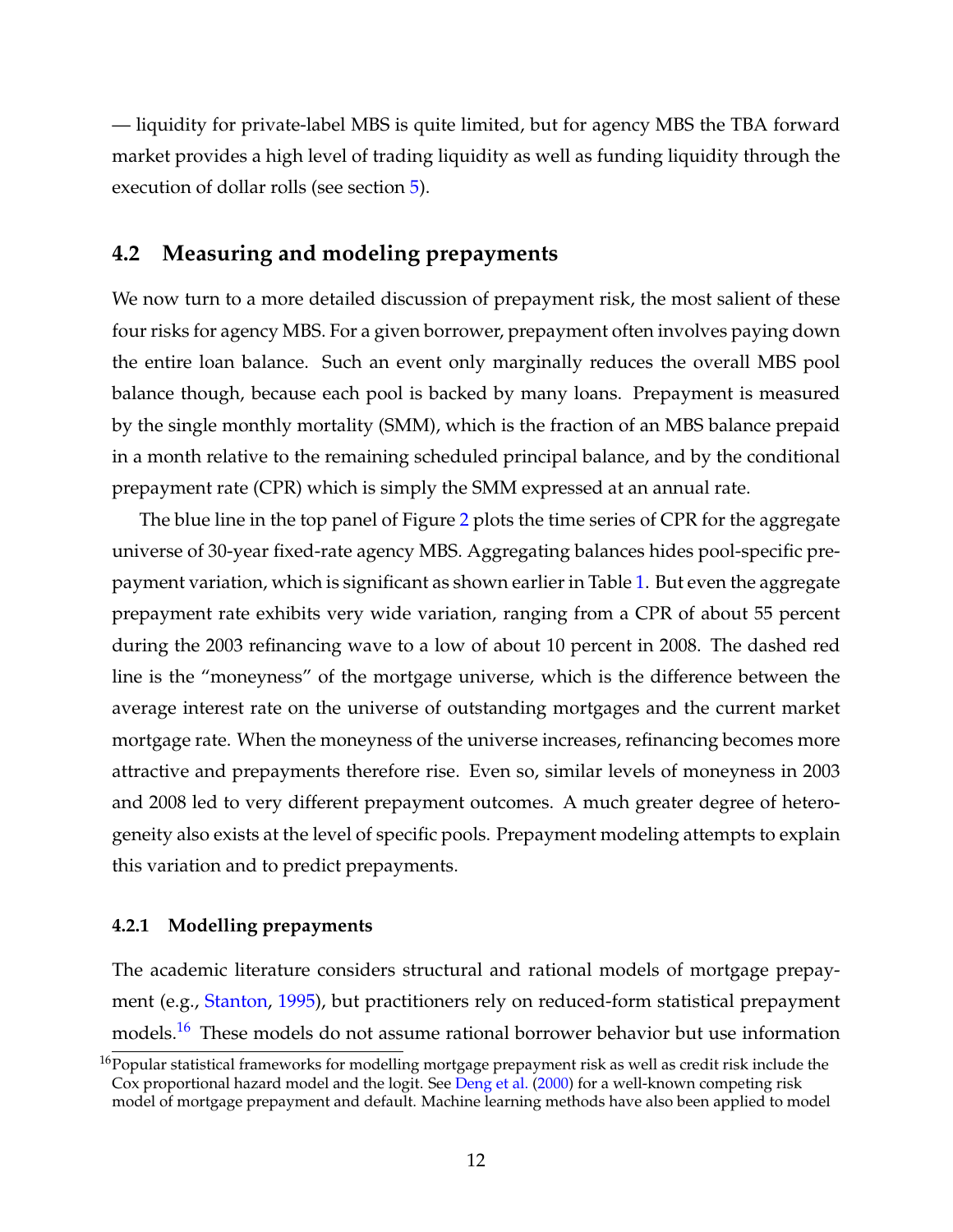— liquidity for private-label MBS is quite limited, but for agency MBS the TBA forward market provides a high level of trading liquidity as well as funding liquidity through the execution of dollar rolls (see section [5\)](#page-18-0).

## <span id="page-13-0"></span>**4.2 Measuring and modeling prepayments**

We now turn to a more detailed discussion of prepayment risk, the most salient of these four risks for agency MBS. For a given borrower, prepayment often involves paying down the entire loan balance. Such an event only marginally reduces the overall MBS pool balance though, because each pool is backed by many loans. Prepayment is measured by the single monthly mortality (SMM), which is the fraction of an MBS balance prepaid in a month relative to the remaining scheduled principal balance, and by the conditional prepayment rate (CPR) which is simply the SMM expressed at an annual rate.

The blue line in the top panel of Figure [2](#page-25-0) plots the time series of CPR for the aggregate universe of 30-year fixed-rate agency MBS. Aggregating balances hides pool-specific prepayment variation, which is significant as shown earlier in Table [1.](#page-27-0) But even the aggregate prepayment rate exhibits very wide variation, ranging from a CPR of about 55 percent during the 2003 refinancing wave to a low of about 10 percent in 2008. The dashed red line is the "moneyness" of the mortgage universe, which is the difference between the average interest rate on the universe of outstanding mortgages and the current market mortgage rate. When the moneyness of the universe increases, refinancing becomes more attractive and prepayments therefore rise. Even so, similar levels of moneyness in 2003 and 2008 led to very different prepayment outcomes. A much greater degree of heterogeneity also exists at the level of specific pools. Prepayment modeling attempts to explain this variation and to predict prepayments.

#### **4.2.1 Modelling prepayments**

The academic literature considers structural and rational models of mortgage prepayment (e.g., [Stanton,](#page-36-8) [1995\)](#page-36-8), but practitioners rely on reduced-form statistical prepayment models.<sup>[16](#page--1-0)</sup> These models do not assume rational borrower behavior but use information

 $16$ Popular statistical frameworks for modelling mortgage prepayment risk as well as credit risk include the Cox proportional hazard model and the logit. See [Deng et al.](#page-31-6) [\(2000\)](#page-31-6) for a well-known competing risk model of mortgage prepayment and default. Machine learning methods have also been applied to model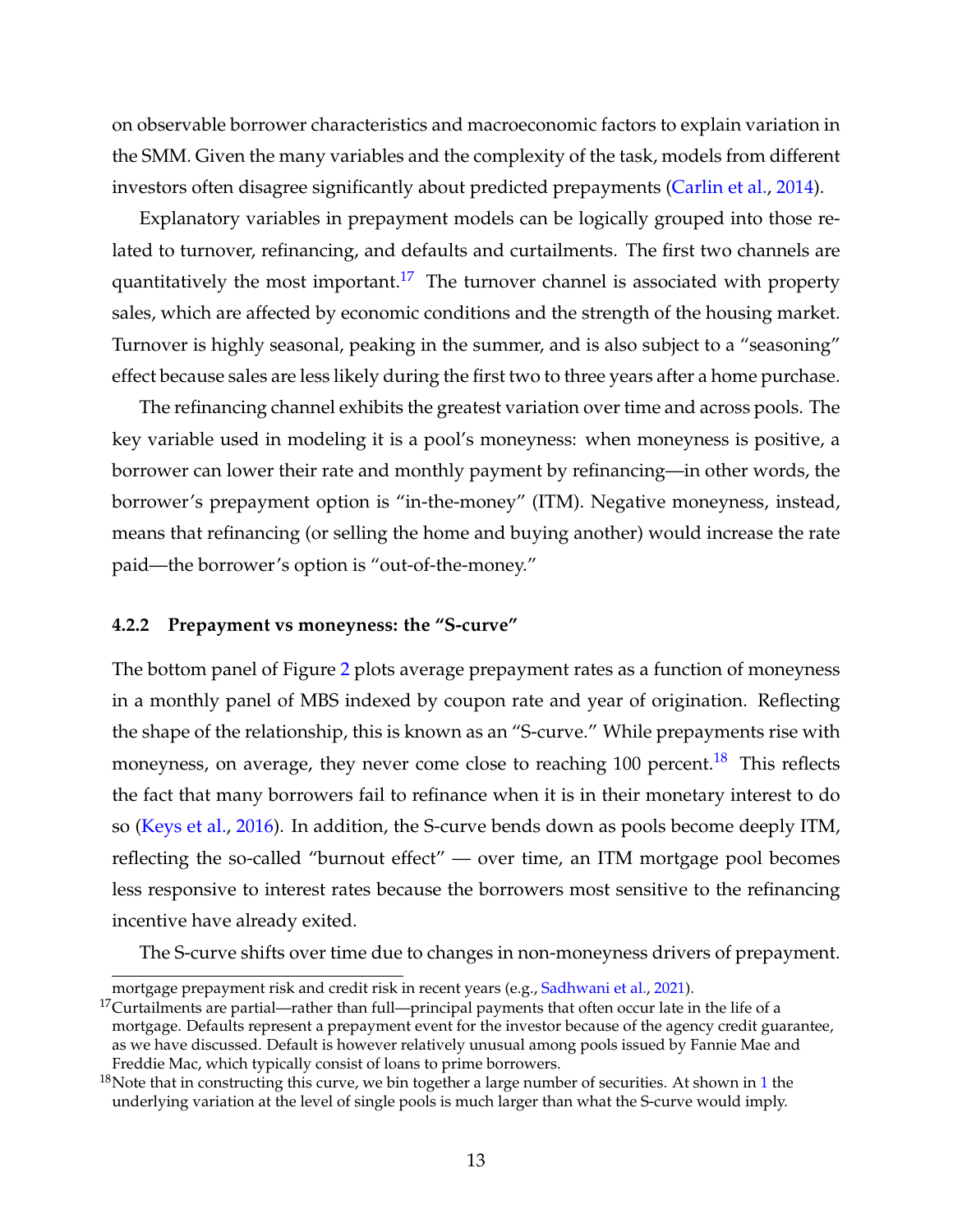on observable borrower characteristics and macroeconomic factors to explain variation in the SMM. Given the many variables and the complexity of the task, models from different investors often disagree significantly about predicted prepayments [\(Carlin et al.,](#page-31-7) [2014\)](#page-31-7).

Explanatory variables in prepayment models can be logically grouped into those related to turnover, refinancing, and defaults and curtailments. The first two channels are quantitatively the most important.<sup>[17](#page--1-0)</sup> The turnover channel is associated with property sales, which are affected by economic conditions and the strength of the housing market. Turnover is highly seasonal, peaking in the summer, and is also subject to a "seasoning" effect because sales are less likely during the first two to three years after a home purchase.

The refinancing channel exhibits the greatest variation over time and across pools. The key variable used in modeling it is a pool's moneyness: when moneyness is positive, a borrower can lower their rate and monthly payment by refinancing—in other words, the borrower's prepayment option is "in-the-money" (ITM). Negative moneyness, instead, means that refinancing (or selling the home and buying another) would increase the rate paid—the borrower's option is "out-of-the-money."

#### **4.2.2 Prepayment vs moneyness: the "S-curve"**

The bottom panel of Figure [2](#page-25-0) plots average prepayment rates as a function of moneyness in a monthly panel of MBS indexed by coupon rate and year of origination. Reflecting the shape of the relationship, this is known as an "S-curve." While prepayments rise with moneyness, on average, they never come close to reaching  $100$  percent.<sup>[18](#page--1-0)</sup> This reflects the fact that many borrowers fail to refinance when it is in their monetary interest to do so [\(Keys et al.,](#page-34-4) [2016\)](#page-34-4). In addition, the S-curve bends down as pools become deeply ITM, reflecting the so-called "burnout effect" — over time, an ITM mortgage pool becomes less responsive to interest rates because the borrowers most sensitive to the refinancing incentive have already exited.

The S-curve shifts over time due to changes in non-moneyness drivers of prepayment.

mortgage prepayment risk and credit risk in recent years (e.g., [Sadhwani et al.,](#page-36-9) [2021\)](#page-36-9).

 $17$ Curtailments are partial—rather than full—principal payments that often occur late in the life of a mortgage. Defaults represent a prepayment event for the investor because of the agency credit guarantee, as we have discussed. Default is however relatively unusual among pools issued by Fannie Mae and Freddie Mac, which typically consist of loans to prime borrowers.

<sup>&</sup>lt;sup>[1](#page-27-0)8</sup>Note that in constructing this curve, we bin together a large number of securities. At shown in 1 the underlying variation at the level of single pools is much larger than what the S-curve would imply.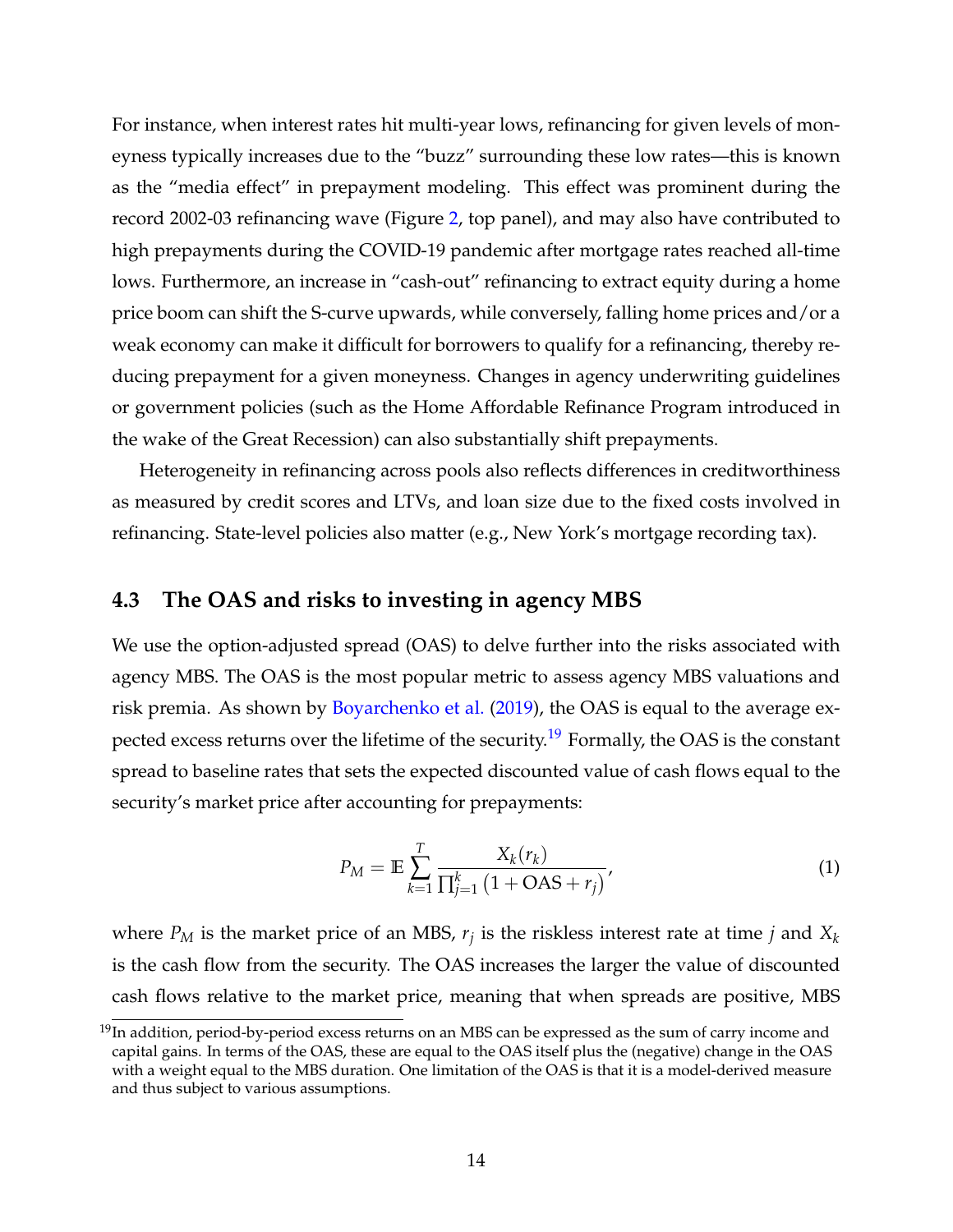For instance, when interest rates hit multi-year lows, refinancing for given levels of moneyness typically increases due to the "buzz" surrounding these low rates—this is known as the "media effect" in prepayment modeling. This effect was prominent during the record 2002-03 refinancing wave (Figure [2,](#page-25-0) top panel), and may also have contributed to high prepayments during the COVID-19 pandemic after mortgage rates reached all-time lows. Furthermore, an increase in "cash-out" refinancing to extract equity during a home price boom can shift the S-curve upwards, while conversely, falling home prices and/or a weak economy can make it difficult for borrowers to qualify for a refinancing, thereby reducing prepayment for a given moneyness. Changes in agency underwriting guidelines or government policies (such as the Home Affordable Refinance Program introduced in the wake of the Great Recession) can also substantially shift prepayments.

Heterogeneity in refinancing across pools also reflects differences in creditworthiness as measured by credit scores and LTVs, and loan size due to the fixed costs involved in refinancing. State-level policies also matter (e.g., New York's mortgage recording tax).

## **4.3 The OAS and risks to investing in agency MBS**

We use the option-adjusted spread (OAS) to delve further into the risks associated with agency MBS. The OAS is the most popular metric to assess agency MBS valuations and risk premia. As shown by [Boyarchenko et al.](#page-30-7) [\(2019\)](#page-30-7), the OAS is equal to the average ex-pected excess returns over the lifetime of the security.<sup>[19](#page--1-0)</sup> Formally, the OAS is the constant spread to baseline rates that sets the expected discounted value of cash flows equal to the security's market price after accounting for prepayments:

<span id="page-15-0"></span>
$$
P_M = \mathbb{E} \sum_{k=1}^{T} \frac{X_k(r_k)}{\prod_{j=1}^k (1 + \text{OAS} + r_j)},
$$
(1)

where *P<sup>M</sup>* is the market price of an MBS, *r<sup>j</sup>* is the riskless interest rate at time *j* and *X<sup>k</sup>* is the cash flow from the security. The OAS increases the larger the value of discounted cash flows relative to the market price, meaning that when spreads are positive, MBS

 $^{19}$ In addition, period-by-period excess returns on an MBS can be expressed as the sum of carry income and capital gains. In terms of the OAS, these are equal to the OAS itself plus the (negative) change in the OAS with a weight equal to the MBS duration. One limitation of the OAS is that it is a model-derived measure and thus subject to various assumptions.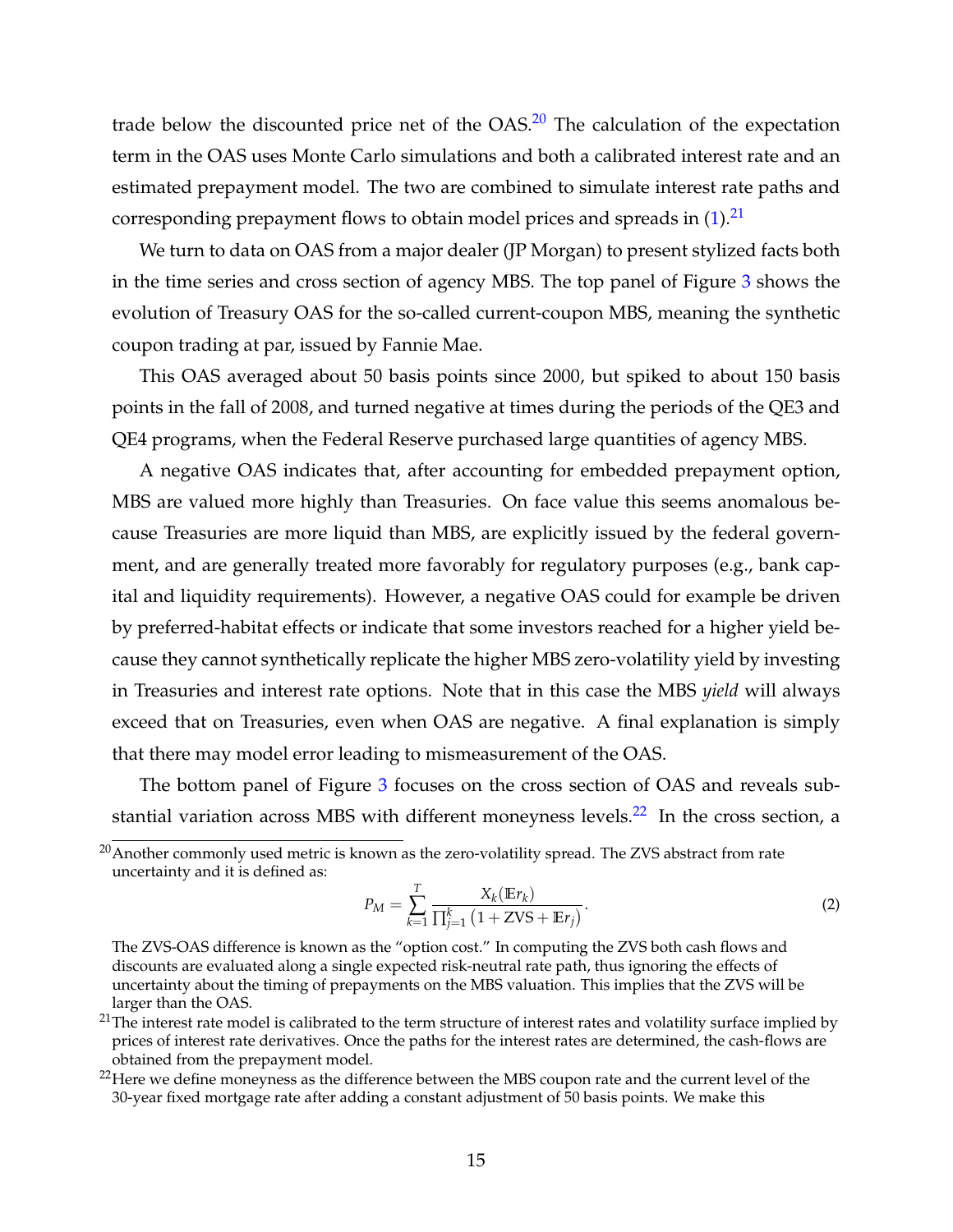trade below the discounted price net of the  $OAS<sup>20</sup>$  $OAS<sup>20</sup>$  $OAS<sup>20</sup>$  The calculation of the expectation term in the OAS uses Monte Carlo simulations and both a calibrated interest rate and an estimated prepayment model. The two are combined to simulate interest rate paths and corresponding prepayment flows to obtain model prices and spreads in  $(1).^{21}$  $(1).^{21}$  $(1).^{21}$  $(1).^{21}$ 

We turn to data on OAS from a major dealer (JP Morgan) to present stylized facts both in the time series and cross section of agency MBS. The top panel of Figure [3](#page-26-0) shows the evolution of Treasury OAS for the so-called current-coupon MBS, meaning the synthetic coupon trading at par, issued by Fannie Mae.

This OAS averaged about 50 basis points since 2000, but spiked to about 150 basis points in the fall of 2008, and turned negative at times during the periods of the QE3 and QE4 programs, when the Federal Reserve purchased large quantities of agency MBS.

A negative OAS indicates that, after accounting for embedded prepayment option, MBS are valued more highly than Treasuries. On face value this seems anomalous because Treasuries are more liquid than MBS, are explicitly issued by the federal government, and are generally treated more favorably for regulatory purposes (e.g., bank capital and liquidity requirements). However, a negative OAS could for example be driven by preferred-habitat effects or indicate that some investors reached for a higher yield because they cannot synthetically replicate the higher MBS zero-volatility yield by investing in Treasuries and interest rate options. Note that in this case the MBS *yield* will always exceed that on Treasuries, even when OAS are negative. A final explanation is simply that there may model error leading to mismeasurement of the OAS.

The bottom panel of Figure [3](#page-26-0) focuses on the cross section of OAS and reveals sub-stantial variation across MBS with different moneyness levels.<sup>[22](#page--1-0)</sup> In the cross section, a

$$
P_M = \sum_{k=1}^{T} \frac{X_k(Er_k)}{\prod_{j=1}^{k} (1 + ZVS + Er_j)}.
$$
 (2)

<sup>&</sup>lt;sup>20</sup> Another commonly used metric is known as the zero-volatility spread. The ZVS abstract from rate uncertainty and it is defined as:

The ZVS-OAS difference is known as the "option cost." In computing the ZVS both cash flows and discounts are evaluated along a single expected risk-neutral rate path, thus ignoring the effects of uncertainty about the timing of prepayments on the MBS valuation. This implies that the ZVS will be larger than the OAS.

 $21$ The interest rate model is calibrated to the term structure of interest rates and volatility surface implied by prices of interest rate derivatives. Once the paths for the interest rates are determined, the cash-flows are obtained from the prepayment model.

<sup>&</sup>lt;sup>22</sup>Here we define moneyness as the difference between the MBS coupon rate and the current level of the 30-year fixed mortgage rate after adding a constant adjustment of 50 basis points. We make this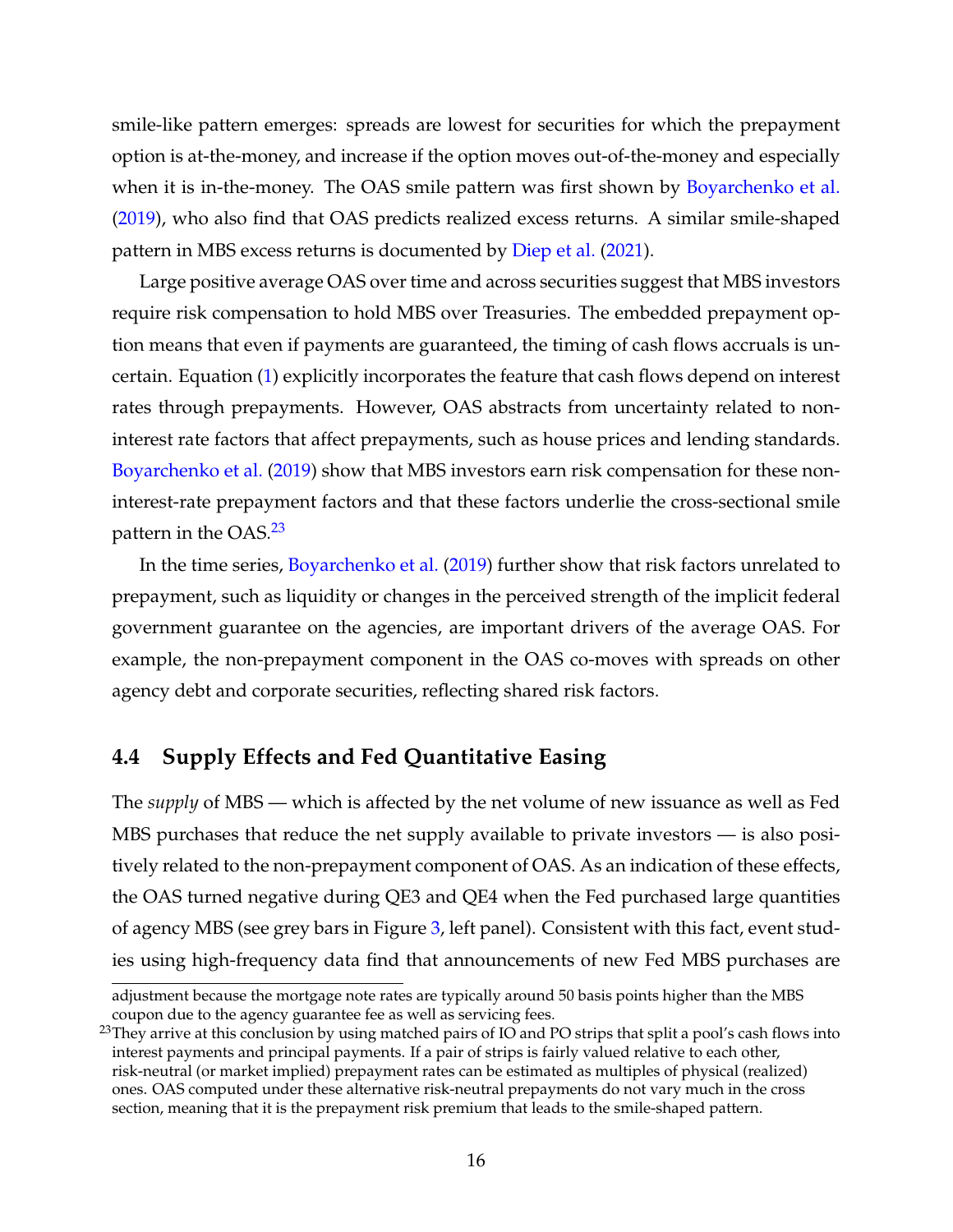smile-like pattern emerges: spreads are lowest for securities for which the prepayment option is at-the-money, and increase if the option moves out-of-the-money and especially when it is in-the-money. The OAS smile pattern was first shown by [Boyarchenko et al.](#page-30-7) [\(2019\)](#page-30-7), who also find that OAS predicts realized excess returns. A similar smile-shaped pattern in MBS excess returns is documented by [Diep et al.](#page-32-6) [\(2021\)](#page-32-6).

Large positive average OAS over time and across securities suggest that MBS investors require risk compensation to hold MBS over Treasuries. The embedded prepayment option means that even if payments are guaranteed, the timing of cash flows accruals is uncertain. Equation [\(1\)](#page-15-0) explicitly incorporates the feature that cash flows depend on interest rates through prepayments. However, OAS abstracts from uncertainty related to noninterest rate factors that affect prepayments, such as house prices and lending standards. [Boyarchenko et al.](#page-30-7) [\(2019\)](#page-30-7) show that MBS investors earn risk compensation for these noninterest-rate prepayment factors and that these factors underlie the cross-sectional smile pattern in the OAS.<sup>[23](#page--1-0)</sup>

In the time series, [Boyarchenko et al.](#page-30-7) [\(2019\)](#page-30-7) further show that risk factors unrelated to prepayment, such as liquidity or changes in the perceived strength of the implicit federal government guarantee on the agencies, are important drivers of the average OAS. For example, the non-prepayment component in the OAS co-moves with spreads on other agency debt and corporate securities, reflecting shared risk factors.

## **4.4 Supply Effects and Fed Quantitative Easing**

The *supply* of MBS — which is affected by the net volume of new issuance as well as Fed MBS purchases that reduce the net supply available to private investors — is also positively related to the non-prepayment component of OAS. As an indication of these effects, the OAS turned negative during QE3 and QE4 when the Fed purchased large quantities of agency MBS (see grey bars in Figure [3,](#page-26-0) left panel). Consistent with this fact, event studies using high-frequency data find that announcements of new Fed MBS purchases are

adjustment because the mortgage note rates are typically around 50 basis points higher than the MBS coupon due to the agency guarantee fee as well as servicing fees.

 $^{23}$ They arrive at this conclusion by using matched pairs of IO and PO strips that split a pool's cash flows into interest payments and principal payments. If a pair of strips is fairly valued relative to each other, risk-neutral (or market implied) prepayment rates can be estimated as multiples of physical (realized) ones. OAS computed under these alternative risk-neutral prepayments do not vary much in the cross section, meaning that it is the prepayment risk premium that leads to the smile-shaped pattern.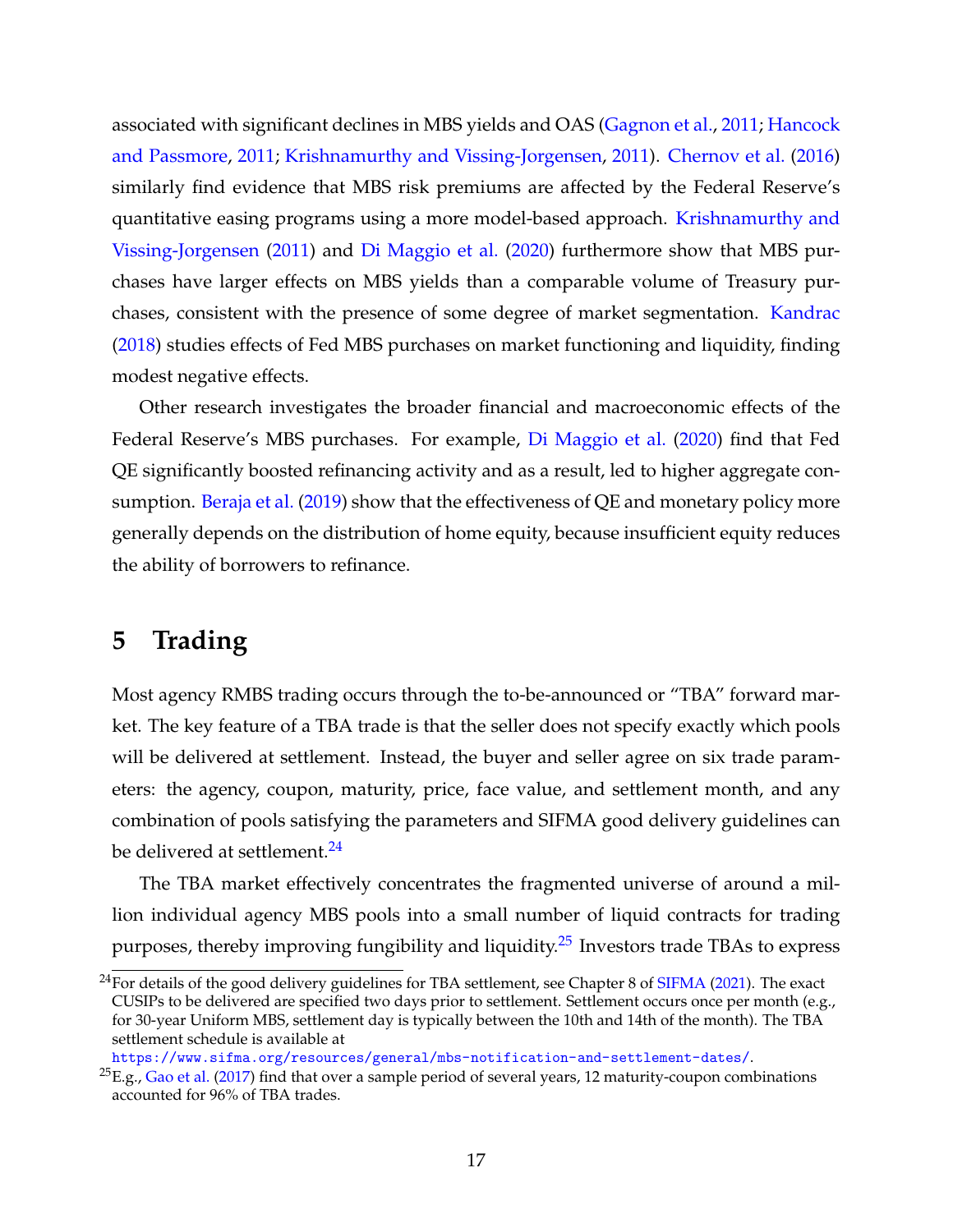associated with significant declines in MBS yields and OAS [\(Gagnon et al.,](#page-33-6) [2011;](#page-33-6) [Hancock](#page-33-7) [and Passmore,](#page-33-7) [2011;](#page-33-7) [Krishnamurthy and Vissing-Jorgensen,](#page-34-6) [2011\)](#page-34-6). [Chernov et al.](#page-31-8) [\(2016\)](#page-31-8) similarly find evidence that MBS risk premiums are affected by the Federal Reserve's quantitative easing programs using a more model-based approach. [Krishnamurthy and](#page-34-6) [Vissing-Jorgensen](#page-34-6) [\(2011\)](#page-34-6) and [Di Maggio et al.](#page-32-7) [\(2020\)](#page-32-7) furthermore show that MBS purchases have larger effects on MBS yields than a comparable volume of Treasury purchases, consistent with the presence of some degree of market segmentation. [Kandrac](#page-34-7) [\(2018\)](#page-34-7) studies effects of Fed MBS purchases on market functioning and liquidity, finding modest negative effects.

Other research investigates the broader financial and macroeconomic effects of the Federal Reserve's MBS purchases. For example, [Di Maggio et al.](#page-32-7) [\(2020\)](#page-32-7) find that Fed QE significantly boosted refinancing activity and as a result, led to higher aggregate con-sumption. [Beraja et al.](#page-29-7) [\(2019\)](#page-29-7) show that the effectiveness of QE and monetary policy more generally depends on the distribution of home equity, because insufficient equity reduces the ability of borrowers to refinance.

# <span id="page-18-0"></span>**5 Trading**

Most agency RMBS trading occurs through the to-be-announced or "TBA" forward market. The key feature of a TBA trade is that the seller does not specify exactly which pools will be delivered at settlement. Instead, the buyer and seller agree on six trade parameters: the agency, coupon, maturity, price, face value, and settlement month, and any combination of pools satisfying the parameters and SIFMA good delivery guidelines can be delivered at settlement.<sup>[24](#page--1-0)</sup>

The TBA market effectively concentrates the fragmented universe of around a million individual agency MBS pools into a small number of liquid contracts for trading purposes, thereby improving fungibility and liquidity.<sup>[25](#page--1-0)</sup> Investors trade TBAs to express

<sup>&</sup>lt;sup>24</sup>For details of the good delivery guidelines for TBA settlement, see Chapter 8 of [SIFMA](#page-36-10) [\(2021\)](#page-36-10). The exact CUSIPs to be delivered are specified two days prior to settlement. Settlement occurs once per month (e.g., for 30-year Uniform MBS, settlement day is typically between the 10th and 14th of the month). The TBA settlement schedule is available at

<https://www.sifma.org/resources/general/mbs-notification-and-settlement-dates/>.

 $^{25}E.g., Gao et al. (2017)$  $^{25}E.g., Gao et al. (2017)$  $^{25}E.g., Gao et al. (2017)$  $^{25}E.g., Gao et al. (2017)$  find that over a sample period of several years, 12 maturity-coupon combinations accounted for 96% of TBA trades.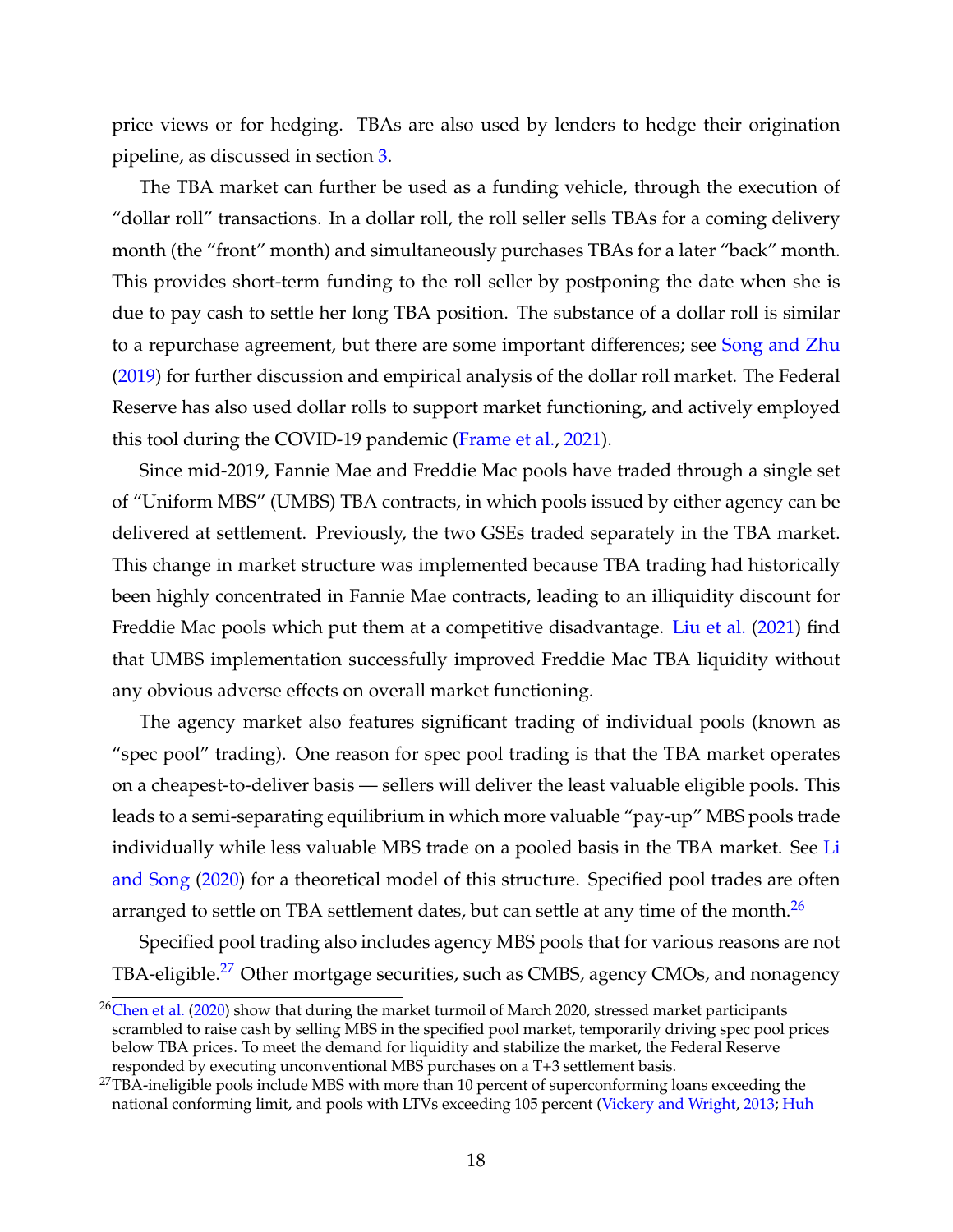price views or for hedging. TBAs are also used by lenders to hedge their origination pipeline, as discussed in section [3.](#page-8-0)

The TBA market can further be used as a funding vehicle, through the execution of "dollar roll" transactions. In a dollar roll, the roll seller sells TBAs for a coming delivery month (the "front" month) and simultaneously purchases TBAs for a later "back" month. This provides short-term funding to the roll seller by postponing the date when she is due to pay cash to settle her long TBA position. The substance of a dollar roll is similar to a repurchase agreement, but there are some important differences; see [Song and Zhu](#page-36-7) [\(2019\)](#page-36-7) for further discussion and empirical analysis of the dollar roll market. The Federal Reserve has also used dollar rolls to support market functioning, and actively employed this tool during the COVID-19 pandemic [\(Frame et al.,](#page-32-8) [2021\)](#page-32-8).

Since mid-2019, Fannie Mae and Freddie Mac pools have traded through a single set of "Uniform MBS" (UMBS) TBA contracts, in which pools issued by either agency can be delivered at settlement. Previously, the two GSEs traded separately in the TBA market. This change in market structure was implemented because TBA trading had historically been highly concentrated in Fannie Mae contracts, leading to an illiquidity discount for Freddie Mac pools which put them at a competitive disadvantage. [Liu et al.](#page-35-6) [\(2021\)](#page-35-6) find that UMBS implementation successfully improved Freddie Mac TBA liquidity without any obvious adverse effects on overall market functioning.

The agency market also features significant trading of individual pools (known as "spec pool" trading). One reason for spec pool trading is that the TBA market operates on a cheapest-to-deliver basis — sellers will deliver the least valuable eligible pools. This leads to a semi-separating equilibrium in which more valuable "pay-up" MBS pools trade individually while less valuable MBS trade on a pooled basis in the TBA market. See [Li](#page-34-8) [and Song](#page-34-8) [\(2020\)](#page-34-8) for a theoretical model of this structure. Specified pool trades are often arranged to settle on TBA settlement dates, but can settle at any time of the month. $^{26}$  $^{26}$  $^{26}$ 

Specified pool trading also includes agency MBS pools that for various reasons are not TBA-eligible.<sup>[27](#page--1-0)</sup> Other mortgage securities, such as CMBS, agency CMOs, and nonagency

 $26$ [Chen et al.](#page-31-9) [\(2020\)](#page-31-9) show that during the market turmoil of March 2020, stressed market participants scrambled to raise cash by selling MBS in the specified pool market, temporarily driving spec pool prices below TBA prices. To meet the demand for liquidity and stabilize the market, the Federal Reserve responded by executing unconventional MBS purchases on a T+3 settlement basis.

<sup>&</sup>lt;sup>27</sup>TBA-ineligible pools include MBS with more than 10 percent of superconforming loans exceeding the national conforming limit, and pools with LTVs exceeding 105 percent [\(Vickery and Wright,](#page-36-0) [2013;](#page-36-0) [Huh](#page-34-9)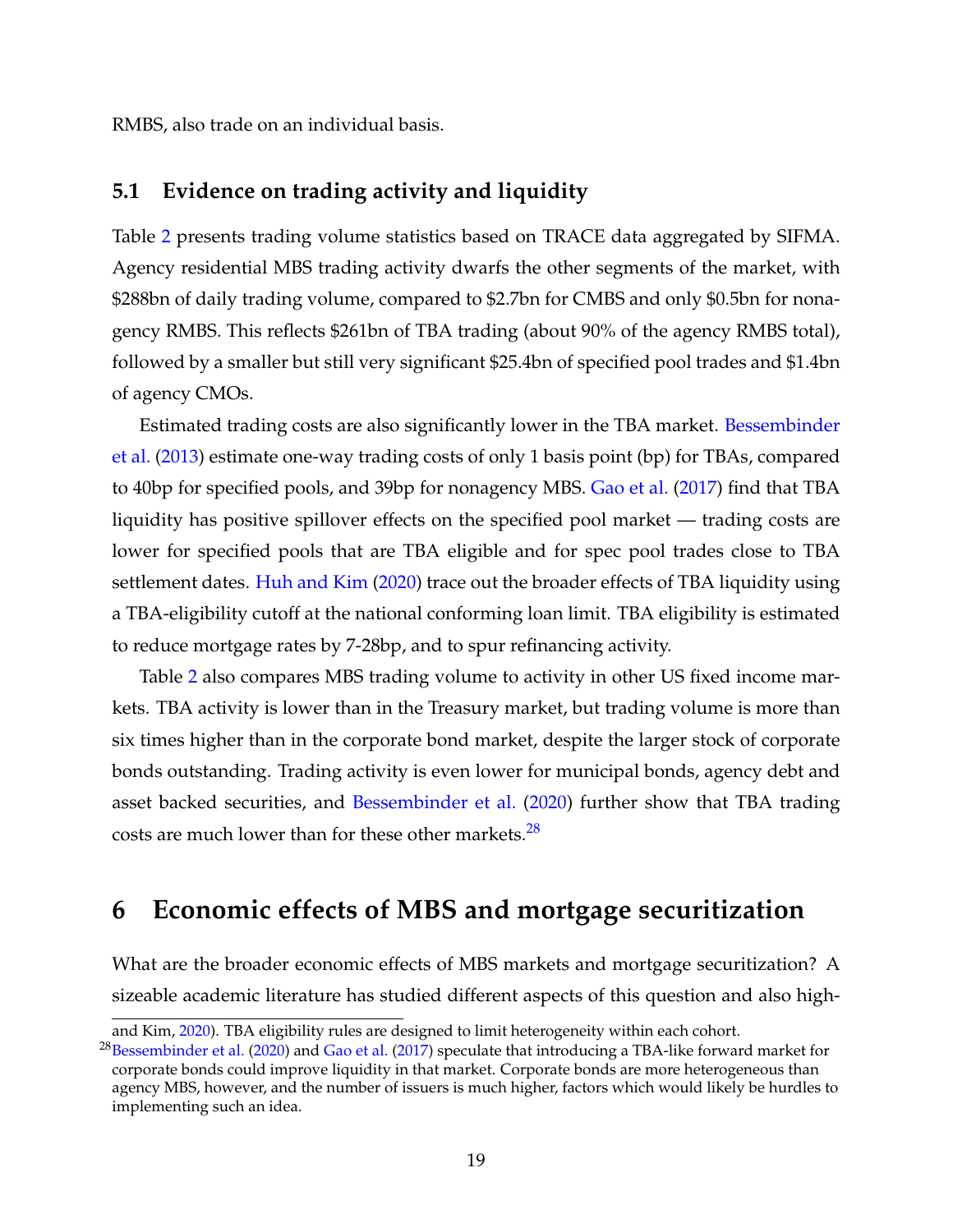[RMBS, also trade on an individual basis.](#page-34-9)

# **[5.1 Evidence on trading activity and liquidity](#page-34-9)**

Table [2](#page-28-0) [presents trading volume statistics based on TRACE data aggregated by SIFMA.](#page-34-9) [Agency residential MBS trading activity dwarfs the other segments of the market, with](#page-34-9) [\\$288bn of daily trading volume, compared to \\$2.7bn for CMBS and only \\$0.5bn for nona](#page-34-9)[gency RMBS. This reflects \\$261bn of TBA trading \(about 90% of the agency RMBS total\),](#page-34-9) [followed by a smaller but still very significant \\$25.4bn of specified pool trades and \\$1.4bn](#page-34-9) [of agency CMOs.](#page-34-9)

[Estimated trading costs are also significantly lower in the TBA market.](#page-34-9) [Bessembinder](#page-30-8) [et al.](#page-30-8) [\(2013\) estimate one-way trading costs of only 1 basis point \(bp\) for TBAs, compared](#page-34-9) [to 40bp for specified pools, and 39bp for nonagency MBS.](#page-34-9) [Gao et al.](#page-33-8) [\(2017\)](#page-33-8) find that TBA [liquidity has positive spillover effects on the specified pool market — trading costs are](#page-34-9) [lower for specified pools that are TBA eligible and for spec pool trades close to TBA](#page-34-9) settlement dates. [Huh and Kim](#page-34-9) [\(2020\) trace out the broader effects of TBA liquidity using](#page-34-9) [a TBA-eligibility cutoff at the national conforming loan limit. TBA eligibility is estimated](#page-34-9) [to reduce mortgage rates by 7-28bp, and to spur refinancing activity.](#page-34-9)

Table [2](#page-28-0) [also compares MBS trading volume to activity in other US fixed income mar](#page-34-9)[kets. TBA activity is lower than in the Treasury market, but trading volume is more than](#page-34-9) [six times higher than in the corporate bond market, despite the larger stock of corporate](#page-34-9) [bonds outstanding. Trading activity is even lower for municipal bonds, agency debt and](#page-34-9) asset backed securities, and [Bessembinder et al.](#page-30-9) [\(2020\) further show that TBA trading](#page-34-9) [costs are much lower than for these other markets.](#page-34-9) $28$ 

# **[6 Economic effects of MBS and mortgage securitization](#page-34-9)**

[What are the broader economic effects of MBS markets and mortgage securitization? A](#page-34-9) [sizeable academic literature has studied different aspects of this question and also high-](#page-34-9)

[and Kim,](#page-34-9) [2020\)](#page-34-9). TBA eligibility rules are designed to limit heterogeneity within each cohort.

<sup>&</sup>lt;sup>28</sup>[Bessembinder et al.](#page-30-9) [\(2020\)](#page-30-9) and [Gao et al.](#page-33-8) [\(2017\)](#page-33-8) speculate that introducing a TBA-like forward market for corporate bonds could improve liquidity in that market. Corporate bonds are more heterogeneous than agency MBS, however, and the number of issuers is much higher, factors which would likely be hurdles to implementing such an idea.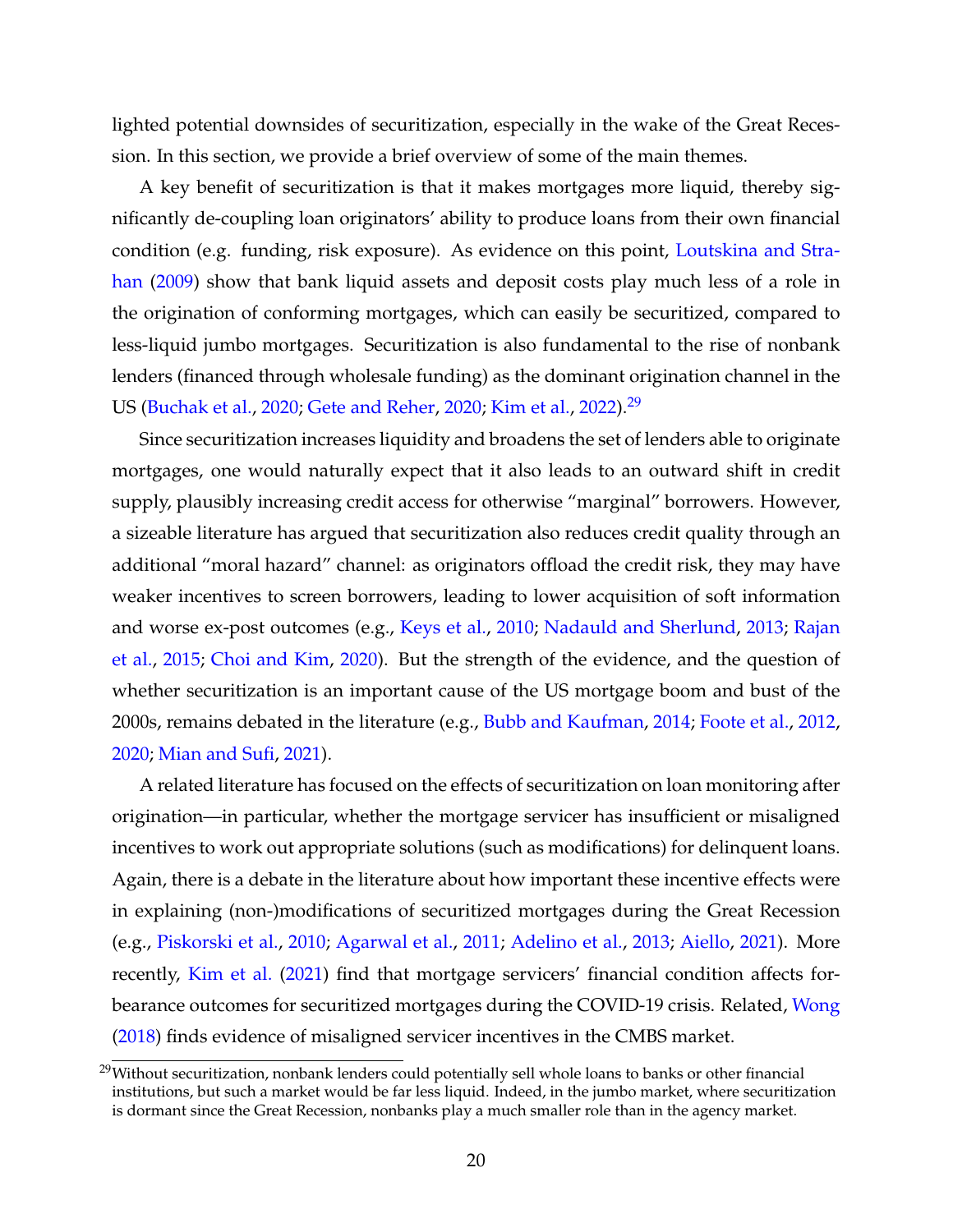lighted potential downsides of securitization, especially in the wake of the Great Recession. In this section, we provide a brief overview of some of the main themes.

A key benefit of securitization is that it makes mortgages more liquid, thereby significantly de-coupling loan originators' ability to produce loans from their own financial condition (e.g. funding, risk exposure). As evidence on this point, [Loutskina and Stra](#page-35-7)[han](#page-35-7) [\(2009\)](#page-35-7) show that bank liquid assets and deposit costs play much less of a role in the origination of conforming mortgages, which can easily be securitized, compared to less-liquid jumbo mortgages. Securitization is also fundamental to the rise of nonbank lenders (financed through wholesale funding) as the dominant origination channel in the US [\(Buchak et al.,](#page-30-10) [2020;](#page-30-10) [Gete and Reher,](#page-33-9) [2020;](#page-33-9) [Kim et al.,](#page-34-1) [2022\)](#page-34-1).[29](#page--1-0)

Since securitization increases liquidity and broadens the set of lenders able to originate mortgages, one would naturally expect that it also leads to an outward shift in credit supply, plausibly increasing credit access for otherwise "marginal" borrowers. However, a sizeable literature has argued that securitization also reduces credit quality through an additional "moral hazard" channel: as originators offload the credit risk, they may have weaker incentives to screen borrowers, leading to lower acquisition of soft information and worse ex-post outcomes (e.g., [Keys et al.,](#page-34-10) [2010;](#page-34-10) [Nadauld and Sherlund,](#page-35-8) [2013;](#page-35-8) [Rajan](#page-35-9) [et al.,](#page-35-9) [2015;](#page-35-9) [Choi and Kim,](#page-31-10) [2020\)](#page-31-10). But the strength of the evidence, and the question of whether securitization is an important cause of the US mortgage boom and bust of the 2000s, remains debated in the literature (e.g., [Bubb and Kaufman,](#page-30-11) [2014;](#page-30-11) [Foote et al.,](#page-32-9) [2012,](#page-32-9) [2020;](#page-32-2) [Mian and Sufi,](#page-35-10) [2021\)](#page-35-10).

A related literature has focused on the effects of securitization on loan monitoring after origination—in particular, whether the mortgage servicer has insufficient or misaligned incentives to work out appropriate solutions (such as modifications) for delinquent loans. Again, there is a debate in the literature about how important these incentive effects were in explaining (non-)modifications of securitized mortgages during the Great Recession (e.g., [Piskorski et al.,](#page-35-11) [2010;](#page-35-11) [Agarwal et al.,](#page-29-8) [2011;](#page-29-8) [Adelino et al.,](#page-29-9) [2013;](#page-29-9) [Aiello,](#page-29-10) [2021\)](#page-29-10). More recently, [Kim et al.](#page-34-11) [\(2021\)](#page-34-11) find that mortgage servicers' financial condition affects forbearance outcomes for securitized mortgages during the COVID-19 crisis. Related, [Wong](#page-36-5) [\(2018\)](#page-36-5) finds evidence of misaligned servicer incentives in the CMBS market.

 $29$ Without securitization, nonbank lenders could potentially sell whole loans to banks or other financial institutions, but such a market would be far less liquid. Indeed, in the jumbo market, where securitization is dormant since the Great Recession, nonbanks play a much smaller role than in the agency market.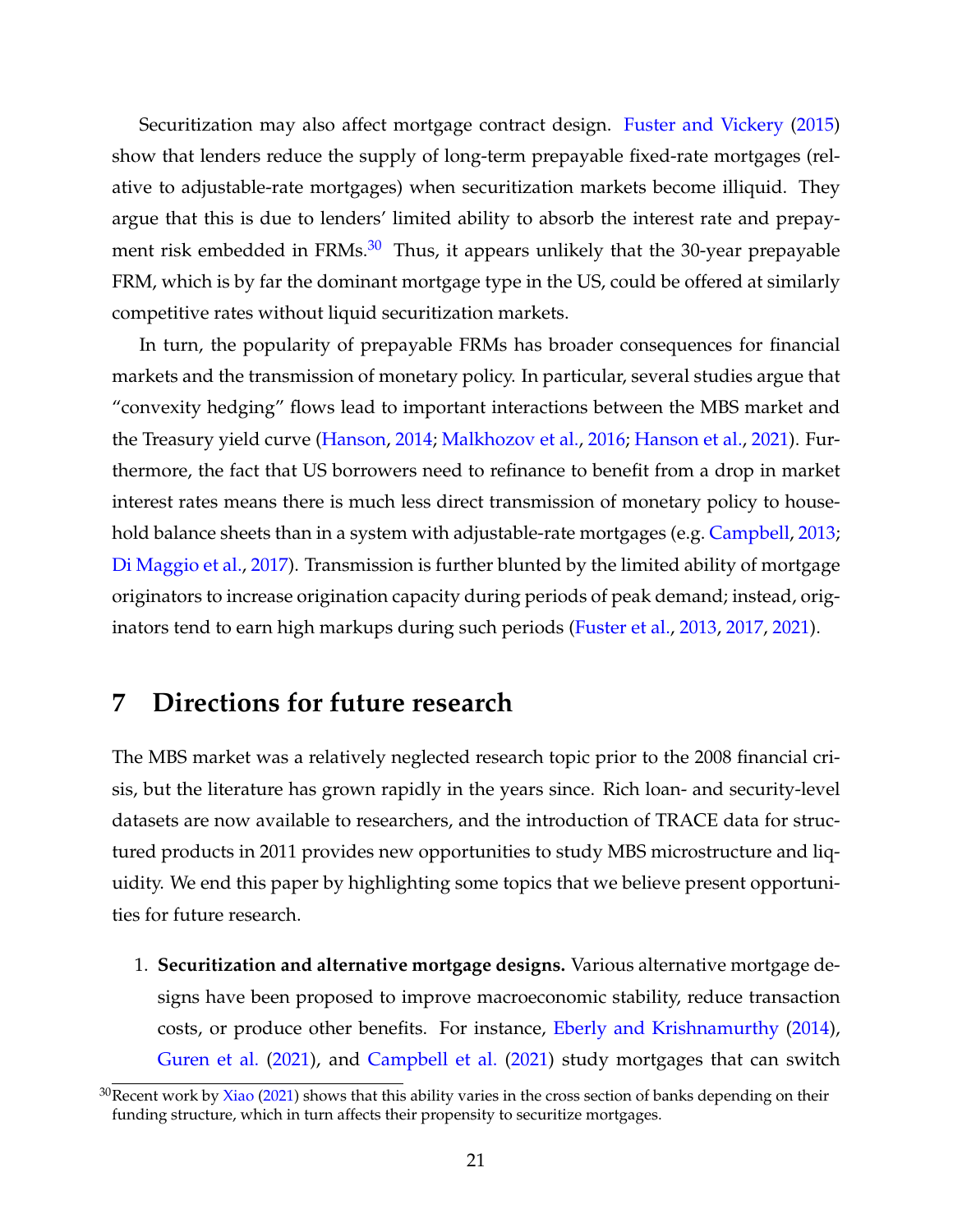Securitization may also affect mortgage contract design. [Fuster and Vickery](#page-33-3) [\(2015\)](#page-33-3) show that lenders reduce the supply of long-term prepayable fixed-rate mortgages (relative to adjustable-rate mortgages) when securitization markets become illiquid. They argue that this is due to lenders' limited ability to absorb the interest rate and prepayment risk embedded in  $FRMs<sup>30</sup>$  $FRMs<sup>30</sup>$  $FRMs<sup>30</sup>$ . Thus, it appears unlikely that the 30-year prepayable FRM, which is by far the dominant mortgage type in the US, could be offered at similarly competitive rates without liquid securitization markets.

In turn, the popularity of prepayable FRMs has broader consequences for financial markets and the transmission of monetary policy. In particular, several studies argue that "convexity hedging" flows lead to important interactions between the MBS market and the Treasury yield curve [\(Hanson,](#page-34-12) [2014;](#page-34-12) [Malkhozov et al.,](#page-35-12) [2016;](#page-35-12) [Hanson et al.,](#page-34-13) [2021\)](#page-34-13). Furthermore, the fact that US borrowers need to refinance to benefit from a drop in market interest rates means there is much less direct transmission of monetary policy to house-hold balance sheets than in a system with adjustable-rate mortgages (e.g. [Campbell,](#page-30-12) [2013;](#page-30-12) [Di Maggio et al.,](#page-31-11) [2017\)](#page-31-11). Transmission is further blunted by the limited ability of mortgage originators to increase origination capacity during periods of peak demand; instead, originators tend to earn high markups during such periods [\(Fuster et al.,](#page-32-4) [2013,](#page-32-4) [2017,](#page-33-10) [2021\)](#page-33-4).

# **7 Directions for future research**

The MBS market was a relatively neglected research topic prior to the 2008 financial crisis, but the literature has grown rapidly in the years since. Rich loan- and security-level datasets are now available to researchers, and the introduction of TRACE data for structured products in 2011 provides new opportunities to study MBS microstructure and liquidity. We end this paper by highlighting some topics that we believe present opportunities for future research.

1. **Securitization and alternative mortgage designs.** Various alternative mortgage designs have been proposed to improve macroeconomic stability, reduce transaction costs, or produce other benefits. For instance, [Eberly and Krishnamurthy](#page-32-10) [\(2014\)](#page-32-10), [Guren et al.](#page-33-11) [\(2021\)](#page-33-11), and [Campbell et al.](#page-30-13) [\(2021\)](#page-30-13) study mortgages that can switch

 $30$ Recent work by [Xiao](#page-36-11) [\(2021\)](#page-36-11) shows that this ability varies in the cross section of banks depending on their funding structure, which in turn affects their propensity to securitize mortgages.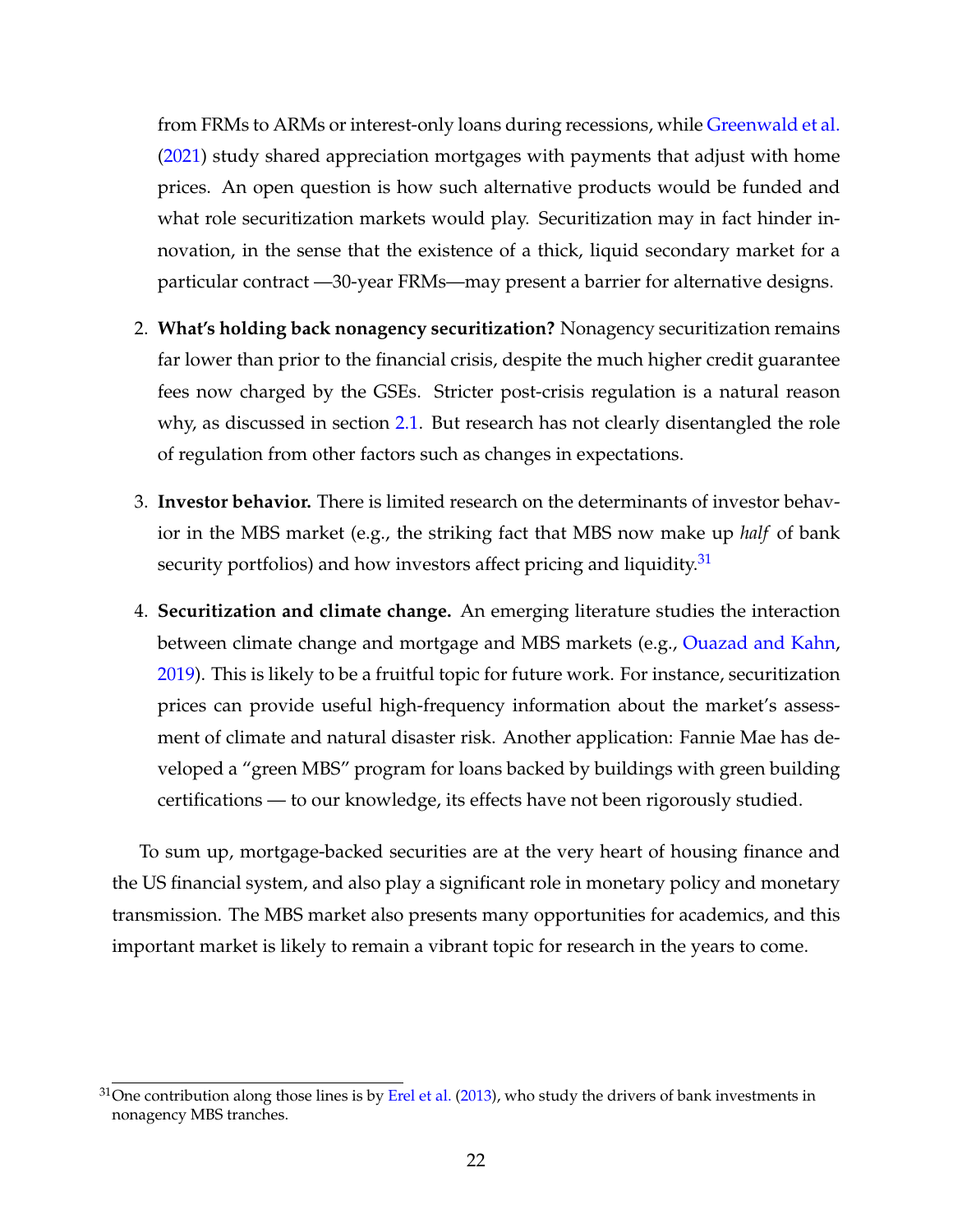from FRMs to ARMs or interest-only loans during recessions, while [Greenwald et al.](#page-33-12) [\(2021\)](#page-33-12) study shared appreciation mortgages with payments that adjust with home prices. An open question is how such alternative products would be funded and what role securitization markets would play. Securitization may in fact hinder innovation, in the sense that the existence of a thick, liquid secondary market for a particular contract —30-year FRMs—may present a barrier for alternative designs.

- 2. **What's holding back nonagency securitization?** Nonagency securitization remains far lower than prior to the financial crisis, despite the much higher credit guarantee fees now charged by the GSEs. Stricter post-crisis regulation is a natural reason why, as discussed in section [2.1.](#page-2-0) But research has not clearly disentangled the role of regulation from other factors such as changes in expectations.
- 3. **Investor behavior.** There is limited research on the determinants of investor behavior in the MBS market (e.g., the striking fact that MBS now make up *half* of bank security portfolios) and how investors affect pricing and liquidity.<sup>[31](#page--1-0)</sup>
- 4. **Securitization and climate change.** An emerging literature studies the interaction between climate change and mortgage and MBS markets (e.g., [Ouazad and Kahn,](#page-35-13) [2019\)](#page-35-13). This is likely to be a fruitful topic for future work. For instance, securitization prices can provide useful high-frequency information about the market's assessment of climate and natural disaster risk. Another application: Fannie Mae has developed a "green MBS" program for loans backed by buildings with green building certifications — to our knowledge, its effects have not been rigorously studied.

To sum up, mortgage-backed securities are at the very heart of housing finance and the US financial system, and also play a significant role in monetary policy and monetary transmission. The MBS market also presents many opportunities for academics, and this important market is likely to remain a vibrant topic for research in the years to come.

 $31$ One contribution along those lines is by [Erel et al.](#page-32-11) [\(2013\)](#page-32-11), who study the drivers of bank investments in nonagency MBS tranches.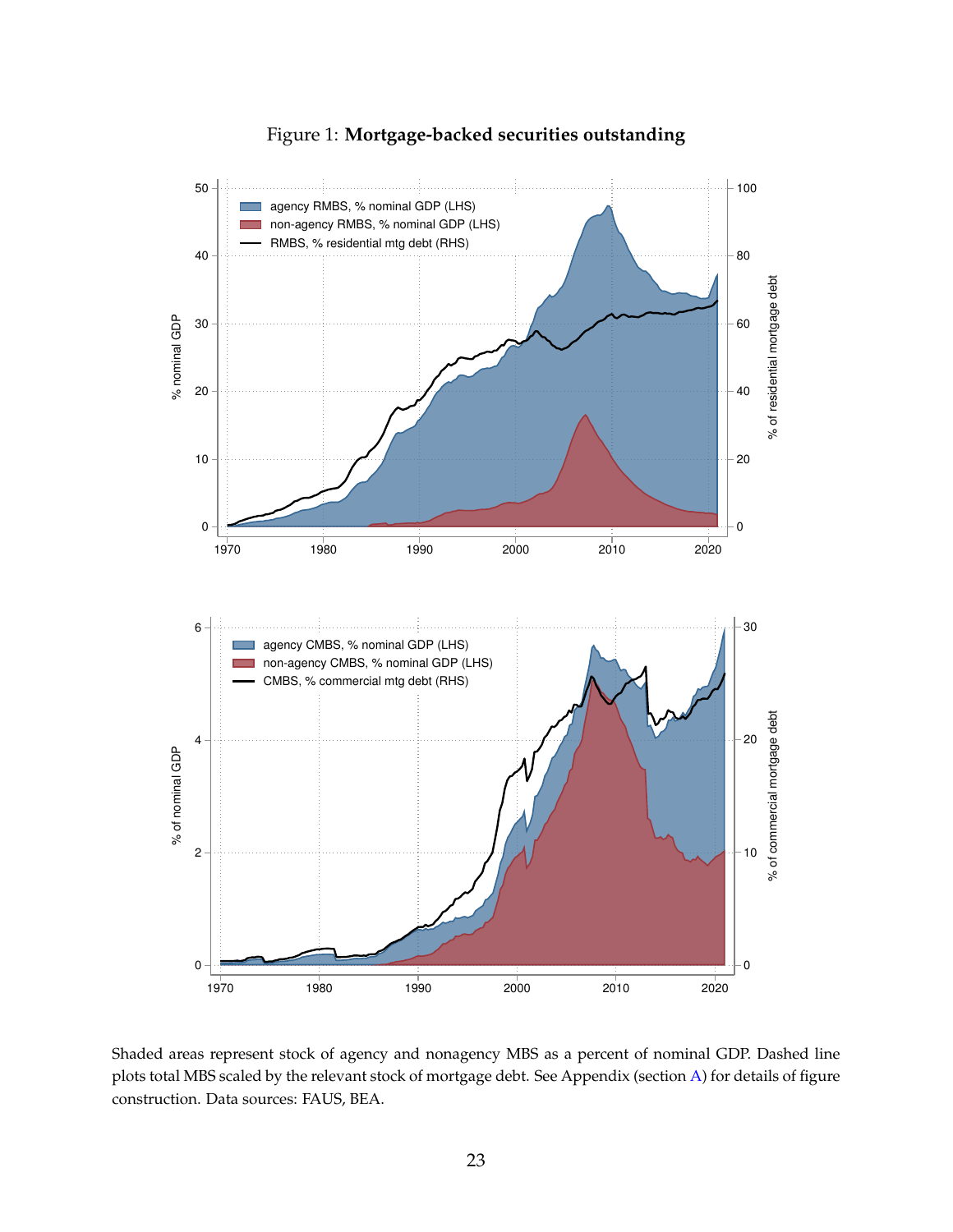<span id="page-24-0"></span>

Figure 1: **Mortgage-backed securities outstanding**

Shaded areas represent stock of agency and nonagency MBS as a percent of nominal GDP. Dashed line plots total MBS scaled by the relevant stock of mortgage debt. See Appendix (section [A\)](#page-37-0) for details of figure construction. Data sources: FAUS, BEA.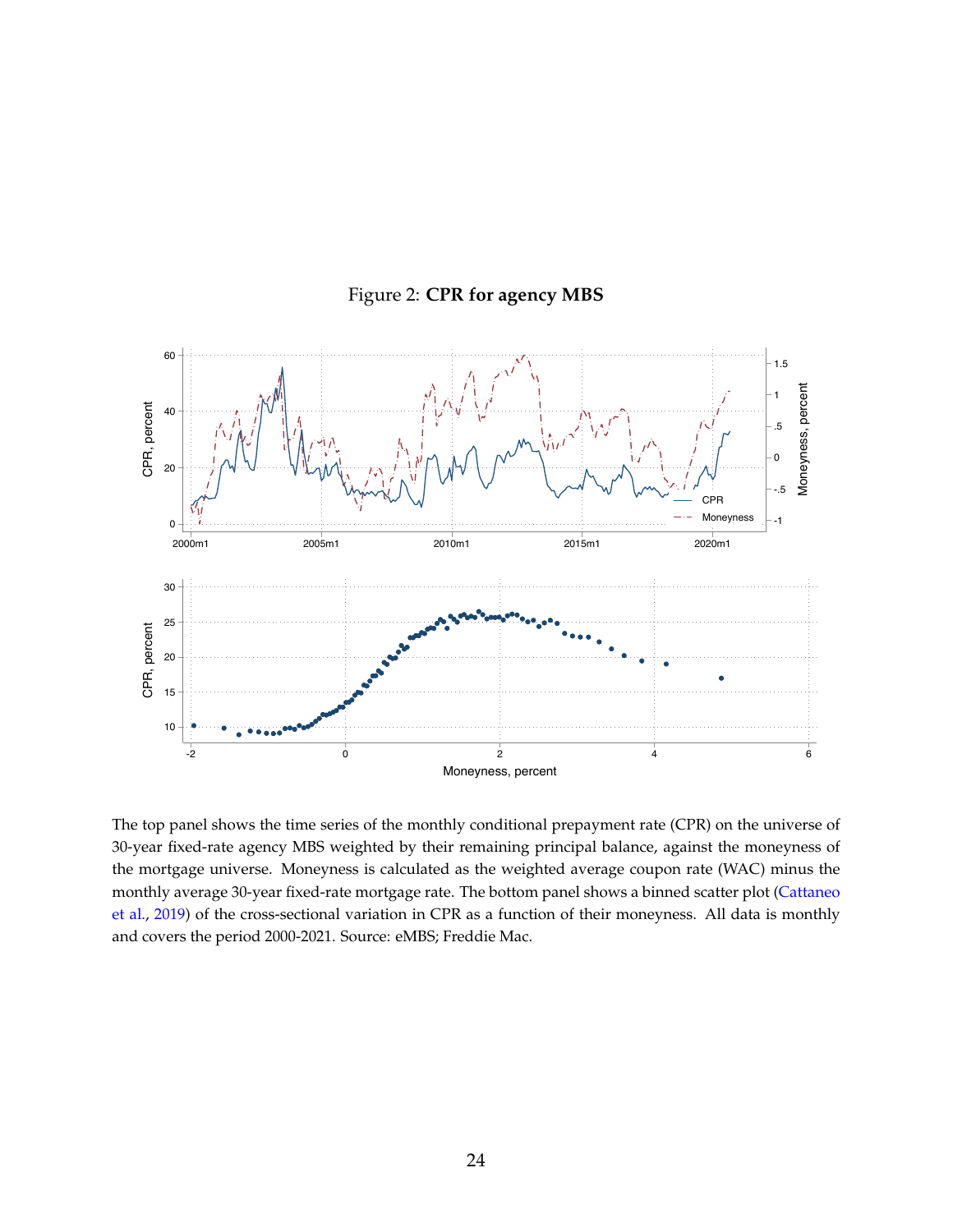<span id="page-25-0"></span>

Figure 2: **CPR for agency MBS**

The top panel shows the time series of the monthly conditional prepayment rate (CPR) on the universe of 30-year fixed-rate agency MBS weighted by their remaining principal balance, against the moneyness of the mortgage universe. Moneyness is calculated as the weighted average coupon rate (WAC) minus the monthly average 30-year fixed-rate mortgage rate. The bottom panel shows a binned scatter plot [\(Cattaneo](#page-31-12) [et al.,](#page-31-12) [2019\)](#page-31-12) of the cross-sectional variation in CPR as a function of their moneyness. All data is monthly and covers the period 2000-2021. Source: eMBS; Freddie Mac.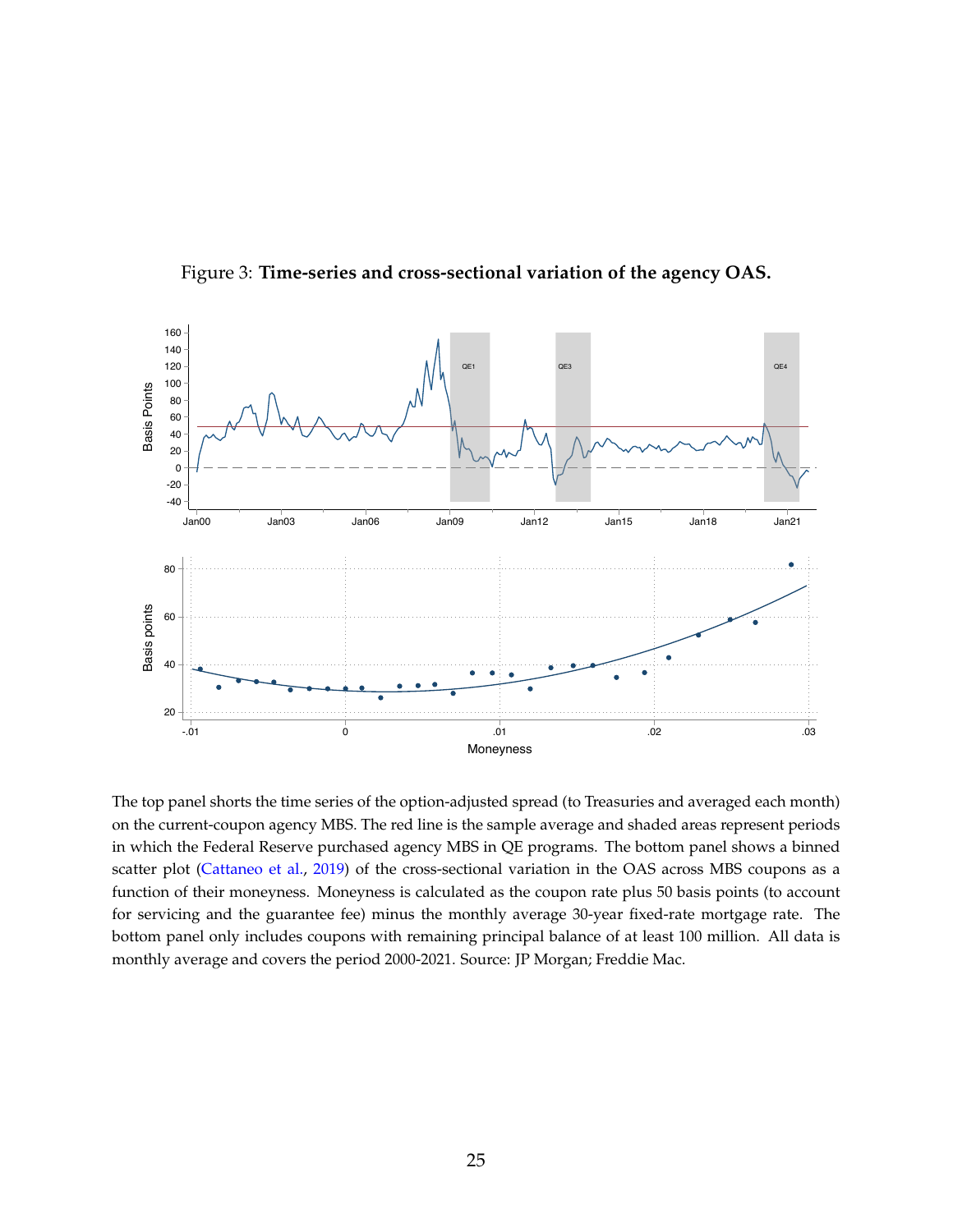<span id="page-26-0"></span>

Figure 3: **Time-series and cross-sectional variation of the agency OAS.**

The top panel shorts the time series of the option-adjusted spread (to Treasuries and averaged each month) on the current-coupon agency MBS. The red line is the sample average and shaded areas represent periods in which the Federal Reserve purchased agency MBS in QE programs. The bottom panel shows a binned scatter plot [\(Cattaneo et al.,](#page-31-12) [2019\)](#page-31-12) of the cross-sectional variation in the OAS across MBS coupons as a function of their moneyness. Moneyness is calculated as the coupon rate plus 50 basis points (to account for servicing and the guarantee fee) minus the monthly average 30-year fixed-rate mortgage rate. The bottom panel only includes coupons with remaining principal balance of at least 100 million. All data is monthly average and covers the period 2000-2021. Source: JP Morgan; Freddie Mac.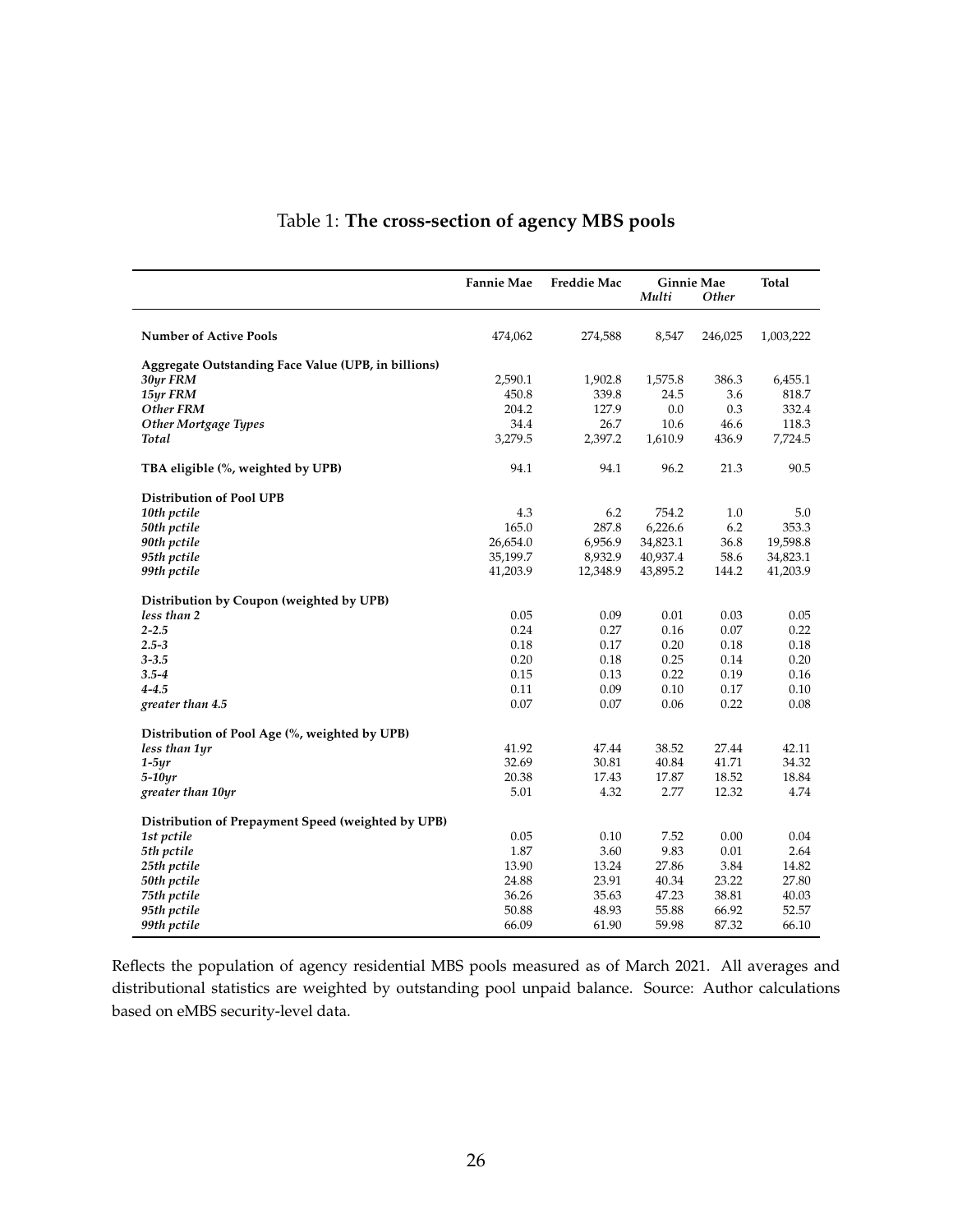<span id="page-27-0"></span>

|                                                     | <b>Fannie Mae</b> | <b>Freddie Mac</b> | <b>Ginnie Mae</b><br>Multi | <b>Other</b> | <b>Total</b> |
|-----------------------------------------------------|-------------------|--------------------|----------------------------|--------------|--------------|
| <b>Number of Active Pools</b>                       | 474,062           | 274,588            | 8,547                      | 246,025      | 1,003,222    |
| Aggregate Outstanding Face Value (UPB, in billions) |                   |                    |                            |              |              |
| 30yr FRM                                            | 2,590.1           | 1,902.8            | 1,575.8                    | 386.3        | 6,455.1      |
| 15yr FRM                                            | 450.8             | 339.8              | 24.5                       | 3.6          | 818.7        |
| Other FRM                                           | 204.2             | 127.9              | 0.0                        | 0.3          | 332.4        |
| <b>Other Mortgage Types</b>                         | 34.4              | 26.7               | 10.6                       | 46.6         | 118.3        |
| <b>Total</b>                                        | 3,279.5           | 2,397.2            | 1,610.9                    | 436.9        | 7,724.5      |
| TBA eligible (%, weighted by UPB)                   | 94.1              | 94.1               | 96.2                       | 21.3         | 90.5         |
| <b>Distribution of Pool UPB</b>                     |                   |                    |                            |              |              |
| 10th pctile                                         | 4.3               | 6.2                | 754.2                      | 1.0          | 5.0          |
| 50th pctile                                         | 165.0             | 287.8              | 6,226.6                    | 6.2          | 353.3        |
| 90th pctile                                         | 26,654.0          | 6,956.9            | 34,823.1                   | 36.8         | 19,598.8     |
| 95th pctile                                         | 35,199.7          | 8,932.9            | 40,937.4                   | 58.6         | 34,823.1     |
| 99th pctile                                         | 41,203.9          | 12,348.9           | 43,895.2                   | 144.2        | 41,203.9     |
| Distribution by Coupon (weighted by UPB)            |                   |                    |                            |              |              |
| less than 2                                         | 0.05              | 0.09               | 0.01                       | 0.03         | 0.05         |
| $2 - 2.5$                                           | 0.24              | 0.27               | 0.16                       | 0.07         | 0.22         |
| $2.5 - 3$                                           | 0.18              | 0.17               | 0.20                       | 0.18         | 0.18         |
| $3 - 3.5$                                           | 0.20              | 0.18               | 0.25                       | 0.14         | 0.20         |
| $3.5 - 4$                                           | 0.15              | 0.13               | 0.22                       | 0.19         | 0.16         |
| $4 - 4.5$                                           | 0.11              | 0.09               | 0.10                       | 0.17         | 0.10         |
| greater than 4.5                                    | 0.07              | 0.07               | 0.06                       | 0.22         | 0.08         |
| Distribution of Pool Age (%, weighted by UPB)       |                   |                    |                            |              |              |
| less than 1yr                                       | 41.92             | 47.44              | 38.52                      | 27.44        | 42.11        |
| $1-5yr$                                             | 32.69             | 30.81              | 40.84                      | 41.71        | 34.32        |
| $5-10yr$                                            | 20.38             | 17.43              | 17.87                      | 18.52        | 18.84        |
| greater than 10yr                                   | 5.01              | 4.32               | 2.77                       | 12.32        | 4.74         |
| Distribution of Prepayment Speed (weighted by UPB)  |                   |                    |                            |              |              |
| 1st pctile                                          | 0.05              | 0.10               | 7.52                       | 0.00         | 0.04         |
| 5th pctile                                          | 1.87              | 3.60               | 9.83                       | 0.01         | 2.64         |
| 25th pctile                                         | 13.90             | 13.24              | 27.86                      | 3.84         | 14.82        |
| 50th pctile                                         | 24.88             | 23.91              | 40.34                      | 23.22        | 27.80        |
| 75th pctile                                         | 36.26             | 35.63              | 47.23                      | 38.81        | 40.03        |
| 95th pctile                                         | 50.88             | 48.93              | 55.88                      | 66.92        | 52.57        |
| 99th pctile                                         | 66.09             | 61.90              | 59.98                      | 87.32        | 66.10        |

## Table 1: **The cross-section of agency MBS pools**

Reflects the population of agency residential MBS pools measured as of March 2021. All averages and distributional statistics are weighted by outstanding pool unpaid balance. Source: Author calculations based on eMBS security-level data.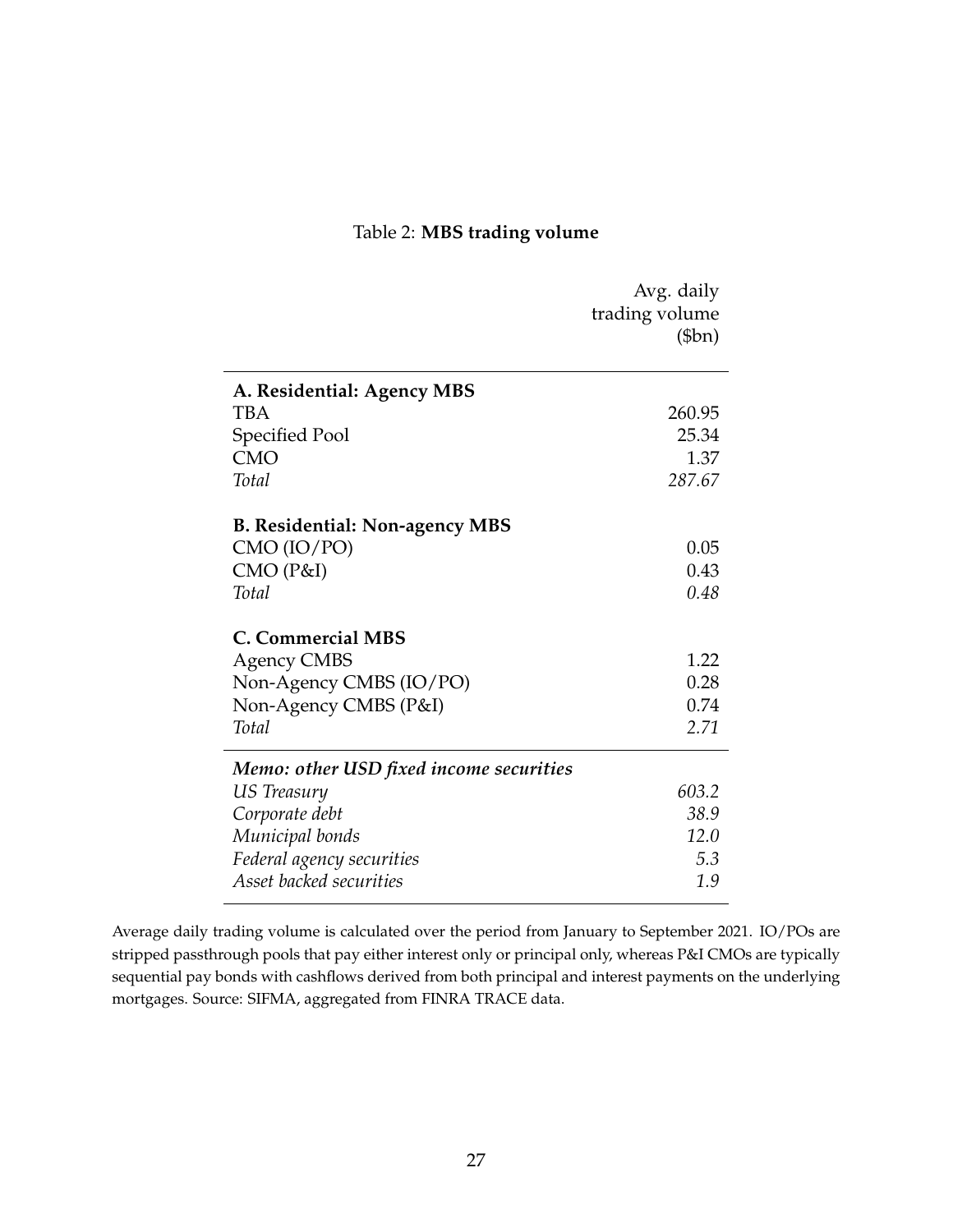# Table 2: **MBS trading volume**

<span id="page-28-0"></span>

|                                         | Avg. daily         |
|-----------------------------------------|--------------------|
|                                         | trading volume     |
|                                         | $$\mathsf{(5bn})$$ |
|                                         |                    |
| A. Residential: Agency MBS              |                    |
| <b>TBA</b>                              | 260.95             |
| Specified Pool                          | 25.34              |
| <b>CMO</b>                              | 1.37               |
| Total                                   | 287.67             |
|                                         |                    |
| <b>B. Residential: Non-agency MBS</b>   |                    |
| CMO (IO/PO)                             | 0.05               |
| CMO(P&I)                                | 0.43               |
| Total                                   | 0.48               |
| <b>C. Commercial MBS</b>                |                    |
|                                         | 1.22               |
| <b>Agency CMBS</b>                      | 0.28               |
| Non-Agency CMBS (IO/PO)                 |                    |
| Non-Agency CMBS (P&I)                   | 0.74               |
| Total                                   | 2.71               |
| Memo: other USD fixed income securities |                    |
| US Treasury                             | 603.2              |
| Corporate debt                          | 38.9               |
| Municipal bonds                         | 12.0               |
| Federal agency securities               | 5.3                |
| Asset backed securities                 | 1.9                |

Average daily trading volume is calculated over the period from January to September 2021. IO/POs are stripped passthrough pools that pay either interest only or principal only, whereas P&I CMOs are typically sequential pay bonds with cashflows derived from both principal and interest payments on the underlying mortgages. Source: SIFMA, aggregated from FINRA TRACE data.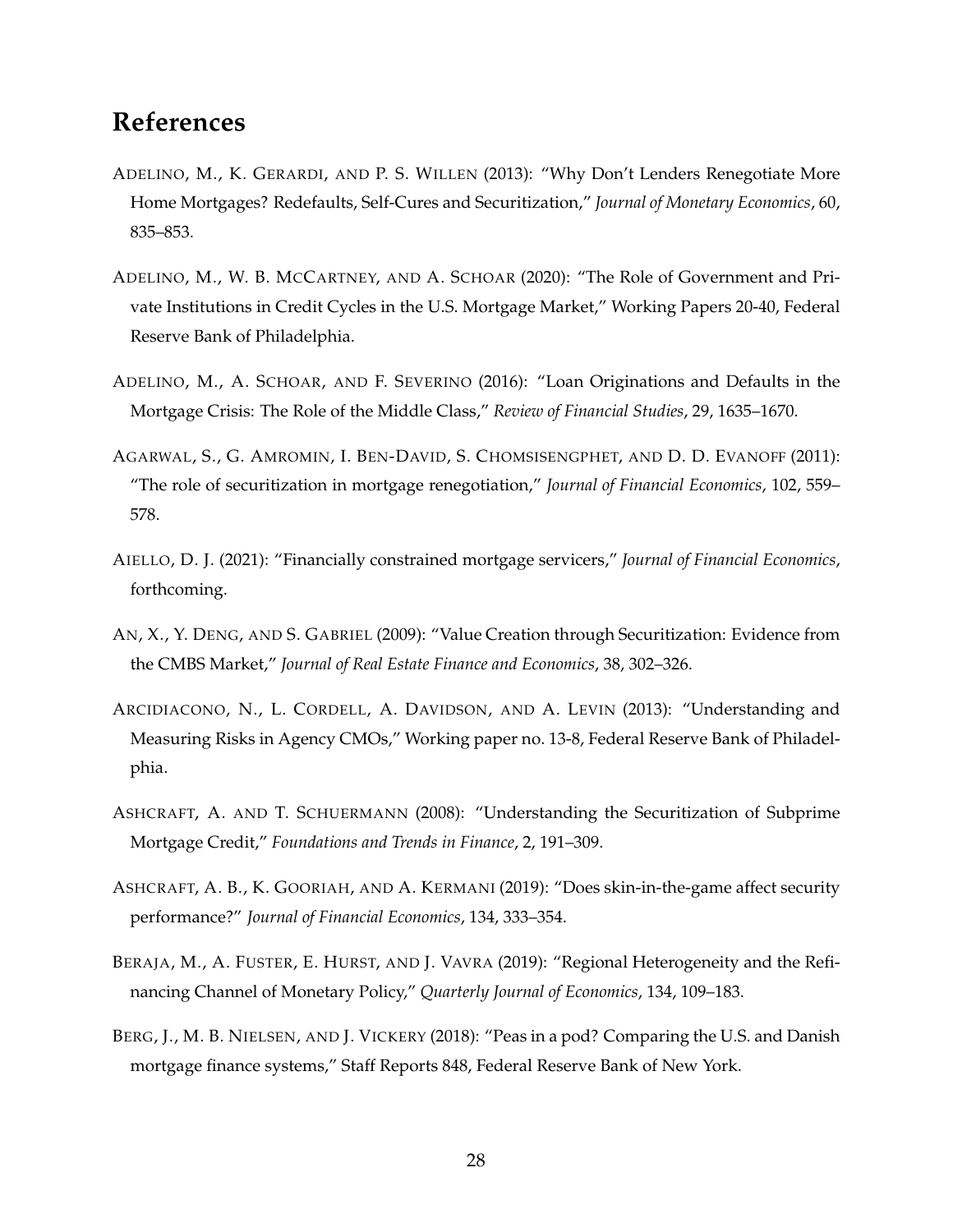# **References**

- <span id="page-29-9"></span>ADELINO, M., K. GERARDI, AND P. S. WILLEN (2013): "Why Don't Lenders Renegotiate More Home Mortgages? Redefaults, Self-Cures and Securitization," *Journal of Monetary Economics*, 60, 835–853.
- <span id="page-29-2"></span>ADELINO, M., W. B. MCCARTNEY, AND A. SCHOAR (2020): "The Role of Government and Private Institutions in Credit Cycles in the U.S. Mortgage Market," Working Papers 20-40, Federal Reserve Bank of Philadelphia.
- <span id="page-29-1"></span>ADELINO, M., A. SCHOAR, AND F. SEVERINO (2016): "Loan Originations and Defaults in the Mortgage Crisis: The Role of the Middle Class," *Review of Financial Studies*, 29, 1635–1670.
- <span id="page-29-8"></span>AGARWAL, S., G. AMROMIN, I. BEN-DAVID, S. CHOMSISENGPHET, AND D. D. EVANOFF (2011): "The role of securitization in mortgage renegotiation," *Journal of Financial Economics*, 102, 559– 578.
- <span id="page-29-10"></span>AIELLO, D. J. (2021): "Financially constrained mortgage servicers," *Journal of Financial Economics*, forthcoming.
- <span id="page-29-3"></span>AN, X., Y. DENG, AND S. GABRIEL (2009): "Value Creation through Securitization: Evidence from the CMBS Market," *Journal of Real Estate Finance and Economics*, 38, 302–326.
- <span id="page-29-5"></span>ARCIDIACONO, N., L. CORDELL, A. DAVIDSON, AND A. LEVIN (2013): "Understanding and Measuring Risks in Agency CMOs," Working paper no. 13-8, Federal Reserve Bank of Philadelphia.
- <span id="page-29-0"></span>ASHCRAFT, A. AND T. SCHUERMANN (2008): "Understanding the Securitization of Subprime Mortgage Credit," *Foundations and Trends in Finance*, 2, 191–309.
- <span id="page-29-6"></span>ASHCRAFT, A. B., K. GOORIAH, AND A. KERMANI (2019): "Does skin-in-the-game affect security performance?" *Journal of Financial Economics*, 134, 333–354.
- <span id="page-29-7"></span>BERAJA, M., A. FUSTER, E. HURST, AND J. VAVRA (2019): "Regional Heterogeneity and the Refinancing Channel of Monetary Policy," *Quarterly Journal of Economics*, 134, 109–183.
- <span id="page-29-4"></span>BERG, J., M. B. NIELSEN, AND J. VICKERY (2018): "Peas in a pod? Comparing the U.S. and Danish mortgage finance systems," Staff Reports 848, Federal Reserve Bank of New York.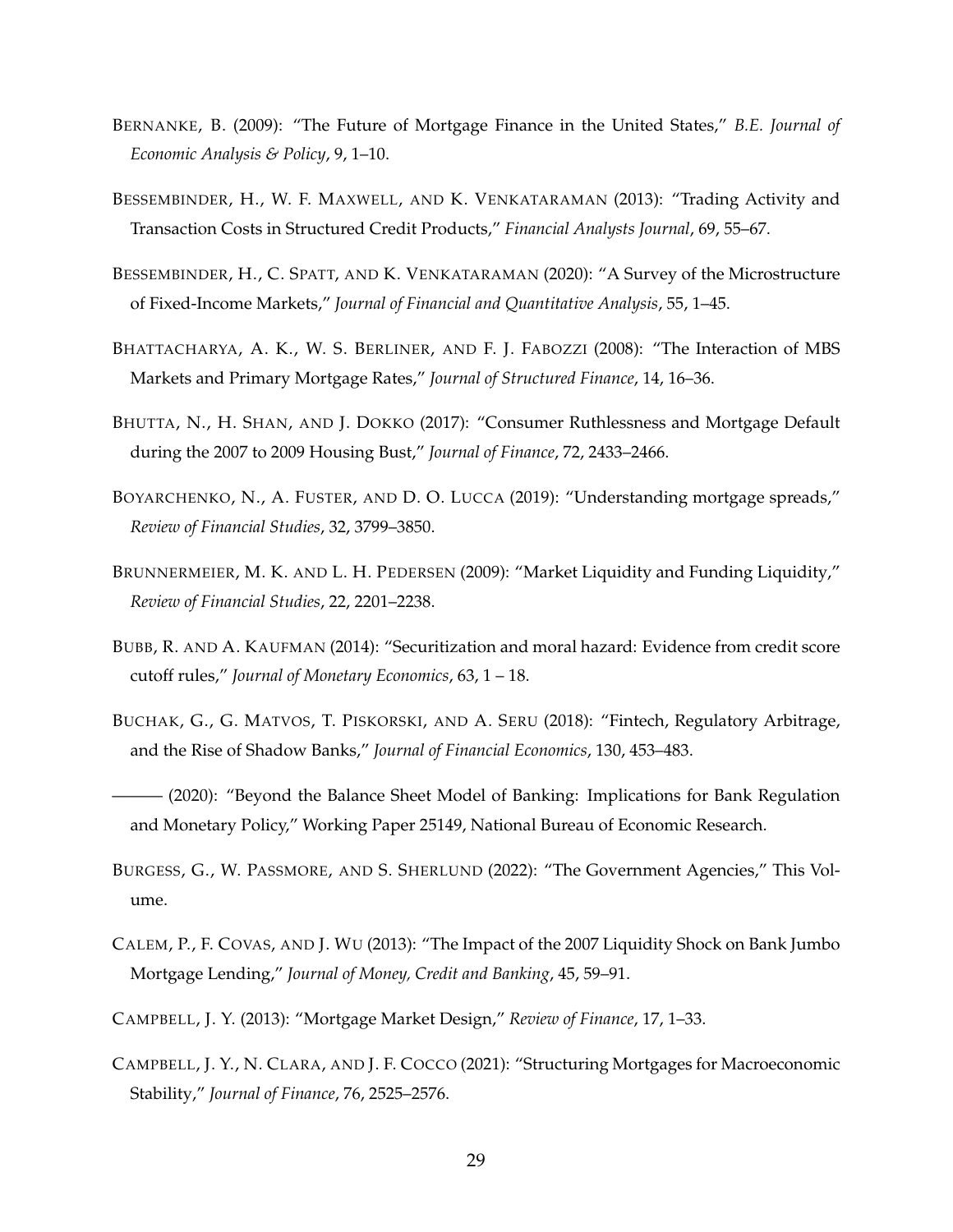- <span id="page-30-2"></span>BERNANKE, B. (2009): "The Future of Mortgage Finance in the United States," *B.E. Journal of Economic Analysis & Policy*, 9, 1–10.
- <span id="page-30-8"></span>BESSEMBINDER, H., W. F. MAXWELL, AND K. VENKATARAMAN (2013): "Trading Activity and Transaction Costs in Structured Credit Products," *Financial Analysts Journal*, 69, 55–67.
- <span id="page-30-9"></span>BESSEMBINDER, H., C. SPATT, AND K. VENKATARAMAN (2020): "A Survey of the Microstructure of Fixed-Income Markets," *Journal of Financial and Quantitative Analysis*, 55, 1–45.
- <span id="page-30-3"></span>BHATTACHARYA, A. K., W. S. BERLINER, AND F. J. FABOZZI (2008): "The Interaction of MBS Markets and Primary Mortgage Rates," *Journal of Structured Finance*, 14, 16–36.
- <span id="page-30-5"></span>BHUTTA, N., H. SHAN, AND J. DOKKO (2017): "Consumer Ruthlessness and Mortgage Default during the 2007 to 2009 Housing Bust," *Journal of Finance*, 72, 2433–2466.
- <span id="page-30-7"></span>BOYARCHENKO, N., A. FUSTER, AND D. O. LUCCA (2019): "Understanding mortgage spreads," *Review of Financial Studies*, 32, 3799–3850.
- <span id="page-30-6"></span>BRUNNERMEIER, M. K. AND L. H. PEDERSEN (2009): "Market Liquidity and Funding Liquidity," *Review of Financial Studies*, 22, 2201–2238.
- <span id="page-30-11"></span>BUBB, R. AND A. KAUFMAN (2014): "Securitization and moral hazard: Evidence from credit score cutoff rules," *Journal of Monetary Economics*, 63, 1 – 18.
- <span id="page-30-4"></span>BUCHAK, G., G. MATVOS, T. PISKORSKI, AND A. SERU (2018): "Fintech, Regulatory Arbitrage, and the Rise of Shadow Banks," *Journal of Financial Economics*, 130, 453–483.
- <span id="page-30-10"></span>- (2020): "Beyond the Balance Sheet Model of Banking: Implications for Bank Regulation and Monetary Policy," Working Paper 25149, National Bureau of Economic Research.
- <span id="page-30-0"></span>BURGESS, G., W. PASSMORE, AND S. SHERLUND (2022): "The Government Agencies," This Volume.
- <span id="page-30-1"></span>CALEM, P., F. COVAS, AND J. WU (2013): "The Impact of the 2007 Liquidity Shock on Bank Jumbo Mortgage Lending," *Journal of Money, Credit and Banking*, 45, 59–91.
- <span id="page-30-12"></span>CAMPBELL, J. Y. (2013): "Mortgage Market Design," *Review of Finance*, 17, 1–33.
- <span id="page-30-13"></span>CAMPBELL, J. Y., N. CLARA, AND J. F. COCCO (2021): "Structuring Mortgages for Macroeconomic Stability," *Journal of Finance*, 76, 2525–2576.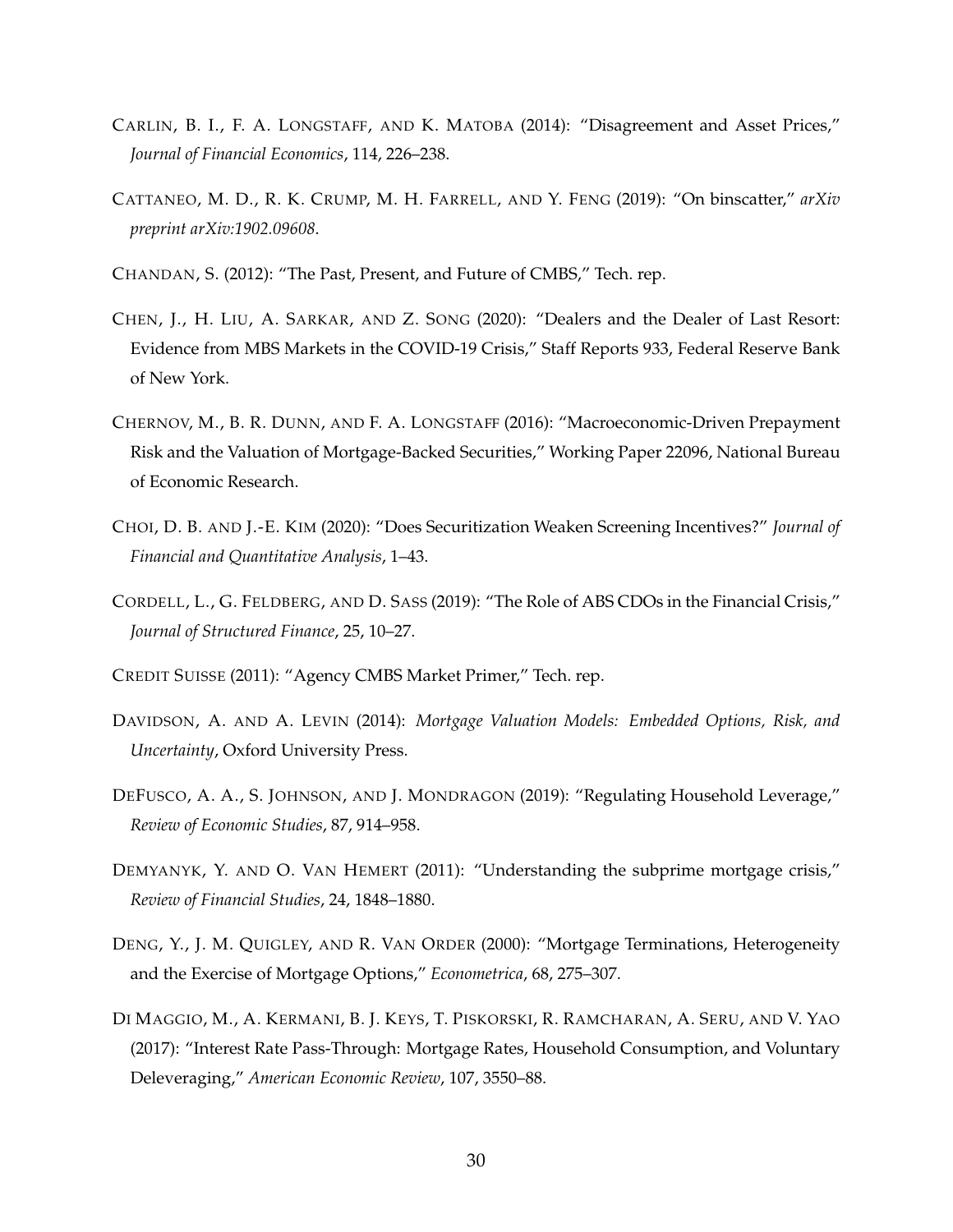- <span id="page-31-7"></span>CARLIN, B. I., F. A. LONGSTAFF, AND K. MATOBA (2014): "Disagreement and Asset Prices," *Journal of Financial Economics*, 114, 226–238.
- <span id="page-31-12"></span>CATTANEO, M. D., R. K. CRUMP, M. H. FARRELL, AND Y. FENG (2019): "On binscatter," *arXiv preprint arXiv:1902.09608*.
- <span id="page-31-1"></span>CHANDAN, S. (2012): "The Past, Present, and Future of CMBS," Tech. rep.
- <span id="page-31-9"></span>CHEN, J., H. LIU, A. SARKAR, AND Z. SONG (2020): "Dealers and the Dealer of Last Resort: Evidence from MBS Markets in the COVID-19 Crisis," Staff Reports 933, Federal Reserve Bank of New York.
- <span id="page-31-8"></span>CHERNOV, M., B. R. DUNN, AND F. A. LONGSTAFF (2016): "Macroeconomic-Driven Prepayment Risk and the Valuation of Mortgage-Backed Securities," Working Paper 22096, National Bureau of Economic Research.
- <span id="page-31-10"></span>CHOI, D. B. AND J.-E. KIM (2020): "Does Securitization Weaken Screening Incentives?" *Journal of Financial and Quantitative Analysis*, 1–43.
- <span id="page-31-4"></span>CORDELL, L., G. FELDBERG, AND D. SASS (2019): "The Role of ABS CDOs in the Financial Crisis," *Journal of Structured Finance*, 25, 10–27.
- <span id="page-31-2"></span>CREDIT SUISSE (2011): "Agency CMBS Market Primer," Tech. rep.
- <span id="page-31-0"></span>DAVIDSON, A. AND A. LEVIN (2014): *Mortgage Valuation Models: Embedded Options, Risk, and Uncertainty*, Oxford University Press.
- <span id="page-31-3"></span>DEFUSCO, A. A., S. JOHNSON, AND J. MONDRAGON (2019): "Regulating Household Leverage," *Review of Economic Studies*, 87, 914–958.
- <span id="page-31-5"></span>DEMYANYK, Y. AND O. VAN HEMERT (2011): "Understanding the subprime mortgage crisis," *Review of Financial Studies*, 24, 1848–1880.
- <span id="page-31-6"></span>DENG, Y., J. M. QUIGLEY, AND R. VAN ORDER (2000): "Mortgage Terminations, Heterogeneity and the Exercise of Mortgage Options," *Econometrica*, 68, 275–307.
- <span id="page-31-11"></span>DI MAGGIO, M., A. KERMANI, B. J. KEYS, T. PISKORSKI, R. RAMCHARAN, A. SERU, AND V. YAO (2017): "Interest Rate Pass-Through: Mortgage Rates, Household Consumption, and Voluntary Deleveraging," *American Economic Review*, 107, 3550–88.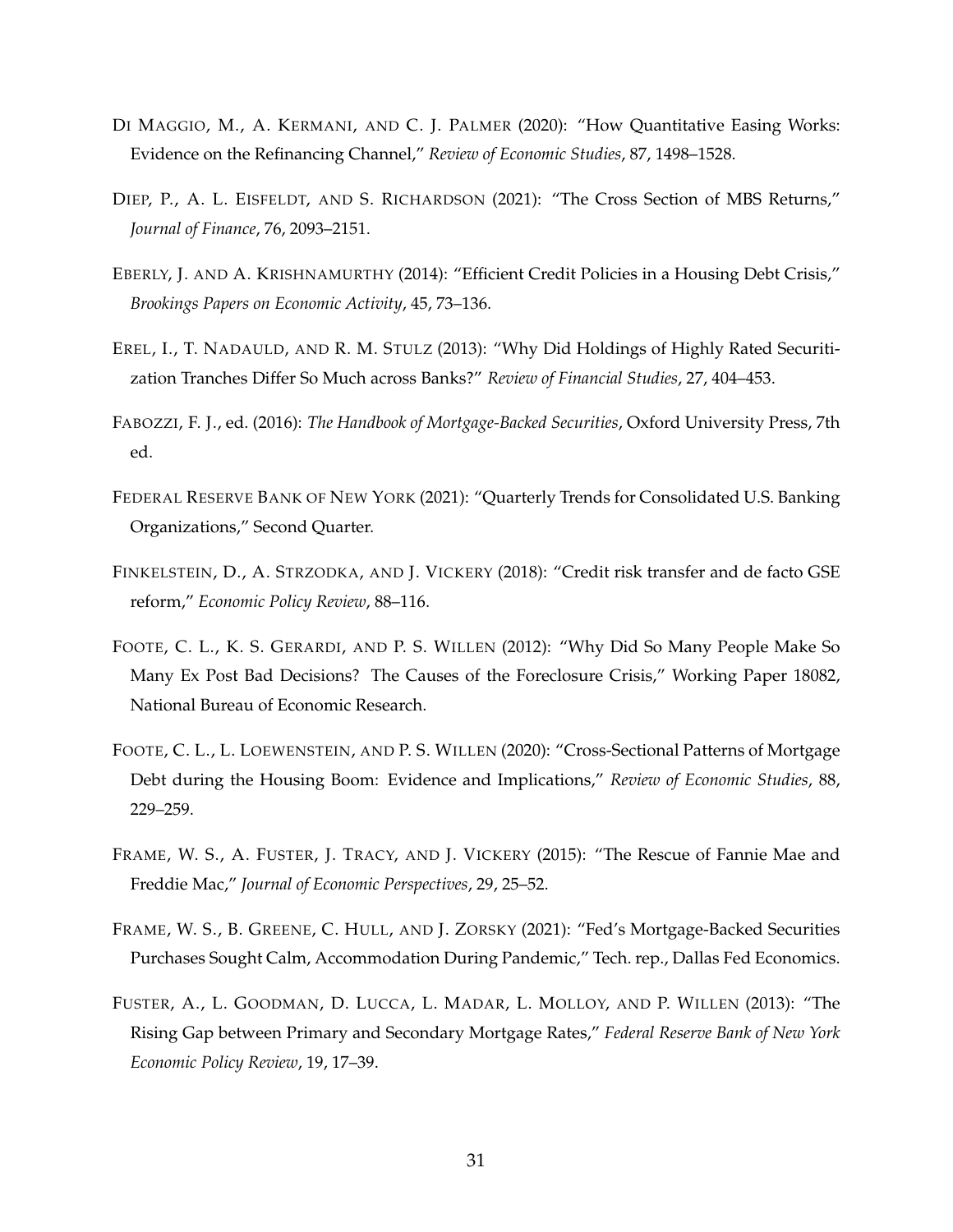- <span id="page-32-7"></span>DI MAGGIO, M., A. KERMANI, AND C. J. PALMER (2020): "How Quantitative Easing Works: Evidence on the Refinancing Channel," *Review of Economic Studies*, 87, 1498–1528.
- <span id="page-32-6"></span>DIEP, P., A. L. EISFELDT, AND S. RICHARDSON (2021): "The Cross Section of MBS Returns," *Journal of Finance*, 76, 2093–2151.
- <span id="page-32-10"></span>EBERLY, J. AND A. KRISHNAMURTHY (2014): "Efficient Credit Policies in a Housing Debt Crisis," *Brookings Papers on Economic Activity*, 45, 73–136.
- <span id="page-32-11"></span>EREL, I., T. NADAULD, AND R. M. STULZ (2013): "Why Did Holdings of Highly Rated Securitization Tranches Differ So Much across Banks?" *Review of Financial Studies*, 27, 404–453.
- <span id="page-32-0"></span>FABOZZI, F. J., ed. (2016): *The Handbook of Mortgage-Backed Securities*, Oxford University Press, 7th ed.
- <span id="page-32-3"></span>FEDERAL RESERVE BANK OF NEW YORK (2021): "Quarterly Trends for Consolidated U.S. Banking Organizations," Second Quarter.
- <span id="page-32-5"></span>FINKELSTEIN, D., A. STRZODKA, AND J. VICKERY (2018): "Credit risk transfer and de facto GSE reform," *Economic Policy Review*, 88–116.
- <span id="page-32-9"></span>FOOTE, C. L., K. S. GERARDI, AND P. S. WILLEN (2012): "Why Did So Many People Make So Many Ex Post Bad Decisions? The Causes of the Foreclosure Crisis," Working Paper 18082, National Bureau of Economic Research.
- <span id="page-32-2"></span>FOOTE, C. L., L. LOEWENSTEIN, AND P. S. WILLEN (2020): "Cross-Sectional Patterns of Mortgage Debt during the Housing Boom: Evidence and Implications," *Review of Economic Studies*, 88, 229–259.
- <span id="page-32-1"></span>FRAME, W. S., A. FUSTER, J. TRACY, AND J. VICKERY (2015): "The Rescue of Fannie Mae and Freddie Mac," *Journal of Economic Perspectives*, 29, 25–52.
- <span id="page-32-8"></span>FRAME, W. S., B. GREENE, C. HULL, AND J. ZORSKY (2021): "Fed's Mortgage-Backed Securities Purchases Sought Calm, Accommodation During Pandemic," Tech. rep., Dallas Fed Economics.
- <span id="page-32-4"></span>FUSTER, A., L. GOODMAN, D. LUCCA, L. MADAR, L. MOLLOY, AND P. WILLEN (2013): "The Rising Gap between Primary and Secondary Mortgage Rates," *Federal Reserve Bank of New York Economic Policy Review*, 19, 17–39.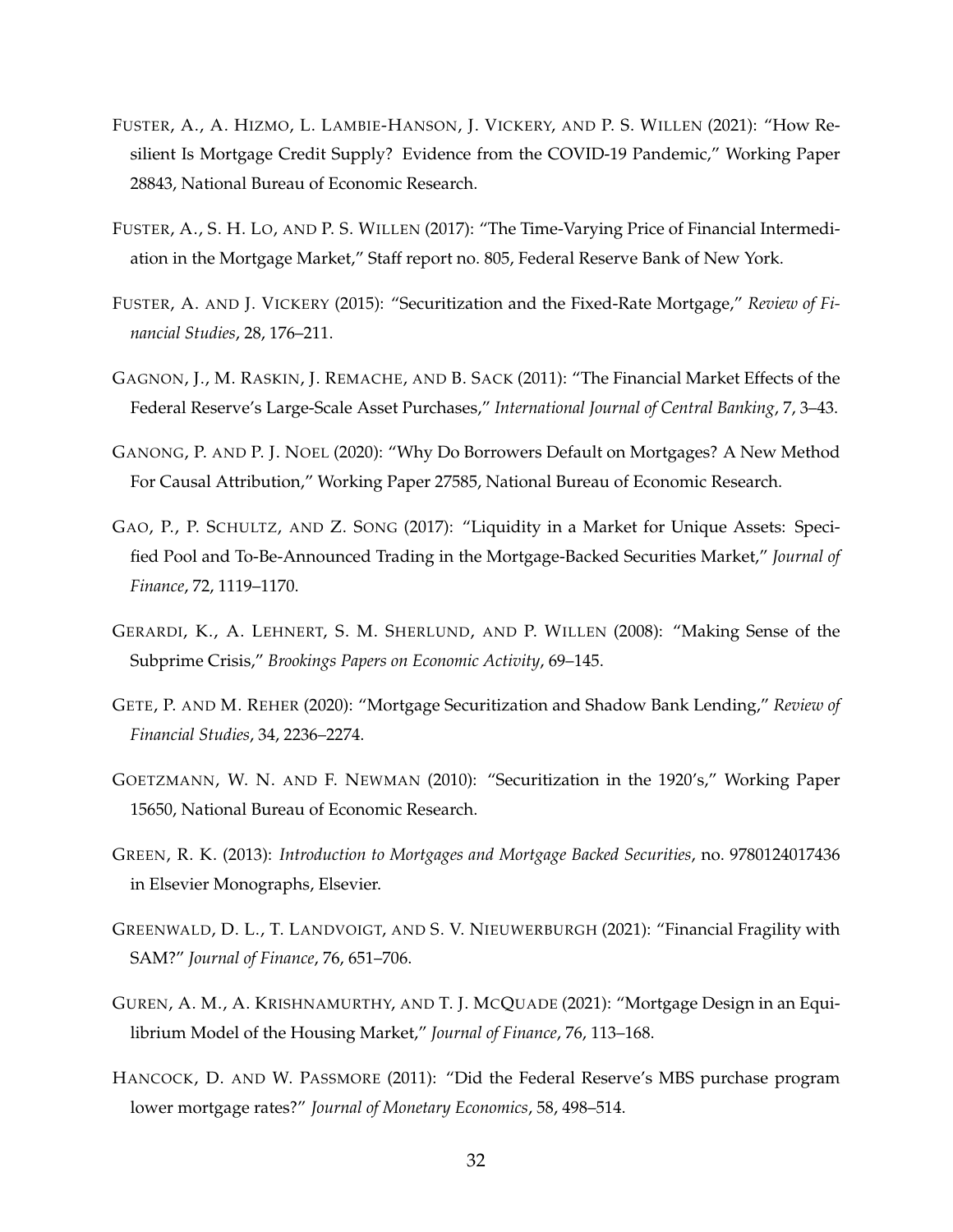- <span id="page-33-4"></span>FUSTER, A., A. HIZMO, L. LAMBIE-HANSON, J. VICKERY, AND P. S. WILLEN (2021): "How Resilient Is Mortgage Credit Supply? Evidence from the COVID-19 Pandemic," Working Paper 28843, National Bureau of Economic Research.
- <span id="page-33-10"></span>FUSTER, A., S. H. LO, AND P. S. WILLEN (2017): "The Time-Varying Price of Financial Intermediation in the Mortgage Market," Staff report no. 805, Federal Reserve Bank of New York.
- <span id="page-33-3"></span>FUSTER, A. AND J. VICKERY (2015): "Securitization and the Fixed-Rate Mortgage," *Review of Financial Studies*, 28, 176–211.
- <span id="page-33-6"></span>GAGNON, J., M. RASKIN, J. REMACHE, AND B. SACK (2011): "The Financial Market Effects of the Federal Reserve's Large-Scale Asset Purchases," *International Journal of Central Banking*, 7, 3–43.
- <span id="page-33-5"></span>GANONG, P. AND P. J. NOEL (2020): "Why Do Borrowers Default on Mortgages? A New Method For Causal Attribution," Working Paper 27585, National Bureau of Economic Research.
- <span id="page-33-8"></span>GAO, P., P. SCHULTZ, AND Z. SONG (2017): "Liquidity in a Market for Unique Assets: Specified Pool and To-Be-Announced Trading in the Mortgage-Backed Securities Market," *Journal of Finance*, 72, 1119–1170.
- <span id="page-33-2"></span>GERARDI, K., A. LEHNERT, S. M. SHERLUND, AND P. WILLEN (2008): "Making Sense of the Subprime Crisis," *Brookings Papers on Economic Activity*, 69–145.
- <span id="page-33-9"></span>GETE, P. AND M. REHER (2020): "Mortgage Securitization and Shadow Bank Lending," *Review of Financial Studies*, 34, 2236–2274.
- <span id="page-33-1"></span>GOETZMANN, W. N. AND F. NEWMAN (2010): "Securitization in the 1920's," Working Paper 15650, National Bureau of Economic Research.
- <span id="page-33-0"></span>GREEN, R. K. (2013): *Introduction to Mortgages and Mortgage Backed Securities*, no. 9780124017436 in Elsevier Monographs, Elsevier.
- <span id="page-33-12"></span>GREENWALD, D. L., T. LANDVOIGT, AND S. V. NIEUWERBURGH (2021): "Financial Fragility with SAM?" *Journal of Finance*, 76, 651–706.
- <span id="page-33-11"></span>GUREN, A. M., A. KRISHNAMURTHY, AND T. J. MCQUADE (2021): "Mortgage Design in an Equilibrium Model of the Housing Market," *Journal of Finance*, 76, 113–168.
- <span id="page-33-7"></span>HANCOCK, D. AND W. PASSMORE (2011): "Did the Federal Reserve's MBS purchase program lower mortgage rates?" *Journal of Monetary Economics*, 58, 498–514.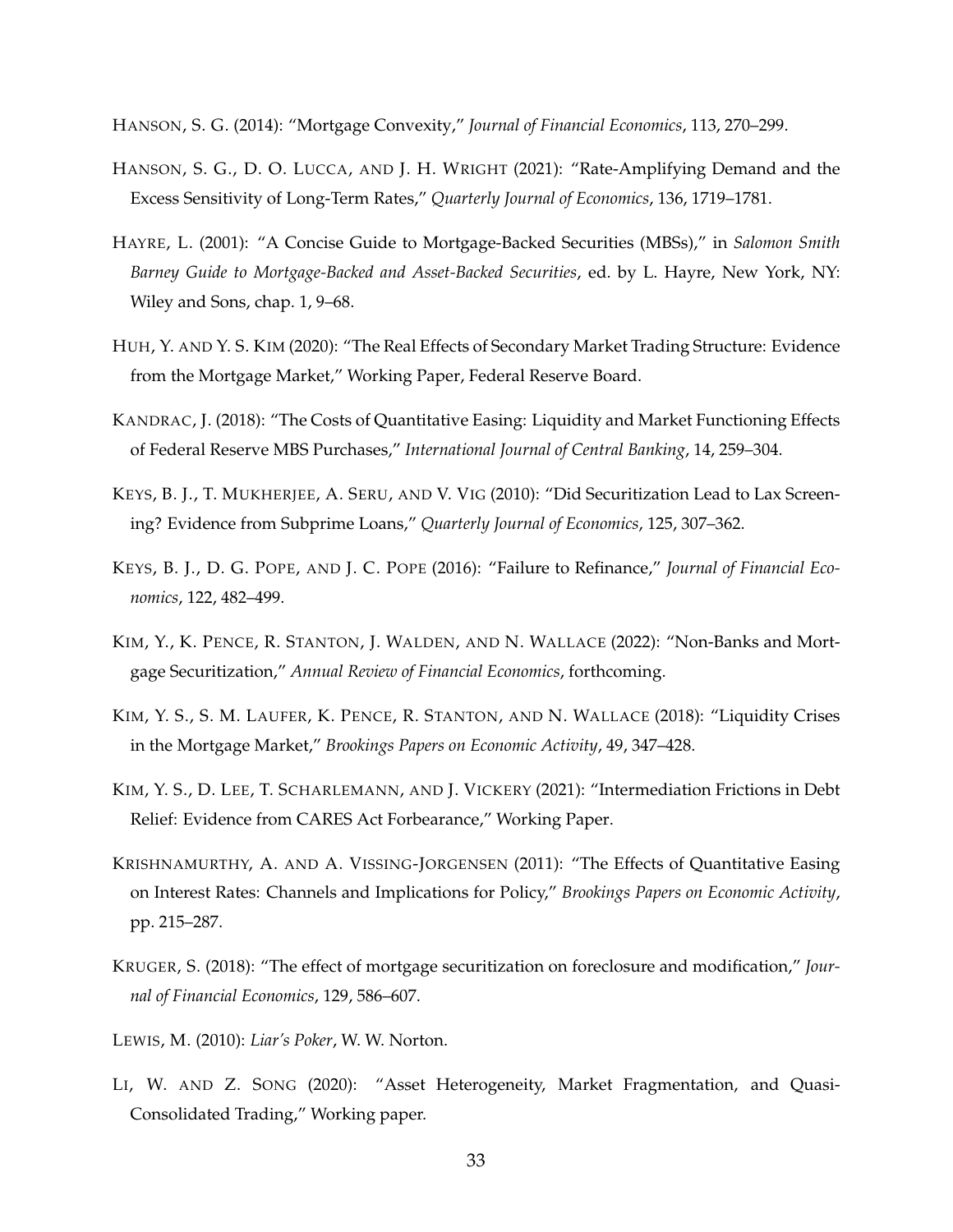<span id="page-34-12"></span>HANSON, S. G. (2014): "Mortgage Convexity," *Journal of Financial Economics*, 113, 270–299.

- <span id="page-34-13"></span>HANSON, S. G., D. O. LUCCA, AND J. H. WRIGHT (2021): "Rate-Amplifying Demand and the Excess Sensitivity of Long-Term Rates," *Quarterly Journal of Economics*, 136, 1719–1781.
- <span id="page-34-0"></span>HAYRE, L. (2001): "A Concise Guide to Mortgage-Backed Securities (MBSs)," in *Salomon Smith Barney Guide to Mortgage-Backed and Asset-Backed Securities*, ed. by L. Hayre, New York, NY: Wiley and Sons, chap. 1, 9–68.
- <span id="page-34-9"></span>HUH, Y. AND Y. S. KIM (2020): "The Real Effects of Secondary Market Trading Structure: Evidence from the Mortgage Market," Working Paper, Federal Reserve Board.
- <span id="page-34-7"></span>KANDRAC, J. (2018): "The Costs of Quantitative Easing: Liquidity and Market Functioning Effects of Federal Reserve MBS Purchases," *International Journal of Central Banking*, 14, 259–304.
- <span id="page-34-10"></span>KEYS, B. J., T. MUKHERJEE, A. SERU, AND V. VIG (2010): "Did Securitization Lead to Lax Screening? Evidence from Subprime Loans," *Quarterly Journal of Economics*, 125, 307–362.
- <span id="page-34-4"></span>KEYS, B. J., D. G. POPE, AND J. C. POPE (2016): "Failure to Refinance," *Journal of Financial Economics*, 122, 482–499.
- <span id="page-34-1"></span>KIM, Y., K. PENCE, R. STANTON, J. WALDEN, AND N. WALLACE (2022): "Non-Banks and Mortgage Securitization," *Annual Review of Financial Economics*, forthcoming.
- <span id="page-34-5"></span>KIM, Y. S., S. M. LAUFER, K. PENCE, R. STANTON, AND N. WALLACE (2018): "Liquidity Crises in the Mortgage Market," *Brookings Papers on Economic Activity*, 49, 347–428.
- <span id="page-34-11"></span>KIM, Y. S., D. LEE, T. SCHARLEMANN, AND J. VICKERY (2021): "Intermediation Frictions in Debt Relief: Evidence from CARES Act Forbearance," Working Paper.
- <span id="page-34-6"></span>KRISHNAMURTHY, A. AND A. VISSING-JORGENSEN (2011): "The Effects of Quantitative Easing on Interest Rates: Channels and Implications for Policy," *Brookings Papers on Economic Activity*, pp. 215–287.
- <span id="page-34-3"></span>KRUGER, S. (2018): "The effect of mortgage securitization on foreclosure and modification," *Journal of Financial Economics*, 129, 586–607.
- <span id="page-34-2"></span>LEWIS, M. (2010): *Liar's Poker*, W. W. Norton.
- <span id="page-34-8"></span>LI, W. AND Z. SONG (2020): "Asset Heterogeneity, Market Fragmentation, and Quasi-Consolidated Trading," Working paper.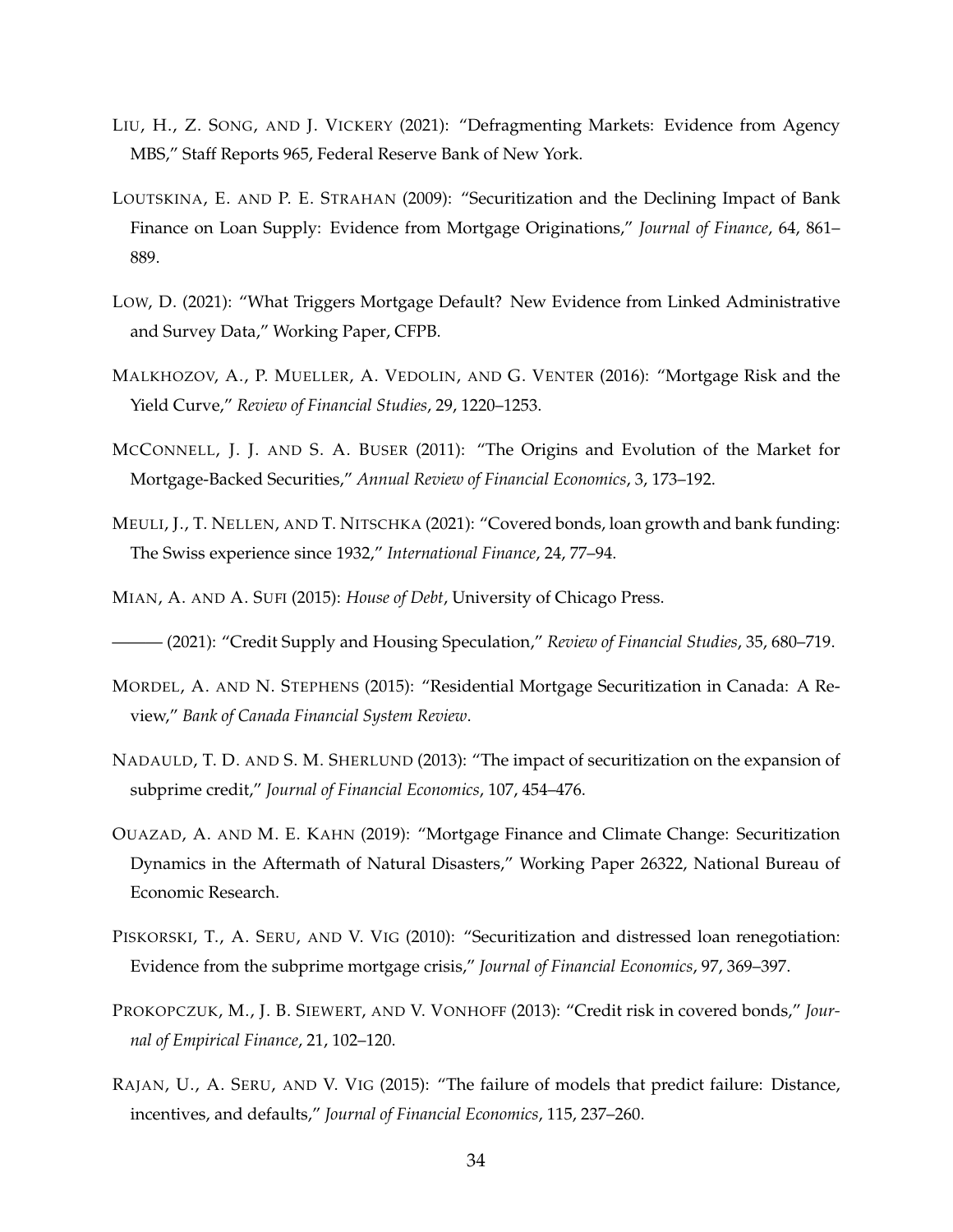- <span id="page-35-6"></span>LIU, H., Z. SONG, AND J. VICKERY (2021): "Defragmenting Markets: Evidence from Agency MBS," Staff Reports 965, Federal Reserve Bank of New York.
- <span id="page-35-7"></span>LOUTSKINA, E. AND P. E. STRAHAN (2009): "Securitization and the Declining Impact of Bank Finance on Loan Supply: Evidence from Mortgage Originations," *Journal of Finance*, 64, 861– 889.
- <span id="page-35-5"></span>LOW, D. (2021): "What Triggers Mortgage Default? New Evidence from Linked Administrative and Survey Data," Working Paper, CFPB.
- <span id="page-35-12"></span>MALKHOZOV, A., P. MUELLER, A. VEDOLIN, AND G. VENTER (2016): "Mortgage Risk and the Yield Curve," *Review of Financial Studies*, 29, 1220–1253.
- <span id="page-35-0"></span>MCCONNELL, J. J. AND S. A. BUSER (2011): "The Origins and Evolution of the Market for Mortgage-Backed Securities," *Annual Review of Financial Economics*, 3, 173–192.
- <span id="page-35-4"></span>MEULI, J., T. NELLEN, AND T. NITSCHKA (2021): "Covered bonds, loan growth and bank funding: The Swiss experience since 1932," *International Finance*, 24, 77–94.
- <span id="page-35-1"></span>MIAN, A. AND A. SUFI (2015): *House of Debt*, University of Chicago Press.
- <span id="page-35-10"></span>——— (2021): "Credit Supply and Housing Speculation," *Review of Financial Studies*, 35, 680–719.
- <span id="page-35-2"></span>MORDEL, A. AND N. STEPHENS (2015): "Residential Mortgage Securitization in Canada: A Review," *Bank of Canada Financial System Review*.
- <span id="page-35-8"></span>NADAULD, T. D. AND S. M. SHERLUND (2013): "The impact of securitization on the expansion of subprime credit," *Journal of Financial Economics*, 107, 454–476.
- <span id="page-35-13"></span>OUAZAD, A. AND M. E. KAHN (2019): "Mortgage Finance and Climate Change: Securitization Dynamics in the Aftermath of Natural Disasters," Working Paper 26322, National Bureau of Economic Research.
- <span id="page-35-11"></span>PISKORSKI, T., A. SERU, AND V. VIG (2010): "Securitization and distressed loan renegotiation: Evidence from the subprime mortgage crisis," *Journal of Financial Economics*, 97, 369–397.
- <span id="page-35-3"></span>PROKOPCZUK, M., J. B. SIEWERT, AND V. VONHOFF (2013): "Credit risk in covered bonds," *Journal of Empirical Finance*, 21, 102–120.
- <span id="page-35-9"></span>RAJAN, U., A. SERU, AND V. VIG (2015): "The failure of models that predict failure: Distance, incentives, and defaults," *Journal of Financial Economics*, 115, 237–260.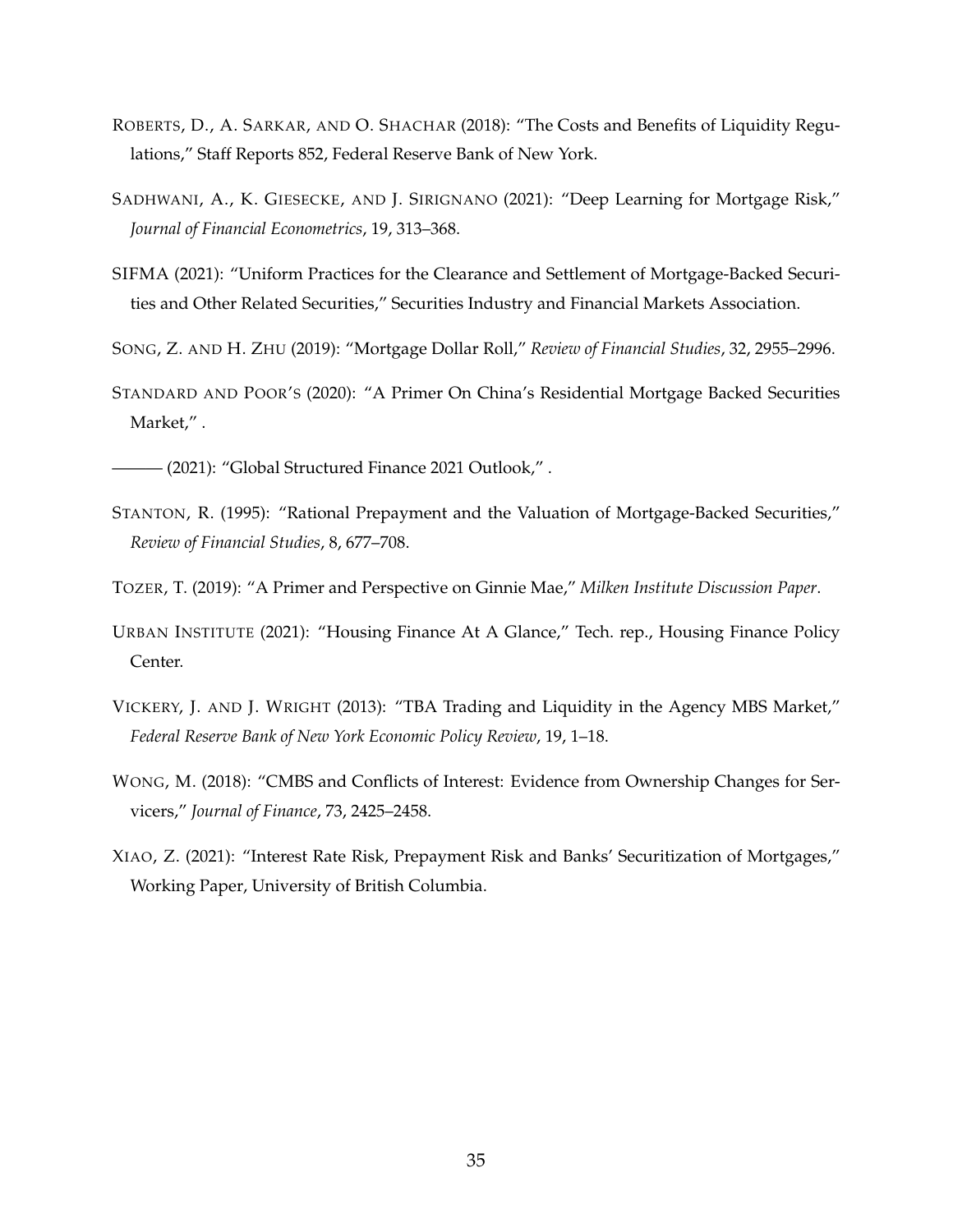- <span id="page-36-1"></span>ROBERTS, D., A. SARKAR, AND O. SHACHAR (2018): "The Costs and Benefits of Liquidity Regulations," Staff Reports 852, Federal Reserve Bank of New York.
- <span id="page-36-9"></span>SADHWANI, A., K. GIESECKE, AND J. SIRIGNANO (2021): "Deep Learning for Mortgage Risk," *Journal of Financial Econometrics*, 19, 313–368.
- <span id="page-36-10"></span>SIFMA (2021): "Uniform Practices for the Clearance and Settlement of Mortgage-Backed Securities and Other Related Securities," Securities Industry and Financial Markets Association.

<span id="page-36-7"></span>SONG, Z. AND H. ZHU (2019): "Mortgage Dollar Roll," *Review of Financial Studies*, 32, 2955–2996.

- <span id="page-36-3"></span>STANDARD AND POOR'S (2020): "A Primer On China's Residential Mortgage Backed Securities Market,".
- <span id="page-36-2"></span>(2021): "Global Structured Finance 2021 Outlook,".
- <span id="page-36-8"></span>STANTON, R. (1995): "Rational Prepayment and the Valuation of Mortgage-Backed Securities," *Review of Financial Studies*, 8, 677–708.
- <span id="page-36-6"></span>TOZER, T. (2019): "A Primer and Perspective on Ginnie Mae," *Milken Institute Discussion Paper*.
- <span id="page-36-4"></span>URBAN INSTITUTE (2021): "Housing Finance At A Glance," Tech. rep., Housing Finance Policy Center.
- <span id="page-36-0"></span>VICKERY, J. AND J. WRIGHT (2013): "TBA Trading and Liquidity in the Agency MBS Market," *Federal Reserve Bank of New York Economic Policy Review*, 19, 1–18.
- <span id="page-36-5"></span>WONG, M. (2018): "CMBS and Conflicts of Interest: Evidence from Ownership Changes for Servicers," *Journal of Finance*, 73, 2425–2458.
- <span id="page-36-11"></span>XIAO, Z. (2021): "Interest Rate Risk, Prepayment Risk and Banks' Securitization of Mortgages," Working Paper, University of British Columbia.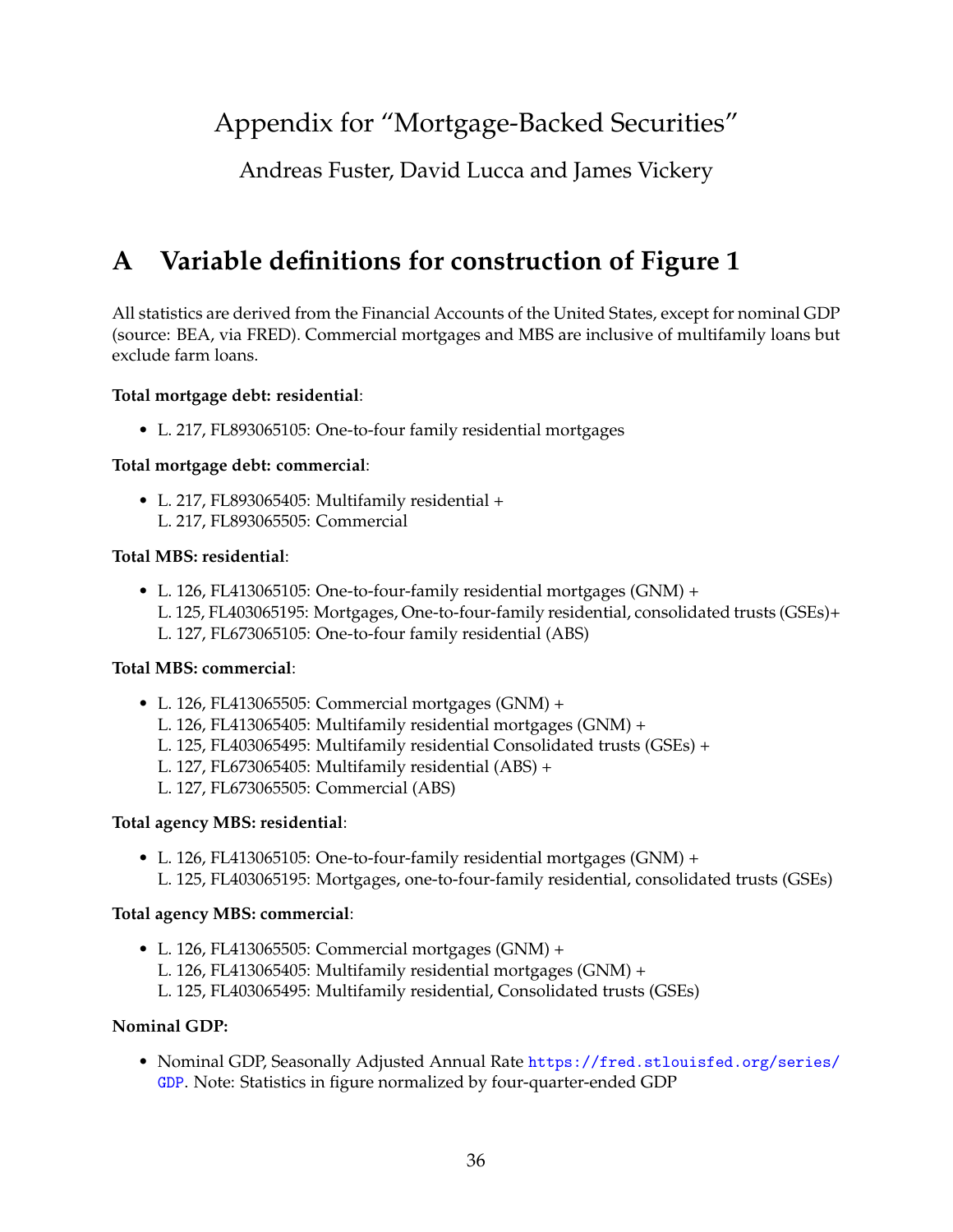# Appendix for "Mortgage-Backed Securities"

Andreas Fuster, David Lucca and James Vickery

# <span id="page-37-0"></span>**A Variable definitions for construction of Figure 1**

All statistics are derived from the Financial Accounts of the United States, except for nominal GDP (source: BEA, via FRED). Commercial mortgages and MBS are inclusive of multifamily loans but exclude farm loans.

## **Total mortgage debt: residential**:

• L. 217, FL893065105: One-to-four family residential mortgages

#### **Total mortgage debt: commercial**:

• L. 217, FL893065405: Multifamily residential + L. 217, FL893065505: Commercial

#### **Total MBS: residential**:

• L. 126, FL413065105: One-to-four-family residential mortgages (GNM) + L. 125, FL403065195: Mortgages, One-to-four-family residential, consolidated trusts (GSEs)+ L. 127, FL673065105: One-to-four family residential (ABS)

#### **Total MBS: commercial**:

- L. 126, FL413065505: Commercial mortgages (GNM) +
	- L. 126, FL413065405: Multifamily residential mortgages (GNM) +
	- L. 125, FL403065495: Multifamily residential Consolidated trusts (GSEs) +
	- L. 127, FL673065405: Multifamily residential (ABS) +
	- L. 127, FL673065505: Commercial (ABS)

## **Total agency MBS: residential**:

• L. 126, FL413065105: One-to-four-family residential mortgages (GNM) + L. 125, FL403065195: Mortgages, one-to-four-family residential, consolidated trusts (GSEs)

## **Total agency MBS: commercial**:

• L. 126, FL413065505: Commercial mortgages (GNM) + L. 126, FL413065405: Multifamily residential mortgages (GNM) + L. 125, FL403065495: Multifamily residential, Consolidated trusts (GSEs)

## **Nominal GDP:**

• Nominal GDP, Seasonally Adjusted Annual Rate [https://fred.stlouisfed.org/series/](https://fred.stlouisfed.org/series/GDP) [GDP](https://fred.stlouisfed.org/series/GDP). Note: Statistics in figure normalized by four-quarter-ended GDP